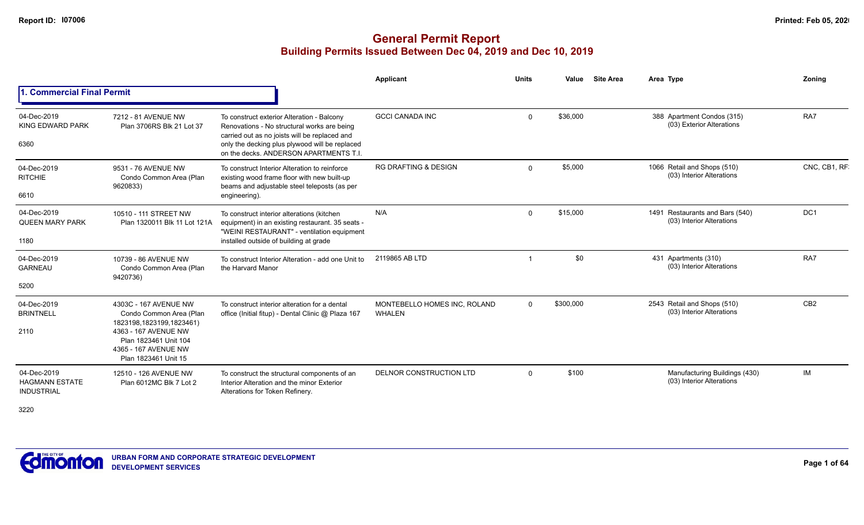## **General Permit Report Building Permits Issued Between Dec 04, 2019 and Dec 10, 2019**

|                                                           |                                                                                                                                                                               |                                                                                                                                                                                                                                        | Applicant                                     | <b>Units</b> | Value     | <b>Site Area</b> | Area Type                                                    | Zonina          |
|-----------------------------------------------------------|-------------------------------------------------------------------------------------------------------------------------------------------------------------------------------|----------------------------------------------------------------------------------------------------------------------------------------------------------------------------------------------------------------------------------------|-----------------------------------------------|--------------|-----------|------------------|--------------------------------------------------------------|-----------------|
| . Commercial Final Permit                                 |                                                                                                                                                                               |                                                                                                                                                                                                                                        |                                               |              |           |                  |                                                              |                 |
| 04-Dec-2019<br>KING EDWARD PARK<br>6360                   | 7212 - 81 AVENUE NW<br>Plan 3706RS Blk 21 Lot 37                                                                                                                              | To construct exterior Alteration - Balcony<br>Renovations - No structural works are being<br>carried out as no joists will be replaced and<br>only the decking plus plywood will be replaced<br>on the decks. ANDERSON APARTMENTS T.I. | <b>GCCI CANADA INC</b>                        | $\Omega$     | \$36,000  |                  | 388 Apartment Condos (315)<br>(03) Exterior Alterations      | RA7             |
| 04-Dec-2019<br><b>RITCHIE</b><br>6610                     | 9531 - 76 AVENUE NW<br>Condo Common Area (Plan<br>9620833)                                                                                                                    | To construct Interior Alteration to reinforce<br>existing wood frame floor with new built-up<br>beams and adjustable steel teleposts (as per<br>engineering).                                                                          | <b>RG DRAFTING &amp; DESIGN</b>               | $\Omega$     | \$5,000   |                  | 1066 Retail and Shops (510)<br>(03) Interior Alterations     | CNC, CB1, RF    |
| 04-Dec-2019<br><b>QUEEN MARY PARK</b><br>1180             | 10510 - 111 STREET NW<br>Plan 1320011 Blk 11 Lot 121A                                                                                                                         | To construct interior alterations (kitchen<br>equipment) in an existing restaurant. 35 seats -<br>"WEINI RESTAURANT" - ventilation equipment<br>installed outside of building at grade                                                 | N/A                                           | $\Omega$     | \$15,000  |                  | 1491 Restaurants and Bars (540)<br>(03) Interior Alterations | DC <sub>1</sub> |
| 04-Dec-2019<br><b>GARNEAU</b><br>5200                     | 10739 - 86 AVENUE NW<br>Condo Common Area (Plan<br>9420736)                                                                                                                   | To construct Interior Alteration - add one Unit to<br>the Harvard Manor                                                                                                                                                                | 2119865 AB LTD                                |              | \$0       |                  | 431 Apartments (310)<br>(03) Interior Alterations            | RA7             |
| 04-Dec-2019<br><b>BRINTNELL</b><br>2110                   | 4303C - 167 AVENUE NW<br>Condo Common Area (Plan<br>1823198,1823199,1823461)<br>4363 - 167 AVENUE NW<br>Plan 1823461 Unit 104<br>4365 - 167 AVENUE NW<br>Plan 1823461 Unit 15 | To construct interior alteration for a dental<br>office (Initial fitup) - Dental Clinic @ Plaza 167                                                                                                                                    | MONTEBELLO HOMES INC, ROLAND<br><b>WHALEN</b> | $\Omega$     | \$300,000 |                  | 2543 Retail and Shops (510)<br>(03) Interior Alterations     | CB2             |
| 04-Dec-2019<br><b>HAGMANN ESTATE</b><br><b>INDUSTRIAL</b> | 12510 - 126 AVENUE NW<br>Plan 6012MC Blk 7 Lot 2                                                                                                                              | To construct the structural components of an<br>Interior Alteration and the minor Exterior<br>Alterations for Token Refinery.                                                                                                          | DELNOR CONSTRUCTION LTD                       | $\Omega$     | \$100     |                  | Manufacturing Buildings (430)<br>(03) Interior Alterations   | IM              |

3220

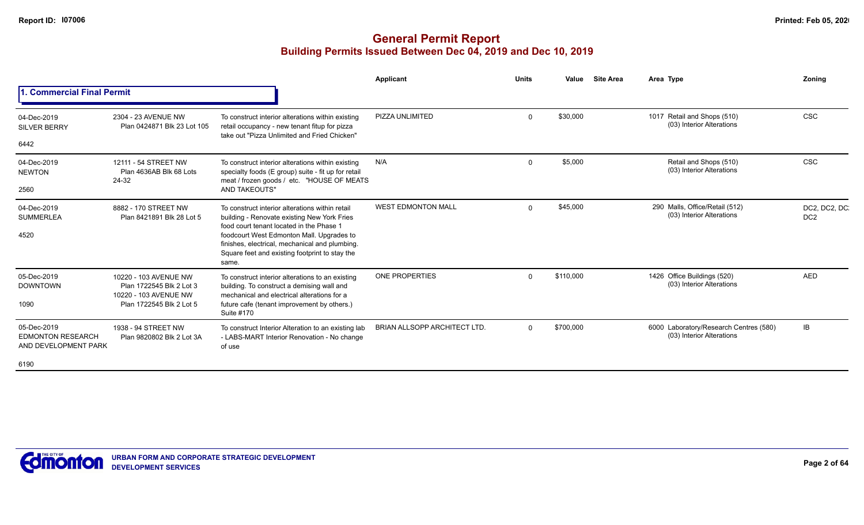|                                                                 |                                                                            |                                                                                                                                                        | <b>Applicant</b>                    | <b>Units</b> | Value     | <b>Site Area</b> | Area Type                                                           | Zonina                           |
|-----------------------------------------------------------------|----------------------------------------------------------------------------|--------------------------------------------------------------------------------------------------------------------------------------------------------|-------------------------------------|--------------|-----------|------------------|---------------------------------------------------------------------|----------------------------------|
| <b>Commercial Final Permit</b>                                  |                                                                            |                                                                                                                                                        |                                     |              |           |                  |                                                                     |                                  |
| 04-Dec-2019<br><b>SILVER BERRY</b>                              | 2304 - 23 AVENUE NW<br>Plan 0424871 Blk 23 Lot 105                         | To construct interior alterations within existing<br>retail occupancy - new tenant fitup for pizza<br>take out "Pizza Unlimited and Fried Chicken"     | PIZZA UNLIMITED                     | $\Omega$     | \$30,000  |                  | 1017 Retail and Shops (510)<br>(03) Interior Alterations            | <b>CSC</b>                       |
| 6442                                                            |                                                                            |                                                                                                                                                        |                                     |              |           |                  |                                                                     |                                  |
| 04-Dec-2019<br><b>NEWTON</b>                                    | 12111 - 54 STREET NW<br>Plan 4636AB Blk 68 Lots<br>24-32                   | To construct interior alterations within existing<br>specialty foods (E group) suite - fit up for retail<br>meat / frozen goods / etc. "HOUSE OF MEATS | N/A                                 | $\Omega$     | \$5,000   |                  | Retail and Shops (510)<br>(03) Interior Alterations                 | <b>CSC</b>                       |
| 2560                                                            |                                                                            | <b>AND TAKEOUTS"</b>                                                                                                                                   |                                     |              |           |                  |                                                                     |                                  |
| 04-Dec-2019<br><b>SUMMERLEA</b>                                 | 8882 - 170 STREET NW<br>Plan 8421891 Blk 28 Lot 5                          | To construct interior alterations within retail<br>building - Renovate existing New York Fries<br>food court tenant located in the Phase 1             | <b>WEST EDMONTON MALL</b>           | $\Omega$     | \$45,000  |                  | 290 Malls, Office/Retail (512)<br>(03) Interior Alterations         | DC2, DC2, DC.<br>DC <sub>2</sub> |
| 4520                                                            |                                                                            | foodcourt West Edmonton Mall. Upgrades to<br>finishes, electrical, mechanical and plumbing.<br>Square feet and existing footprint to stay the<br>same. |                                     |              |           |                  |                                                                     |                                  |
| 05-Dec-2019<br><b>DOWNTOWN</b>                                  | 10220 - 103 AVENUE NW<br>Plan 1722545 Blk 2 Lot 3<br>10220 - 103 AVENUE NW | To construct interior alterations to an existing<br>building. To construct a demising wall and<br>mechanical and electrical alterations for a          | <b>ONE PROPERTIES</b>               | $\Omega$     | \$110,000 |                  | 1426 Office Buildings (520)<br>(03) Interior Alterations            | <b>AED</b>                       |
| 1090                                                            | Plan 1722545 Blk 2 Lot 5                                                   | future cafe (tenant improvement by others.)<br>Suite #170                                                                                              |                                     |              |           |                  |                                                                     |                                  |
| 05-Dec-2019<br><b>EDMONTON RESEARCH</b><br>AND DEVELOPMENT PARK | 1938 - 94 STREET NW<br>Plan 9820802 Blk 2 Lot 3A                           | To construct Interior Alteration to an existing lab<br>- LABS-MART Interior Renovation - No change<br>of use                                           | <b>BRIAN ALLSOPP ARCHITECT LTD.</b> | $\Omega$     | \$700,000 |                  | 6000 Laboratory/Research Centres (580)<br>(03) Interior Alterations | IB                               |
| 6190                                                            |                                                                            |                                                                                                                                                        |                                     |              |           |                  |                                                                     |                                  |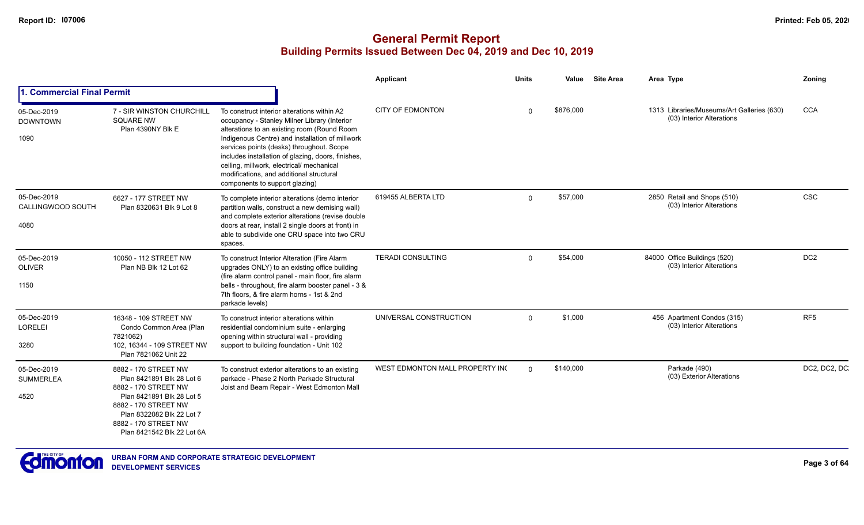|                                          |                                                                                                                                                                                                                   |                                                                                                                                                                                                                                                                                                                                                                                                                             | <b>Applicant</b>                | <b>Units</b> | Value     | <b>Site Area</b> | Area Type                                                               | Zoning          |
|------------------------------------------|-------------------------------------------------------------------------------------------------------------------------------------------------------------------------------------------------------------------|-----------------------------------------------------------------------------------------------------------------------------------------------------------------------------------------------------------------------------------------------------------------------------------------------------------------------------------------------------------------------------------------------------------------------------|---------------------------------|--------------|-----------|------------------|-------------------------------------------------------------------------|-----------------|
| 1. Commercial Final Permit               |                                                                                                                                                                                                                   |                                                                                                                                                                                                                                                                                                                                                                                                                             |                                 |              |           |                  |                                                                         |                 |
| 05-Dec-2019<br><b>DOWNTOWN</b><br>1090   | 7 - SIR WINSTON CHURCHILL<br><b>SQUARE NW</b><br>Plan 4390NY Blk E                                                                                                                                                | To construct interior alterations within A2<br>occupancy - Stanley Milner Library (Interior<br>alterations to an existing room (Round Room<br>Indigenous Centre) and installation of millwork<br>services points (desks) throughout. Scope<br>includes installation of glazing, doors, finishes,<br>ceiling, millwork, electrical/ mechanical<br>modifications, and additional structural<br>components to support glazing) | <b>CITY OF EDMONTON</b>         | $\Omega$     | \$876,000 |                  | 1313 Libraries/Museums/Art Galleries (630)<br>(03) Interior Alterations | <b>CCA</b>      |
| 05-Dec-2019<br>CALLINGWOOD SOUTH<br>4080 | 6627 - 177 STREET NW<br>Plan 8320631 Blk 9 Lot 8                                                                                                                                                                  | To complete interior alterations (demo interior<br>partition walls, construct a new demising wall)<br>and complete exterior alterations (revise double<br>doors at rear, install 2 single doors at front) in<br>able to subdivide one CRU space into two CRU<br>spaces.                                                                                                                                                     | 619455 ALBERTA LTD              | $\Omega$     | \$57,000  |                  | 2850 Retail and Shops (510)<br>(03) Interior Alterations                | <b>CSC</b>      |
| 05-Dec-2019<br><b>OLIVER</b><br>1150     | 10050 - 112 STREET NW<br>Plan NB Blk 12 Lot 62                                                                                                                                                                    | To construct Interior Alteration (Fire Alarm<br>upgrades ONLY) to an existing office building<br>(fire alarm control panel - main floor, fire alarm<br>bells - throughout, fire alarm booster panel - 3 &<br>7th floors. & fire alarm horns - 1st & 2nd<br>parkade levels)                                                                                                                                                  | <b>TERADI CONSULTING</b>        | $\Omega$     | \$54,000  |                  | 84000 Office Buildings (520)<br>(03) Interior Alterations               | DC <sub>2</sub> |
| 05-Dec-2019<br><b>LORELEI</b><br>3280    | 16348 - 109 STREET NW<br>Condo Common Area (Plan<br>7821062)<br>102, 16344 - 109 STREET NW<br>Plan 7821062 Unit 22                                                                                                | To construct interior alterations within<br>residential condominium suite - enlarging<br>opening within structural wall - providing<br>support to building foundation - Unit 102                                                                                                                                                                                                                                            | UNIVERSAL CONSTRUCTION          | $\Omega$     | \$1,000   |                  | 456 Apartment Condos (315)<br>(03) Interior Alterations                 | RF <sub>5</sub> |
| 05-Dec-2019<br><b>SUMMERLEA</b><br>4520  | 8882 - 170 STREET NW<br>Plan 8421891 Blk 28 Lot 6<br>8882 - 170 STREET NW<br>Plan 8421891 Blk 28 Lot 5<br>8882 - 170 STREET NW<br>Plan 8322082 Blk 22 Lot 7<br>8882 - 170 STREET NW<br>Plan 8421542 Blk 22 Lot 6A | To construct exterior alterations to an existing<br>parkade - Phase 2 North Parkade Structural<br>Joist and Beam Repair - West Edmonton Mall                                                                                                                                                                                                                                                                                | WEST EDMONTON MALL PROPERTY INC | $\Omega$     | \$140,000 |                  | Parkade (490)<br>(03) Exterior Alterations                              | DC2, DC2, DC    |

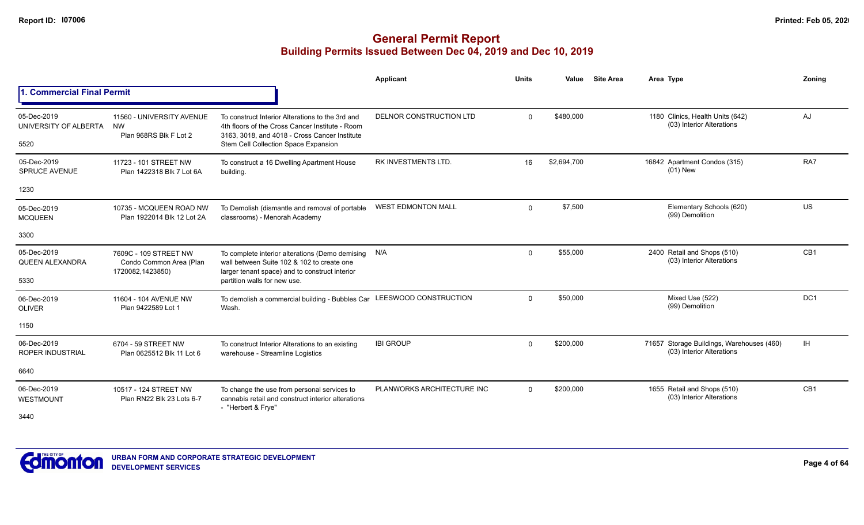|                                               |                                                                      |                                                                                                                                                                                              | <b>Applicant</b>           | <b>Units</b> | Value       | <b>Site Area</b> | Area Type                                                              | Zoning          |
|-----------------------------------------------|----------------------------------------------------------------------|----------------------------------------------------------------------------------------------------------------------------------------------------------------------------------------------|----------------------------|--------------|-------------|------------------|------------------------------------------------------------------------|-----------------|
| 1. Commercial Final Permit                    |                                                                      |                                                                                                                                                                                              |                            |              |             |                  |                                                                        |                 |
| 05-Dec-2019<br>UNIVERSITY OF ALBERTA<br>5520  | 11560 - UNIVERSITY AVENUE<br><b>NW</b><br>Plan 968RS Blk F Lot 2     | To construct Interior Alterations to the 3rd and<br>4th floors of the Cross Cancer Institute - Room<br>3163, 3018, and 4018 - Cross Cancer Institute<br>Stem Cell Collection Space Expansion | DELNOR CONSTRUCTION LTD    | $\Omega$     | \$480,000   |                  | 1180 Clinics, Health Units (642)<br>(03) Interior Alterations          | AJ              |
| 05-Dec-2019<br><b>SPRUCE AVENUE</b>           | 11723 - 101 STREET NW<br>Plan 1422318 Blk 7 Lot 6A                   | To construct a 16 Dwelling Apartment House<br>building.                                                                                                                                      | RK INVESTMENTS LTD.        | 16           | \$2,694,700 |                  | 16842 Apartment Condos (315)<br>$(01)$ New                             | RA7             |
| 1230                                          |                                                                      |                                                                                                                                                                                              |                            |              |             |                  |                                                                        |                 |
| 05-Dec-2019<br><b>MCQUEEN</b>                 | 10735 - MCQUEEN ROAD NW<br>Plan 1922014 Blk 12 Lot 2A                | To Demolish (dismantle and removal of portable<br>classrooms) - Menorah Academy                                                                                                              | <b>WEST EDMONTON MALL</b>  | $\mathbf{0}$ | \$7,500     |                  | Elementary Schools (620)<br>(99) Demolition                            | <b>US</b>       |
| 3300                                          |                                                                      |                                                                                                                                                                                              |                            |              |             |                  |                                                                        |                 |
| 05-Dec-2019<br><b>QUEEN ALEXANDRA</b><br>5330 | 7609C - 109 STREET NW<br>Condo Common Area (Plan<br>1720082,1423850) | To complete interior alterations (Demo demising<br>wall between Suite 102 & 102 to create one<br>larger tenant space) and to construct interior<br>partition walls for new use.              | N/A                        | $\mathbf 0$  | \$55,000    |                  | 2400 Retail and Shops (510)<br>(03) Interior Alterations               | CB <sub>1</sub> |
| 06-Dec-2019<br><b>OLIVER</b>                  | 11604 - 104 AVENUE NW<br>Plan 9422589 Lot 1                          | To demolish a commercial building - Bubbles Car LEESWOOD CONSTRUCTION<br>Wash.                                                                                                               |                            | $\Omega$     | \$50,000    |                  | Mixed Use (522)<br>(99) Demolition                                     | DC <sub>1</sub> |
| 1150                                          |                                                                      |                                                                                                                                                                                              |                            |              |             |                  |                                                                        |                 |
| 06-Dec-2019<br><b>ROPER INDUSTRIAL</b>        | 6704 - 59 STREET NW<br>Plan 0625512 Blk 11 Lot 6                     | To construct Interior Alterations to an existing<br>warehouse - Streamline Logistics                                                                                                         | <b>IBI GROUP</b>           | $\Omega$     | \$200,000   |                  | 71657 Storage Buildings, Warehouses (460)<br>(03) Interior Alterations | IH.             |
| 6640                                          |                                                                      |                                                                                                                                                                                              |                            |              |             |                  |                                                                        |                 |
| 06-Dec-2019<br>WESTMOUNT                      | 10517 - 124 STREET NW<br>Plan RN22 Blk 23 Lots 6-7                   | To change the use from personal services to<br>cannabis retail and construct interior alterations<br>- "Herbert & Frye"                                                                      | PLANWORKS ARCHITECTURE INC | $\Omega$     | \$200,000   |                  | 1655 Retail and Shops (510)<br>(03) Interior Alterations               | CB <sub>1</sub> |
| 3440                                          |                                                                      |                                                                                                                                                                                              |                            |              |             |                  |                                                                        |                 |

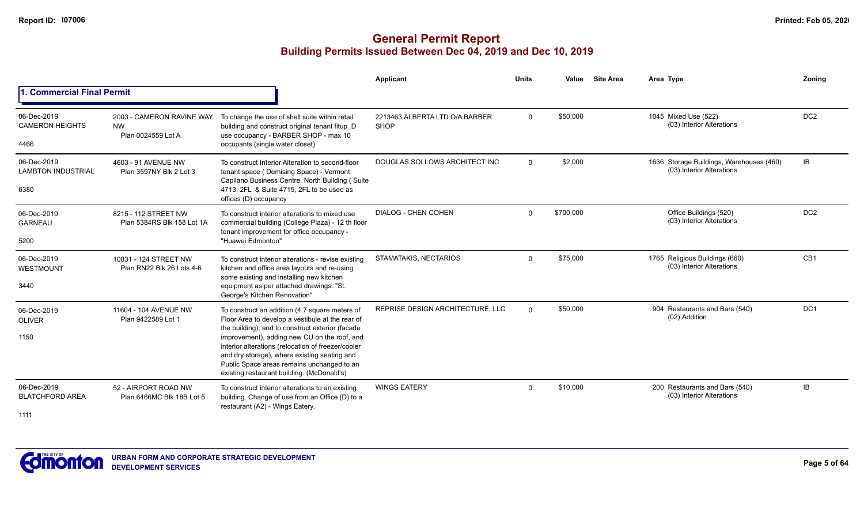|                                                  |                                                              |                                                                                                                                                                                                                                                                                                                                                                                                          | Applicant                                     | <b>Units</b> | Value     | <b>Site Area</b> | Area Type                                                             | Zoning          |
|--------------------------------------------------|--------------------------------------------------------------|----------------------------------------------------------------------------------------------------------------------------------------------------------------------------------------------------------------------------------------------------------------------------------------------------------------------------------------------------------------------------------------------------------|-----------------------------------------------|--------------|-----------|------------------|-----------------------------------------------------------------------|-----------------|
| <b>Commercial Final Permit</b>                   |                                                              |                                                                                                                                                                                                                                                                                                                                                                                                          |                                               |              |           |                  |                                                                       |                 |
| 06-Dec-2019<br><b>CAMERON HEIGHTS</b><br>4466    | 2003 - CAMERON RAVINE WAY<br><b>NW</b><br>Plan 0024559 Lot A | To change the use of shell suite within retail<br>building and construct original tenant fitup D<br>use occupancy - BARBER SHOP - max 10<br>occupants (single water closet)                                                                                                                                                                                                                              | 2213463 ALBERTA LTD O/A BARBER<br><b>SHOP</b> | $\Omega$     | \$50,000  |                  | 1045 Mixed Use (522)<br>(03) Interior Alterations                     | DC <sub>2</sub> |
| 06-Dec-2019<br><b>LAMBTON INDUSTRIAL</b><br>6380 | 4603 - 91 AVENUE NW<br>Plan 3597NY Blk 2 Lot 3               | To construct Interior Alteration to second-floor<br>tenant space (Demising Space) - Vermont<br>Capilano Business Centre, North Building (Suite<br>4713, 2FL & Suite 4715, 2FL to be used as<br>offices (D) occupancy                                                                                                                                                                                     | DOUGLAS SOLLOWS ARCHITECT INC.                | $\Omega$     | \$2,000   |                  | 1636 Storage Buildings, Warehouses (460)<br>(03) Interior Alterations | IB              |
| 06-Dec-2019<br><b>GARNEAU</b><br>5200            | 8215 - 112 STREET NW<br>Plan 5384RS Blk 158 Lot 1A           | To construct interior alterations to mixed use<br>commercial building (College Plaza) - 12 th floor<br>tenant improvement for office occupancy -<br>"Huawei Edmonton"                                                                                                                                                                                                                                    | DIALOG - CHEN COHEN                           | $\Omega$     | \$700,000 |                  | Office Buildings (520)<br>(03) Interior Alterations                   | DC <sub>2</sub> |
| 06-Dec-2019<br><b>WESTMOUNT</b><br>3440          | 10831 - 124 STREET NW<br>Plan RN22 Blk 26 Lots 4-6           | To construct interior alterations - revise existing<br>kitchen and office area layouts and re-using<br>some existing and installing new kitchen<br>equipment as per attached drawings. "St.<br>George's Kitchen Renovation"                                                                                                                                                                              | STAMATAKIS, NECTARIOS                         | $\Omega$     | \$75,000  |                  | 1765 Religious Buildings (660)<br>(03) Interior Alterations           | CB1             |
| 06-Dec-2019<br><b>OLIVER</b><br>1150             | 11604 - 104 AVENUE NW<br>Plan 9422589 Lot 1                  | To construct an addition (4.7 square meters of<br>Floor Area to develop a vestibule at the rear of<br>the building); and to construct exterior (facade<br>improvement), adding new CU on the roof, and<br>interior alterations (relocation of freezer/cooler<br>and dry storage), where existing seating and<br>Public Space areas remains unchanged to an<br>existing restaurant building. (McDonald's) | REPRISE DESIGN ARCHITECTURE, LLC              | $\Omega$     | \$50,000  |                  | 904 Restaurants and Bars (540)<br>(02) Addition                       | DC1             |
| 06-Dec-2019<br><b>BLATCHFORD AREA</b><br>1111    | 52 - AIRPORT ROAD NW<br>Plan 6466MC Blk 18B Lot 5            | To construct interior alterations to an existing<br>building. Change of use from an Office (D) to a<br>restaurant (A2) - Wings Eatery.                                                                                                                                                                                                                                                                   | <b>WINGS EATERY</b>                           | $\mathbf{0}$ | \$10,000  |                  | 200 Restaurants and Bars (540)<br>(03) Interior Alterations           | IB              |

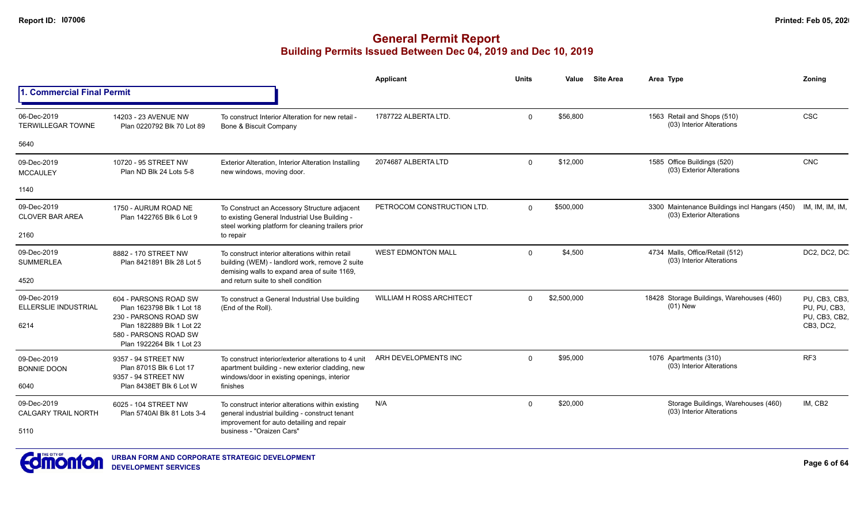|                                                    |                                                                                                                                                                |                                                                                                                                                                               | <b>Applicant</b>                | <b>Units</b> | Value       | <b>Site Area</b> | Area Type                                                                  | Zoning                                                      |
|----------------------------------------------------|----------------------------------------------------------------------------------------------------------------------------------------------------------------|-------------------------------------------------------------------------------------------------------------------------------------------------------------------------------|---------------------------------|--------------|-------------|------------------|----------------------------------------------------------------------------|-------------------------------------------------------------|
| 1. Commercial Final Permit                         |                                                                                                                                                                |                                                                                                                                                                               |                                 |              |             |                  |                                                                            |                                                             |
| 06-Dec-2019<br><b>TERWILLEGAR TOWNE</b>            | 14203 - 23 AVENUE NW<br>Plan 0220792 Blk 70 Lot 89                                                                                                             | To construct Interior Alteration for new retail -<br>Bone & Biscuit Company                                                                                                   | 1787722 ALBERTA LTD.            | $\Omega$     | \$56,800    |                  | 1563 Retail and Shops (510)<br>(03) Interior Alterations                   | <b>CSC</b>                                                  |
| 5640                                               |                                                                                                                                                                |                                                                                                                                                                               |                                 |              |             |                  |                                                                            |                                                             |
| 09-Dec-2019<br><b>MCCAULEY</b>                     | 10720 - 95 STREET NW<br>Plan ND Blk 24 Lots 5-8                                                                                                                | Exterior Alteration, Interior Alteration Installing<br>new windows, moving door.                                                                                              | 2074687 ALBERTA LTD             | $\Omega$     | \$12,000    |                  | 1585 Office Buildings (520)<br>(03) Exterior Alterations                   | <b>CNC</b>                                                  |
| 1140                                               |                                                                                                                                                                |                                                                                                                                                                               |                                 |              |             |                  |                                                                            |                                                             |
| 09-Dec-2019<br><b>CLOVER BAR AREA</b>              | 1750 - AURUM ROAD NE<br>Plan 1422765 Blk 6 Lot 9                                                                                                               | To Construct an Accessory Structure adjacent<br>to existing General Industrial Use Building -<br>steel working platform for cleaning trailers prior                           | PETROCOM CONSTRUCTION LTD.      | $\Omega$     | \$500,000   |                  | 3300 Maintenance Buildings incl Hangars (450)<br>(03) Exterior Alterations | IM, IM, IM, IM,                                             |
| 2160                                               |                                                                                                                                                                | to repair                                                                                                                                                                     |                                 |              |             |                  |                                                                            |                                                             |
| 09-Dec-2019<br><b>SUMMERLEA</b>                    | 8882 - 170 STREET NW<br>Plan 8421891 Blk 28 Lot 5                                                                                                              | To construct interior alterations within retail<br>building (WEM) - landlord work, remove 2 suite<br>demising walls to expand area of suite 1169,                             | <b>WEST EDMONTON MALL</b>       | $\Omega$     | \$4,500     |                  | 4734 Malls, Office/Retail (512)<br>(03) Interior Alterations               | DC2, DC2, DC                                                |
| 4520                                               |                                                                                                                                                                | and return suite to shell condition                                                                                                                                           |                                 |              |             |                  |                                                                            |                                                             |
| 09-Dec-2019<br><b>ELLERSLIE INDUSTRIAL</b><br>6214 | 604 - PARSONS ROAD SW<br>Plan 1623798 Blk 1 Lot 18<br>230 - PARSONS ROAD SW<br>Plan 1822889 Blk 1 Lot 22<br>580 - PARSONS ROAD SW<br>Plan 1922264 Blk 1 Lot 23 | To construct a General Industrial Use building<br>(End of the Roll).                                                                                                          | <b>WILLIAM H ROSS ARCHITECT</b> | $\Omega$     | \$2,500,000 |                  | 18428 Storage Buildings, Warehouses (460)<br>$(01)$ New                    | PU, CB3, CB3,<br>PU, PU, CB3,<br>PU, CB3, CB2,<br>CB3, DC2, |
| 09-Dec-2019<br><b>BONNIE DOON</b><br>6040          | 9357 - 94 STREET NW<br>Plan 8701S Blk 6 Lot 17<br>9357 - 94 STREET NW<br>Plan 8438ET Blk 6 Lot W                                                               | To construct interior/exterior alterations to 4 unit<br>apartment building - new exterior cladding, new<br>windows/door in existing openings, interior<br>finishes            | ARH DEVELOPMENTS INC            | $\Omega$     | \$95,000    |                  | 1076 Apartments (310)<br>(03) Interior Alterations                         | RF <sub>3</sub>                                             |
| 09-Dec-2019<br><b>CALGARY TRAIL NORTH</b><br>5110  | 6025 - 104 STREET NW<br>Plan 5740AI Blk 81 Lots 3-4                                                                                                            | To construct interior alterations within existing<br>general industrial building - construct tenant<br>improvement for auto detailing and repair<br>business - "Oraizen Cars" | N/A                             | $\Omega$     | \$20,000    |                  | Storage Buildings, Warehouses (460)<br>(03) Interior Alterations           | IM, CB2                                                     |

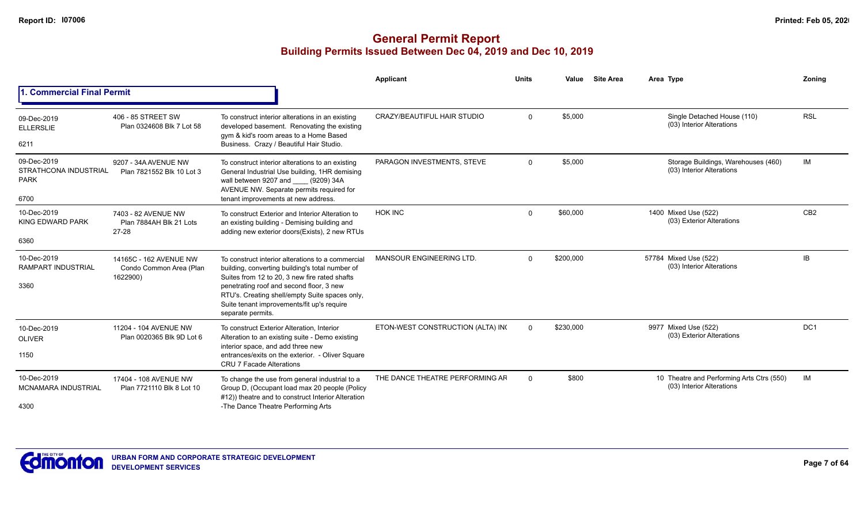|                                                                    |                                                               |                                                                                                                                                                                                                                                                                                                        | Applicant                         | <b>Units</b> | Value     | <b>Site Area</b> | Area Type                                                              | Zoning          |
|--------------------------------------------------------------------|---------------------------------------------------------------|------------------------------------------------------------------------------------------------------------------------------------------------------------------------------------------------------------------------------------------------------------------------------------------------------------------------|-----------------------------------|--------------|-----------|------------------|------------------------------------------------------------------------|-----------------|
| 1. Commercial Final Permit                                         |                                                               |                                                                                                                                                                                                                                                                                                                        |                                   |              |           |                  |                                                                        |                 |
| 09-Dec-2019<br><b>ELLERSLIE</b><br>6211                            | 406 - 85 STREET SW<br>Plan 0324608 Blk 7 Lot 58               | To construct interior alterations in an existing<br>developed basement. Renovating the existing<br>gym & kid's room areas to a Home Based<br>Business. Crazy / Beautiful Hair Studio.                                                                                                                                  | CRAZY/BEAUTIFUL HAIR STUDIO       | $\Omega$     | \$5,000   |                  | Single Detached House (110)<br>(03) Interior Alterations               | <b>RSL</b>      |
| 09-Dec-2019<br><b>STRATHCONA INDUSTRIAL</b><br><b>PARK</b><br>6700 | 9207 - 34A AVENUE NW<br>Plan 7821552 Blk 10 Lot 3             | To construct interior alterations to an existing<br>General Industrial Use building, 1HR demising<br>wall between 9207 and (9209) 34A<br>AVENUE NW. Separate permits required for<br>tenant improvements at new address.                                                                                               | PARAGON INVESTMENTS, STEVE        | $\Omega$     | \$5,000   |                  | Storage Buildings, Warehouses (460)<br>(03) Interior Alterations       | IM              |
| 10-Dec-2019<br><b>KING EDWARD PARK</b><br>6360                     | 7403 - 82 AVENUE NW<br>Plan 7884AH Blk 21 Lots<br>27-28       | To construct Exterior and Interior Alteration to<br>an existing building - Demising building and<br>adding new exterior doors(Exists), 2 new RTUs                                                                                                                                                                      | <b>HOK INC</b>                    | $\mathbf 0$  | \$60,000  |                  | 1400 Mixed Use (522)<br>(03) Exterior Alterations                      | CB <sub>2</sub> |
| 10-Dec-2019<br><b>RAMPART INDUSTRIAL</b><br>3360                   | 14165C - 162 AVENUE NW<br>Condo Common Area (Plan<br>1622900) | To construct interior alterations to a commercial<br>building, converting building's total number of<br>Suites from 12 to 20, 3 new fire rated shafts<br>penetrating roof and second floor, 3 new<br>RTU's. Creating shell/empty Suite spaces only,<br>Suite tenant improvements/fit up's require<br>separate permits. | <b>MANSOUR ENGINEERING LTD.</b>   | $\Omega$     | \$200,000 |                  | 57784 Mixed Use (522)<br>(03) Interior Alterations                     | IB              |
| 10-Dec-2019<br><b>OLIVER</b><br>1150                               | 11204 - 104 AVENUE NW<br>Plan 0020365 Blk 9D Lot 6            | To construct Exterior Alteration, Interior<br>Alteration to an existing suite - Demo existing<br>interior space, and add three new<br>entrances/exits on the exterior. - Oliver Square<br><b>CRU 7 Facade Alterations</b>                                                                                              | ETON-WEST CONSTRUCTION (ALTA) INC | $\Omega$     | \$230,000 |                  | 9977 Mixed Use (522)<br>(03) Exterior Alterations                      | DC <sub>1</sub> |
| 10-Dec-2019<br><b>MCNAMARA INDUSTRIAL</b><br>4300                  | 17404 - 108 AVENUE NW<br>Plan 7721110 Blk 8 Lot 10            | To change the use from general industrial to a<br>Group D, (Occupant load max 20 people (Policy<br>#12)) theatre and to construct Interior Alteration<br>-The Dance Theatre Performing Arts                                                                                                                            | THE DANCE THEATRE PERFORMING AR   | $\Omega$     | \$800     |                  | 10 Theatre and Performing Arts Ctrs (550)<br>(03) Interior Alterations | IM              |

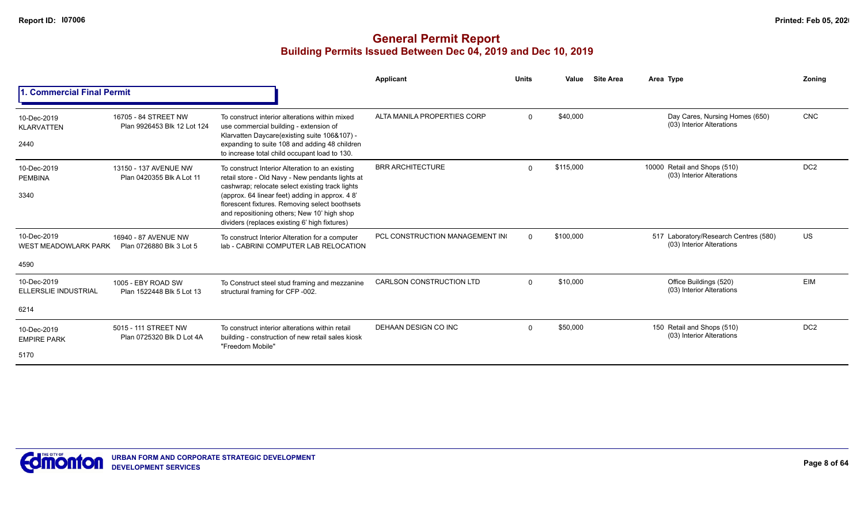|                                                    |                                                     |                                                                                                                                                                                                                                                                                                                                                            | Applicant                       | <b>Units</b> | Value     | <b>Site Area</b> | Area Type                                                          | Zonina          |
|----------------------------------------------------|-----------------------------------------------------|------------------------------------------------------------------------------------------------------------------------------------------------------------------------------------------------------------------------------------------------------------------------------------------------------------------------------------------------------------|---------------------------------|--------------|-----------|------------------|--------------------------------------------------------------------|-----------------|
| <b>Commercial Final Permit</b>                     |                                                     |                                                                                                                                                                                                                                                                                                                                                            |                                 |              |           |                  |                                                                    |                 |
| 10-Dec-2019<br><b>KLARVATTEN</b><br>2440           | 16705 - 84 STREET NW<br>Plan 9926453 Blk 12 Lot 124 | To construct interior alterations within mixed<br>use commercial building - extension of<br>Klarvatten Daycare(existing suite 106&107) -<br>expanding to suite 108 and adding 48 children<br>to increase total child occupant load to 130.                                                                                                                 | ALTA MANILA PROPERTIES CORP     | $\Omega$     | \$40,000  |                  | Day Cares, Nursing Homes (650)<br>(03) Interior Alterations        | <b>CNC</b>      |
| 10-Dec-2019<br><b>PEMBINA</b><br>3340              | 13150 - 137 AVENUE NW<br>Plan 0420355 Blk A Lot 11  | To construct Interior Alteration to an existing<br>retail store - Old Navy - New pendants lights at<br>cashwrap; relocate select existing track lights<br>(approx. 64 linear feet) adding in approx. 48'<br>florescent fixtures. Removing select boothsets<br>and repositioning others; New 10' high shop<br>dividers (replaces existing 6' high fixtures) | <b>BRR ARCHITECTURE</b>         | $\Omega$     | \$115,000 |                  | 10000 Retail and Shops (510)<br>(03) Interior Alterations          | DC <sub>2</sub> |
| 10-Dec-2019<br><b>WEST MEADOWLARK PARK</b><br>4590 | 16940 - 87 AVENUE NW<br>Plan 0726880 Blk 3 Lot 5    | To construct Interior Alteration for a computer<br>lab - CABRINI COMPUTER LAB RELOCATION                                                                                                                                                                                                                                                                   | PCL CONSTRUCTION MANAGEMENT IN  | $\Omega$     | \$100,000 |                  | 517 Laboratory/Research Centres (580)<br>(03) Interior Alterations | US              |
| 10-Dec-2019<br><b>ELLERSLIE INDUSTRIAL</b><br>6214 | 1005 - EBY ROAD SW<br>Plan 1522448 Blk 5 Lot 13     | To Construct steel stud framing and mezzanine<br>structural framing for CFP -002.                                                                                                                                                                                                                                                                          | <b>CARLSON CONSTRUCTION LTD</b> | $\mathbf 0$  | \$10,000  |                  | Office Buildings (520)<br>(03) Interior Alterations                | <b>EIM</b>      |
| 10-Dec-2019<br><b>EMPIRE PARK</b><br>5170          | 5015 - 111 STREET NW<br>Plan 0725320 Blk D Lot 4A   | To construct interior alterations within retail<br>building - construction of new retail sales kiosk<br>"Freedom Mobile"                                                                                                                                                                                                                                   | DEHAAN DESIGN CO INC            | $\Omega$     | \$50,000  |                  | 150 Retail and Shops (510)<br>(03) Interior Alterations            | DC <sub>2</sub> |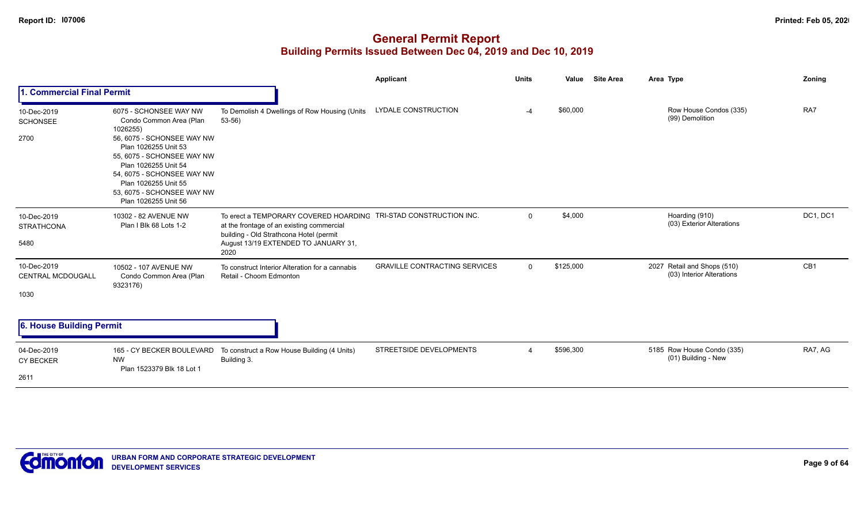|                                                 |                                                                                                                                                                                                                                                                                       |                                                                                                                                                                               | Applicant                            | <b>Units</b> | Value     | <b>Site Area</b> | Area Type                                                | Zoning          |
|-------------------------------------------------|---------------------------------------------------------------------------------------------------------------------------------------------------------------------------------------------------------------------------------------------------------------------------------------|-------------------------------------------------------------------------------------------------------------------------------------------------------------------------------|--------------------------------------|--------------|-----------|------------------|----------------------------------------------------------|-----------------|
| 1. Commercial Final Permit                      |                                                                                                                                                                                                                                                                                       |                                                                                                                                                                               |                                      |              |           |                  |                                                          |                 |
| 10-Dec-2019<br><b>SCHONSEE</b><br>2700          | 6075 - SCHONSEE WAY NW<br>Condo Common Area (Plan<br>1026255)<br>56, 6075 - SCHONSEE WAY NW<br>Plan 1026255 Unit 53<br>55, 6075 - SCHONSEE WAY NW<br>Plan 1026255 Unit 54<br>54, 6075 - SCHONSEE WAY NW<br>Plan 1026255 Unit 55<br>53, 6075 - SCHONSEE WAY NW<br>Plan 1026255 Unit 56 | To Demolish 4 Dwellings of Row Housing (Units<br>$53-56$ )                                                                                                                    | LYDALE CONSTRUCTION                  | $-4$         | \$60,000  |                  | Row House Condos (335)<br>(99) Demolition                | RA7             |
| 10-Dec-2019<br><b>STRATHCONA</b><br>5480        | 10302 - 82 AVENUE NW<br>Plan I Blk 68 Lots 1-2                                                                                                                                                                                                                                        | To erect a TEMPORARY COVERED HOARDING<br>at the frontage of an existing commercial<br>building - Old Strathcona Hotel (permit<br>August 13/19 EXTENDED TO JANUARY 31,<br>2020 | TRI-STAD CONSTRUCTION INC.           | $\mathbf 0$  | \$4,000   |                  | Hoarding (910)<br>(03) Exterior Alterations              | DC1, DC1        |
| 10-Dec-2019<br><b>CENTRAL MCDOUGALL</b><br>1030 | 10502 - 107 AVENUE NW<br>Condo Common Area (Plan<br>9323176)                                                                                                                                                                                                                          | To construct Interior Alteration for a cannabis<br>Retail - Choom Edmonton                                                                                                    | <b>GRAVILLE CONTRACTING SERVICES</b> | $\Omega$     | \$125,000 |                  | 2027 Retail and Shops (510)<br>(03) Interior Alterations | CB <sub>1</sub> |
| 6. House Building Permit                        |                                                                                                                                                                                                                                                                                       |                                                                                                                                                                               |                                      |              |           |                  |                                                          |                 |
| 04-Dec-2019<br><b>CY BECKER</b>                 | 165 - CY BECKER BOULEVARD<br><b>NW</b><br>Plan 1523379 Blk 18 Lot 1                                                                                                                                                                                                                   | To construct a Row House Building (4 Units)<br>Building 3.                                                                                                                    | STREETSIDE DEVELOPMENTS              |              | \$596,300 |                  | 5185 Row House Condo (335)<br>(01) Building - New        | RA7, AG         |
| 2611                                            |                                                                                                                                                                                                                                                                                       |                                                                                                                                                                               |                                      |              |           |                  |                                                          |                 |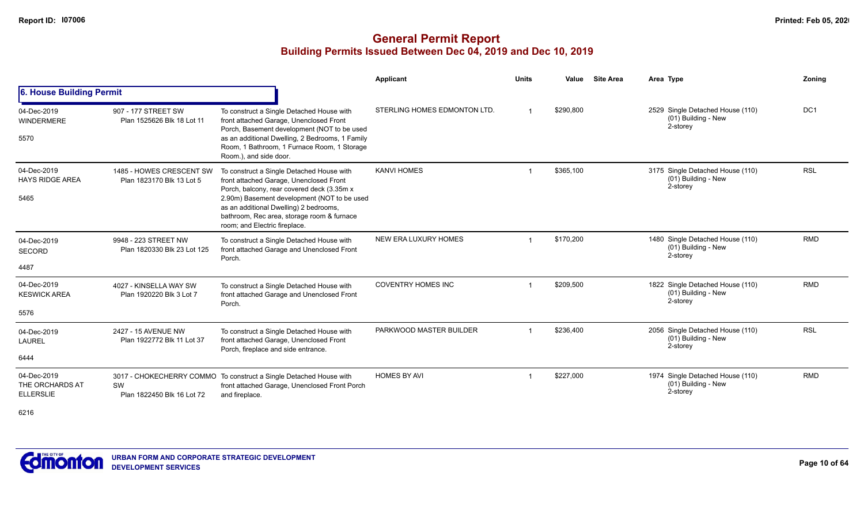#### **General Permit Report Building Permits Issued Between Dec 04, 2019 and Dec 10, 2019**

|                                                    |                                                       |                                                                                                                                                                                                                                                                                                            | Applicant                    | <b>Units</b> | Value     | <b>Site Area</b> | Area Type                                                           | Zoning          |
|----------------------------------------------------|-------------------------------------------------------|------------------------------------------------------------------------------------------------------------------------------------------------------------------------------------------------------------------------------------------------------------------------------------------------------------|------------------------------|--------------|-----------|------------------|---------------------------------------------------------------------|-----------------|
| 6. House Building Permit                           |                                                       |                                                                                                                                                                                                                                                                                                            |                              |              |           |                  |                                                                     |                 |
| 04-Dec-2019<br><b>WINDERMERE</b><br>5570           | 907 - 177 STREET SW<br>Plan 1525626 Blk 18 Lot 11     | To construct a Single Detached House with<br>front attached Garage, Unenclosed Front<br>Porch, Basement development (NOT to be used<br>as an additional Dwelling, 2 Bedrooms, 1 Family<br>Room, 1 Bathroom, 1 Furnace Room, 1 Storage<br>Room.), and side door.                                            | STERLING HOMES EDMONTON LTD. |              | \$290,800 |                  | 2529 Single Detached House (110)<br>(01) Building - New<br>2-storey | DC <sub>1</sub> |
| 04-Dec-2019<br><b>HAYS RIDGE AREA</b><br>5465      | 1485 - HOWES CRESCENT SW<br>Plan 1823170 Blk 13 Lot 5 | To construct a Single Detached House with<br>front attached Garage, Unenclosed Front<br>Porch, balcony, rear covered deck (3.35m x<br>2.90m) Basement development (NOT to be used<br>as an additional Dwelling) 2 bedrooms,<br>bathroom, Rec area, storage room & furnace<br>room; and Electric fireplace. | <b>KANVI HOMES</b>           |              | \$365,100 |                  | 3175 Single Detached House (110)<br>(01) Building - New<br>2-storey | <b>RSL</b>      |
| 04-Dec-2019<br>SECORD<br>4487                      | 9948 - 223 STREET NW<br>Plan 1820330 Blk 23 Lot 125   | To construct a Single Detached House with<br>front attached Garage and Unenclosed Front<br>Porch.                                                                                                                                                                                                          | NEW ERA LUXURY HOMES         |              | \$170,200 |                  | 1480 Single Detached House (110)<br>(01) Building - New<br>2-storey | <b>RMD</b>      |
| 04-Dec-2019<br><b>KESWICK AREA</b><br>5576         | 4027 - KINSELLA WAY SW<br>Plan 1920220 Blk 3 Lot 7    | To construct a Single Detached House with<br>front attached Garage and Unenclosed Front<br>Porch.                                                                                                                                                                                                          | <b>COVENTRY HOMES INC</b>    |              | \$209,500 |                  | 1822 Single Detached House (110)<br>(01) Building - New<br>2-storey | <b>RMD</b>      |
| 04-Dec-2019<br><b>LAUREL</b><br>6444               | 2427 - 15 AVENUE NW<br>Plan 1922772 Blk 11 Lot 37     | To construct a Single Detached House with<br>front attached Garage, Unenclosed Front<br>Porch, fireplace and side entrance.                                                                                                                                                                                | PARKWOOD MASTER BUILDER      |              | \$236,400 |                  | 2056 Single Detached House (110)<br>(01) Building - New<br>2-storey | <b>RSL</b>      |
| 04-Dec-2019<br>THE ORCHARDS AT<br><b>ELLERSLIE</b> | SW<br>Plan 1822450 Blk 16 Lot 72                      | 3017 - CHOKECHERRY COMMO To construct a Single Detached House with<br>front attached Garage, Unenclosed Front Porch<br>and fireplace.                                                                                                                                                                      | <b>HOMES BY AVI</b>          |              | \$227,000 |                  | 1974 Single Detached House (110)<br>(01) Building - New<br>2-storey | <b>RMD</b>      |

6216

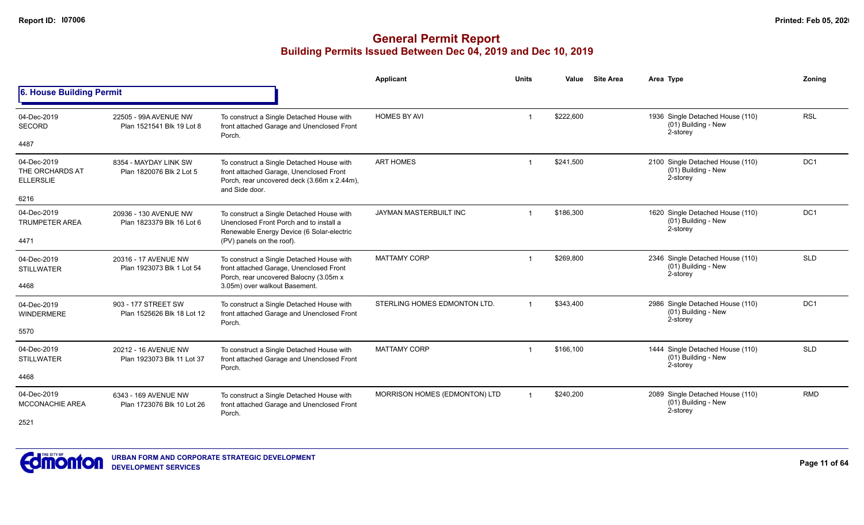|                                                    |                                                    |                                                                                                                                                       | <b>Applicant</b>              | <b>Units</b> | Value     | <b>Site Area</b> | Area Type                                                             | Zoning          |
|----------------------------------------------------|----------------------------------------------------|-------------------------------------------------------------------------------------------------------------------------------------------------------|-------------------------------|--------------|-----------|------------------|-----------------------------------------------------------------------|-----------------|
| 6. House Building Permit                           |                                                    |                                                                                                                                                       |                               |              |           |                  |                                                                       |                 |
| 04-Dec-2019<br>SECORD                              | 22505 - 99A AVENUE NW<br>Plan 1521541 Blk 19 Lot 8 | To construct a Single Detached House with<br>front attached Garage and Unenclosed Front<br>Porch.                                                     | <b>HOMES BY AVI</b>           |              | \$222,600 |                  | 1936 Single Detached House (110)<br>(01) Building - New<br>2-storey   | <b>RSL</b>      |
| 4487                                               |                                                    |                                                                                                                                                       |                               |              |           |                  |                                                                       |                 |
| 04-Dec-2019<br>THE ORCHARDS AT<br><b>ELLERSLIE</b> | 8354 - MAYDAY LINK SW<br>Plan 1820076 Blk 2 Lot 5  | To construct a Single Detached House with<br>front attached Garage, Unenclosed Front<br>Porch, rear uncovered deck (3.66m x 2.44m),<br>and Side door. | <b>ART HOMES</b>              |              | \$241,500 |                  | 2100 Single Detached House (110)<br>(01) Building - New<br>2-storey   | DC1             |
| 6216                                               |                                                    |                                                                                                                                                       |                               |              |           |                  |                                                                       |                 |
| 04-Dec-2019<br><b>TRUMPETER AREA</b>               | 20936 - 130 AVENUE NW<br>Plan 1823379 Blk 16 Lot 6 | To construct a Single Detached House with<br>Unenclosed Front Porch and to install a<br>Renewable Energy Device (6 Solar-electric                     | <b>JAYMAN MASTERBUILT INC</b> |              | \$186.300 |                  | 1620 Single Detached House (110)<br>(01) Building - New<br>2-storey   | DC <sub>1</sub> |
| 4471                                               |                                                    | (PV) panels on the roof).                                                                                                                             |                               |              |           |                  |                                                                       |                 |
| 04-Dec-2019<br><b>STILLWATER</b>                   | 20316 - 17 AVENUE NW<br>Plan 1923073 Blk 1 Lot 54  | To construct a Single Detached House with<br>front attached Garage, Unenclosed Front<br>Porch, rear uncovered Balocny (3.05m x                        | <b>MATTAMY CORP</b>           |              | \$269,800 |                  | 2346 Single Detached House (110)<br>(01) Building - New<br>2-storey   | <b>SLD</b>      |
| 4468                                               |                                                    | 3.05m) over walkout Basement.                                                                                                                         |                               |              |           |                  |                                                                       |                 |
| 04-Dec-2019<br><b>WINDERMERE</b>                   | 903 - 177 STREET SW<br>Plan 1525626 Blk 18 Lot 12  | To construct a Single Detached House with<br>front attached Garage and Unenclosed Front<br>Porch.                                                     | STERLING HOMES EDMONTON LTD.  |              | \$343,400 |                  | 2986 Single Detached House (110)<br>$(01)$ Building - New<br>2-storey | DC1             |
| 5570                                               |                                                    |                                                                                                                                                       |                               |              |           |                  |                                                                       |                 |
| 04-Dec-2019<br><b>STILLWATER</b>                   | 20212 - 16 AVENUE NW<br>Plan 1923073 Blk 11 Lot 37 | To construct a Single Detached House with<br>front attached Garage and Unenclosed Front<br>Porch.                                                     | <b>MATTAMY CORP</b>           |              | \$166,100 |                  | 1444 Single Detached House (110)<br>$(01)$ Building - New<br>2-storey | <b>SLD</b>      |
| 4468                                               |                                                    |                                                                                                                                                       |                               |              |           |                  |                                                                       |                 |
| 04-Dec-2019<br>MCCONACHIE AREA                     | 6343 - 169 AVENUE NW<br>Plan 1723076 Blk 10 Lot 26 | To construct a Single Detached House with<br>front attached Garage and Unenclosed Front<br>Porch.                                                     | MORRISON HOMES (EDMONTON) LTD |              | \$240,200 |                  | 2089 Single Detached House (110)<br>(01) Building - New<br>2-storey   | <b>RMD</b>      |
| 2521                                               |                                                    |                                                                                                                                                       |                               |              |           |                  |                                                                       |                 |

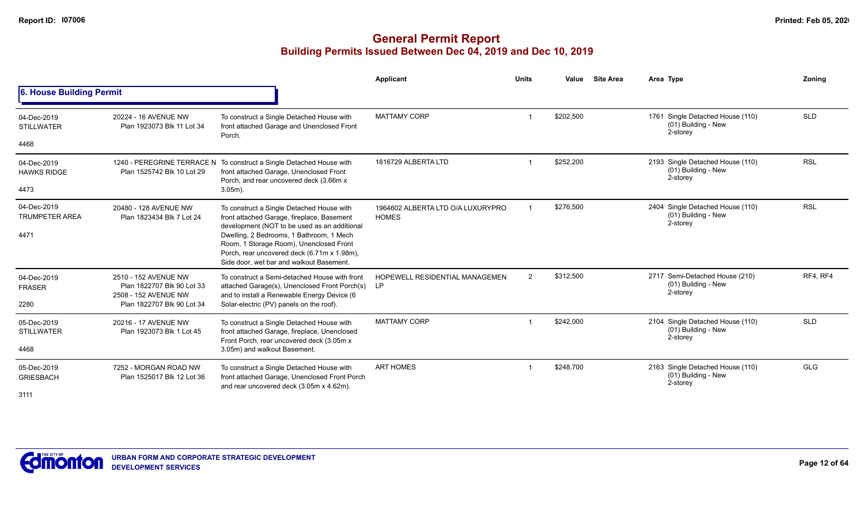|                                      |                                                                            |                                                                                                                                                                                | <b>Applicant</b>                                   | <b>Units</b>   | Value     | <b>Site Area</b> | Area Type                                                             | Zoning     |
|--------------------------------------|----------------------------------------------------------------------------|--------------------------------------------------------------------------------------------------------------------------------------------------------------------------------|----------------------------------------------------|----------------|-----------|------------------|-----------------------------------------------------------------------|------------|
| 6. House Building Permit             |                                                                            |                                                                                                                                                                                |                                                    |                |           |                  |                                                                       |            |
| 04-Dec-2019<br><b>STILLWATER</b>     | 20224 - 16 AVENUE NW<br>Plan 1923073 Blk 11 Lot 34                         | To construct a Single Detached House with<br>front attached Garage and Unenclosed Front<br>Porch.                                                                              | <b>MATTAMY CORP</b>                                |                | \$202,500 |                  | 1761 Single Detached House (110)<br>(01) Building - New<br>2-storey   | <b>SLD</b> |
| 4468                                 |                                                                            |                                                                                                                                                                                |                                                    |                |           |                  |                                                                       |            |
| 04-Dec-2019<br><b>HAWKS RIDGE</b>    | Plan 1525742 Blk 10 Lot 29                                                 | 1240 - PEREGRINE TERRACE N To construct a Single Detached House with<br>front attached Garage, Unenclosed Front<br>Porch, and rear uncovered deck (3.66m x)                    | 1816729 ALBERTA LTD                                |                | \$252,200 |                  | 2193 Single Detached House (110)<br>(01) Building - New<br>2-storey   | <b>RSL</b> |
| 4473                                 |                                                                            | $3.05m$ ).                                                                                                                                                                     |                                                    |                |           |                  |                                                                       |            |
| 04-Dec-2019<br><b>TRUMPETER AREA</b> | 20480 - 128 AVENUE NW<br>Plan 1823434 Blk 7 Lot 24                         | To construct a Single Detached House with<br>front attached Garage, fireplace, Basement<br>development (NOT to be used as an additional                                        | 1964602 ALBERTA LTD O/A LUXURYPRO<br><b>HOMES</b>  |                | \$276,500 |                  | 2404 Single Detached House (110)<br>(01) Building - New<br>2-storey   | <b>RSL</b> |
| 4471                                 |                                                                            | Dwelling, 2 Bedrooms, 1 Bathroom, 1 Mech<br>Room, 1 Storage Room), Unenclosed Front<br>Porch, rear uncovered deck (6.71m x 1.98m),<br>Side door, wet bar and walkout Basement. |                                                    |                |           |                  |                                                                       |            |
| 04-Dec-2019<br><b>FRASER</b>         | 2510 - 152 AVENUE NW<br>Plan 1822707 Blk 90 Lot 33<br>2508 - 152 AVENUE NW | To construct a Semi-detached House with front<br>attached Garage(s), Unenclosed Front Porch(s)<br>and to install a Renewable Energy Device (6                                  | <b>HOPEWELL RESIDENTIAL MANAGEMEN</b><br><b>LP</b> | $\overline{2}$ | \$312,500 |                  | 2717 Semi-Detached House (210)<br>(01) Building - New<br>2-storey     | RF4, RF4   |
| 2280                                 | Plan 1822707 Blk 90 Lot 34                                                 | Solar-electric (PV) panels on the roof).                                                                                                                                       |                                                    |                |           |                  |                                                                       |            |
| 05-Dec-2019<br><b>STILLWATER</b>     | 20216 - 17 AVENUE NW<br>Plan 1923073 Blk 1 Lot 45                          | To construct a Single Detached House with<br>front attached Garage, fireplace, Unenclosed<br>Front Porch, rear uncovered deck (3.05m x                                         | <b>MATTAMY CORP</b>                                |                | \$242,000 |                  | 2104 Single Detached House (110)<br>$(01)$ Building - New<br>2-storey | <b>SLD</b> |
| 4468                                 |                                                                            | 3.05m) and walkout Basement.                                                                                                                                                   |                                                    |                |           |                  |                                                                       |            |
| 05-Dec-2019<br><b>GRIESBACH</b>      | 7252 - MORGAN ROAD NW<br>Plan 1525017 Blk 12 Lot 36                        | To construct a Single Detached House with<br>front attached Garage, Unenclosed Front Porch<br>and rear uncovered deck (3.05m x 4.62m).                                         | <b>ART HOMES</b>                                   |                | \$248,700 |                  | 2163 Single Detached House (110)<br>(01) Building - New<br>2-storey   | <b>GLG</b> |
| 3111                                 |                                                                            |                                                                                                                                                                                |                                                    |                |           |                  |                                                                       |            |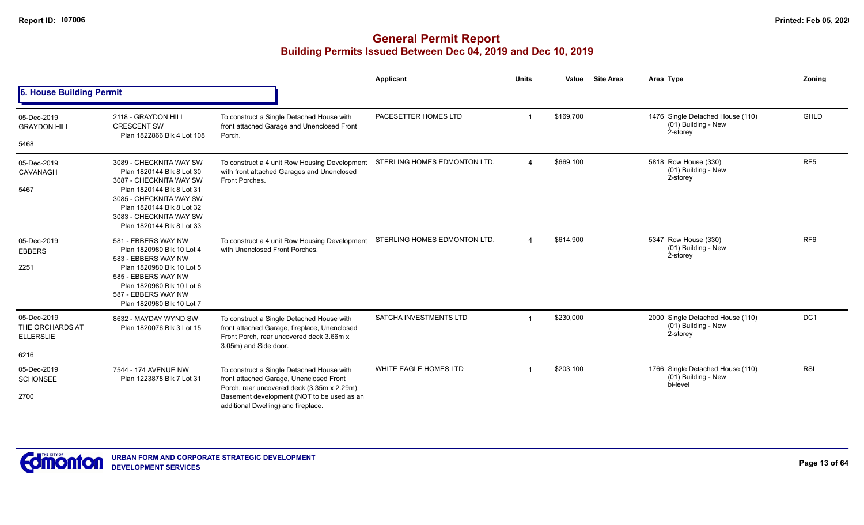|                                                            |                                                                                                                                                                                                                              |                                                                                                                                                                                                                          | <b>Applicant</b>              | <b>Units</b>           | Value     | <b>Site Area</b> | Area Type                                                           | Zoning          |
|------------------------------------------------------------|------------------------------------------------------------------------------------------------------------------------------------------------------------------------------------------------------------------------------|--------------------------------------------------------------------------------------------------------------------------------------------------------------------------------------------------------------------------|-------------------------------|------------------------|-----------|------------------|---------------------------------------------------------------------|-----------------|
| 6. House Building Permit                                   |                                                                                                                                                                                                                              |                                                                                                                                                                                                                          |                               |                        |           |                  |                                                                     |                 |
| 05-Dec-2019<br><b>GRAYDON HILL</b>                         | 2118 - GRAYDON HILL<br><b>CRESCENT SW</b><br>Plan 1822866 Blk 4 Lot 108                                                                                                                                                      | To construct a Single Detached House with<br>front attached Garage and Unenclosed Front<br>Porch.                                                                                                                        | PACESETTER HOMES LTD          |                        | \$169,700 |                  | 1476 Single Detached House (110)<br>(01) Building - New<br>2-storey | <b>GHLD</b>     |
| 5468                                                       |                                                                                                                                                                                                                              |                                                                                                                                                                                                                          |                               |                        |           |                  |                                                                     |                 |
| 05-Dec-2019<br>CAVANAGH<br>5467                            | 3089 - CHECKNITA WAY SW<br>Plan 1820144 Blk 8 Lot 30<br>3087 - CHECKNITA WAY SW<br>Plan 1820144 Blk 8 Lot 31<br>3085 - CHECKNITA WAY SW<br>Plan 1820144 Blk 8 Lot 32<br>3083 - CHECKNITA WAY SW<br>Plan 1820144 Blk 8 Lot 33 | To construct a 4 unit Row Housing Development<br>with front attached Garages and Unenclosed<br>Front Porches.                                                                                                            | STERLING HOMES EDMONTON LTD.  |                        | \$669,100 |                  | 5818 Row House (330)<br>(01) Building - New<br>2-storey             | RF <sub>5</sub> |
| 05-Dec-2019<br><b>EBBERS</b><br>2251                       | 581 - EBBERS WAY NW<br>Plan 1820980 Blk 10 Lot 4<br>583 - EBBERS WAY NW<br>Plan 1820980 Blk 10 Lot 5<br>585 - EBBERS WAY NW<br>Plan 1820980 Blk 10 Lot 6<br>587 - EBBERS WAY NW<br>Plan 1820980 Blk 10 Lot 7                 | To construct a 4 unit Row Housing Development<br>with Unenclosed Front Porches.                                                                                                                                          | STERLING HOMES EDMONTON LTD.  | $\boldsymbol{\Lambda}$ | \$614,900 |                  | 5347 Row House (330)<br>(01) Building - New<br>2-storey             | RF <sub>6</sub> |
| 05-Dec-2019<br>THE ORCHARDS AT<br><b>ELLERSLIE</b><br>6216 | 8632 - MAYDAY WYND SW<br>Plan 1820076 Blk 3 Lot 15                                                                                                                                                                           | To construct a Single Detached House with<br>front attached Garage, fireplace, Unenclosed<br>Front Porch, rear uncovered deck 3.66m x<br>3.05m) and Side door.                                                           | <b>SATCHA INVESTMENTS LTD</b> |                        | \$230,000 |                  | 2000 Single Detached House (110)<br>(01) Building - New<br>2-storey | DC1             |
| 05-Dec-2019<br><b>SCHONSEE</b><br>2700                     | 7544 - 174 AVENUE NW<br>Plan 1223878 Blk 7 Lot 31                                                                                                                                                                            | To construct a Single Detached House with<br>front attached Garage, Unenclosed Front<br>Porch, rear uncovered deck (3.35m x 2.29m),<br>Basement development (NOT to be used as an<br>additional Dwelling) and fireplace. | WHITE EAGLE HOMES LTD         |                        | \$203,100 |                  | 1766 Single Detached House (110)<br>(01) Building - New<br>bi-level | <b>RSL</b>      |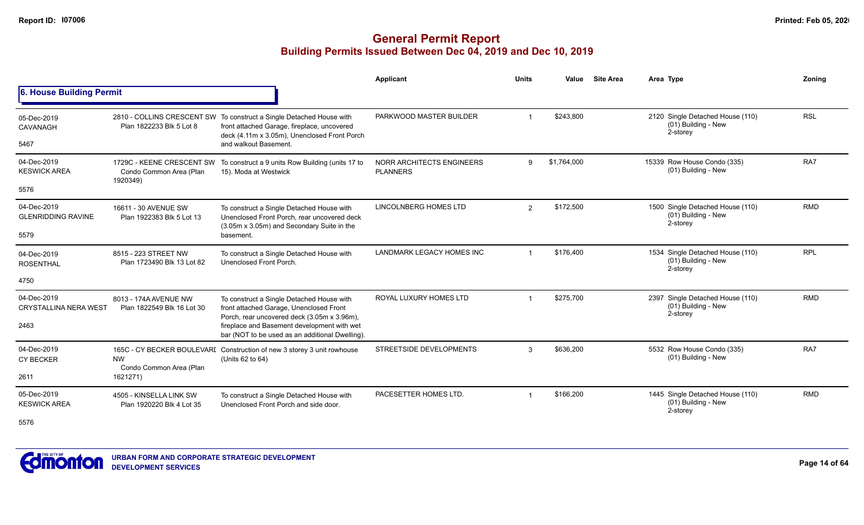#### **General Permit Report Building Permits Issued Between Dec 04, 2019 and Dec 10, 2019**

|                                             |                                                      |                                                                                                                                                                     | Applicant                                    | <b>Units</b> | Value       | <b>Site Area</b> | Area Type                                                           | Zoning     |
|---------------------------------------------|------------------------------------------------------|---------------------------------------------------------------------------------------------------------------------------------------------------------------------|----------------------------------------------|--------------|-------------|------------------|---------------------------------------------------------------------|------------|
| 6. House Building Permit                    |                                                      |                                                                                                                                                                     |                                              |              |             |                  |                                                                     |            |
| 05-Dec-2019<br>CAVANAGH                     | Plan 1822233 Blk 5 Lot 8                             | 2810 - COLLINS CRESCENT SW To construct a Single Detached House with<br>front attached Garage, fireplace, uncovered<br>deck (4.11m x 3.05m), Unenclosed Front Porch | PARKWOOD MASTER BUILDER                      |              | \$243,800   |                  | 2120 Single Detached House (110)<br>(01) Building - New<br>2-storey | <b>RSL</b> |
| 5467                                        |                                                      | and walkout Basement.                                                                                                                                               |                                              |              |             |                  |                                                                     |            |
| 04-Dec-2019<br><b>KESWICK AREA</b>          | Condo Common Area (Plan                              | 1729C - KEENE CRESCENT SW To construct a 9 units Row Building (units 17 to<br>15). Moda at Westwick                                                                 | NORR ARCHITECTS ENGINEERS<br><b>PLANNERS</b> | 9            | \$1,764,000 |                  | 15339 Row House Condo (335)<br>(01) Building - New                  | RA7        |
| 5576                                        | 1920349)                                             |                                                                                                                                                                     |                                              |              |             |                  |                                                                     |            |
| 04-Dec-2019<br><b>GLENRIDDING RAVINE</b>    | 16611 - 30 AVENUE SW<br>Plan 1922383 Blk 5 Lot 13    | To construct a Single Detached House with<br>Unenclosed Front Porch, rear uncovered deck<br>(3.05m x 3.05m) and Secondary Suite in the                              | LINCOLNBERG HOMES LTD                        | 2            | \$172,500   |                  | 1500 Single Detached House (110)<br>(01) Building - New<br>2-storey | <b>RMD</b> |
| 5579                                        |                                                      | basement.                                                                                                                                                           |                                              |              |             |                  |                                                                     |            |
| 04-Dec-2019<br><b>ROSENTHAL</b>             | 8515 - 223 STREET NW<br>Plan 1723490 Blk 13 Lot 82   | To construct a Single Detached House with<br>Unenclosed Front Porch.                                                                                                | <b>LANDMARK LEGACY HOMES INC</b>             |              | \$176.400   |                  | 1534 Single Detached House (110)<br>(01) Building - New<br>2-storey | <b>RPL</b> |
| 4750                                        |                                                      |                                                                                                                                                                     |                                              |              |             |                  |                                                                     |            |
| 04-Dec-2019<br><b>CRYSTALLINA NERA WEST</b> | 8013 - 174A AVENUE NW<br>Plan 1822549 Blk 16 Lot 30  | To construct a Single Detached House with<br>front attached Garage, Unenclosed Front<br>Porch, rear uncovered deck (3.05m x 3.96m),                                 | ROYAL LUXURY HOMES LTD                       |              | \$275,700   |                  | 2397 Single Detached House (110)<br>(01) Building - New<br>2-storey | <b>RMD</b> |
| 2463                                        |                                                      | fireplace and Basement development with wet<br>bar (NOT to be used as an additional Dwelling).                                                                      |                                              |              |             |                  |                                                                     |            |
| 04-Dec-2019<br><b>CY BECKER</b>             | <b>NW</b><br>Condo Common Area (Plan                 | 165C - CY BECKER BOULEVARI Construction of new 3 storey 3 unit rowhouse<br>(Units 62 to 64)                                                                         | STREETSIDE DEVELOPMENTS                      | 3            | \$636,200   |                  | 5532 Row House Condo (335)<br>(01) Building - New                   | RA7        |
| 2611                                        | 1621271)                                             |                                                                                                                                                                     |                                              |              |             |                  |                                                                     |            |
| 05-Dec-2019<br><b>KESWICK AREA</b>          | 4505 - KINSELLA LINK SW<br>Plan 1920220 Blk 4 Lot 35 | To construct a Single Detached House with<br>Unenclosed Front Porch and side door.                                                                                  | PACESETTER HOMES LTD.                        |              | \$166,200   |                  | 1445 Single Detached House (110)<br>(01) Building - New<br>2-storey | <b>RMD</b> |

5576

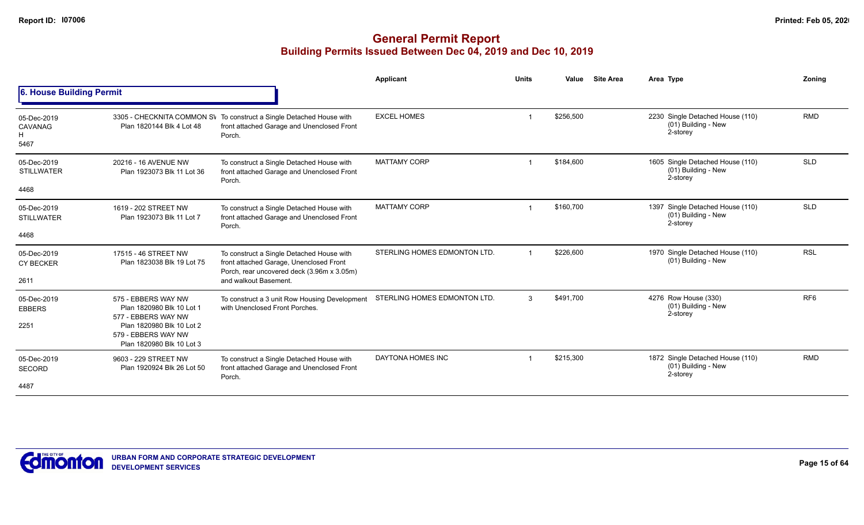|                                            |                                                                               |                                                                                                                                    | <b>Applicant</b>             | <b>Units</b>            | Value     | <b>Site Area</b> | Area Type                                                           | Zoning          |
|--------------------------------------------|-------------------------------------------------------------------------------|------------------------------------------------------------------------------------------------------------------------------------|------------------------------|-------------------------|-----------|------------------|---------------------------------------------------------------------|-----------------|
| 6. House Building Permit                   |                                                                               |                                                                                                                                    |                              |                         |           |                  |                                                                     |                 |
| 05-Dec-2019<br><b>CAVANAG</b><br>н<br>5467 | Plan 1820144 Blk 4 Lot 48                                                     | 3305 - CHECKNITA COMMON SV To construct a Single Detached House with<br>front attached Garage and Unenclosed Front<br>Porch.       | <b>EXCEL HOMES</b>           | -1                      | \$256,500 |                  | 2230 Single Detached House (110)<br>(01) Building - New<br>2-storey | <b>RMD</b>      |
| 05-Dec-2019<br><b>STILLWATER</b>           | 20216 - 16 AVENUE NW<br>Plan 1923073 Blk 11 Lot 36                            | To construct a Single Detached House with<br>front attached Garage and Unenclosed Front<br>Porch.                                  | <b>MATTAMY CORP</b>          | $\overline{\mathbf{1}}$ | \$184,600 |                  | 1605 Single Detached House (110)<br>(01) Building - New<br>2-storey | <b>SLD</b>      |
| 4468                                       |                                                                               |                                                                                                                                    |                              |                         |           |                  |                                                                     |                 |
| 05-Dec-2019<br><b>STILLWATER</b>           | 1619 - 202 STREET NW<br>Plan 1923073 Blk 11 Lot 7                             | To construct a Single Detached House with<br>front attached Garage and Unenclosed Front<br>Porch.                                  | <b>MATTAMY CORP</b>          | $\overline{\mathbf{1}}$ | \$160,700 |                  | 1397 Single Detached House (110)<br>(01) Building - New<br>2-storey | <b>SLD</b>      |
| 4468                                       |                                                                               |                                                                                                                                    |                              |                         |           |                  |                                                                     |                 |
| 05-Dec-2019<br><b>CY BECKER</b>            | 17515 - 46 STREET NW<br>Plan 1823038 Blk 19 Lot 75                            | To construct a Single Detached House with<br>front attached Garage, Unenclosed Front<br>Porch, rear uncovered deck (3.96m x 3.05m) | STERLING HOMES EDMONTON LTD. | $\overline{\mathbf{1}}$ | \$226,600 |                  | 1970 Single Detached House (110)<br>(01) Building - New             | <b>RSL</b>      |
| 2611                                       |                                                                               | and walkout Basement.                                                                                                              |                              |                         |           |                  |                                                                     |                 |
| 05-Dec-2019<br><b>EBBERS</b>               | 575 - EBBERS WAY NW<br>Plan 1820980 Blk 10 Lot 1<br>577 - EBBERS WAY NW       | To construct a 3 unit Row Housing Development<br>with Unenclosed Front Porches.                                                    | STERLING HOMES EDMONTON LTD. | 3                       | \$491,700 |                  | 4276 Row House (330)<br>(01) Building - New<br>2-storey             | RF <sub>6</sub> |
| 2251                                       | Plan 1820980 Blk 10 Lot 2<br>579 - EBBERS WAY NW<br>Plan 1820980 Blk 10 Lot 3 |                                                                                                                                    |                              |                         |           |                  |                                                                     |                 |
| 05-Dec-2019<br><b>SECORD</b>               | 9603 - 229 STREET NW<br>Plan 1920924 Blk 26 Lot 50                            | To construct a Single Detached House with<br>front attached Garage and Unenclosed Front<br>Porch.                                  | DAYTONA HOMES INC            |                         | \$215,300 |                  | 1872 Single Detached House (110)<br>(01) Building - New<br>2-storey | <b>RMD</b>      |
| 4487                                       |                                                                               |                                                                                                                                    |                              |                         |           |                  |                                                                     |                 |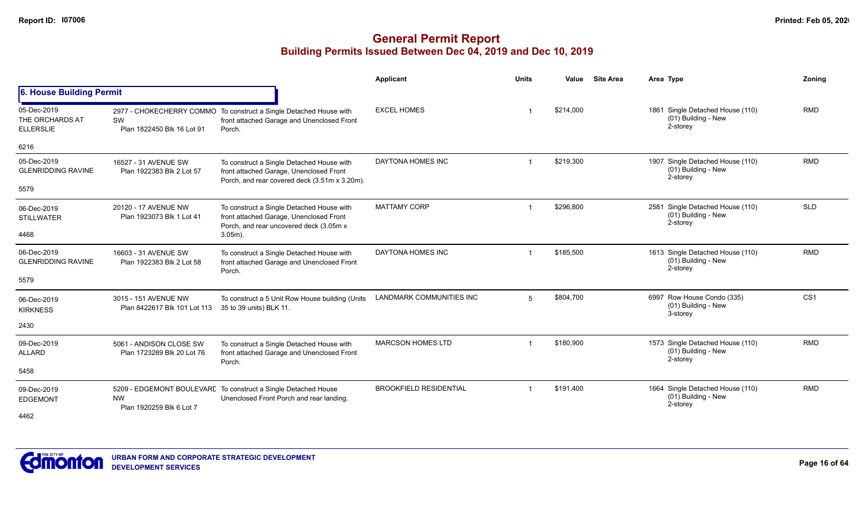|                                                    |                                                       |                                                                                                                                       | Applicant                       | <b>Units</b>   | Value     | <b>Site Area</b> | Area Type                                                           | Zoning          |
|----------------------------------------------------|-------------------------------------------------------|---------------------------------------------------------------------------------------------------------------------------------------|---------------------------------|----------------|-----------|------------------|---------------------------------------------------------------------|-----------------|
| 6. House Building Permit                           |                                                       |                                                                                                                                       |                                 |                |           |                  |                                                                     |                 |
| 05-Dec-2019<br>THE ORCHARDS AT<br><b>ELLERSLIE</b> | SW<br>Plan 1822450 Blk 16 Lot 91                      | 2977 - CHOKECHERRY COMMO To construct a Single Detached House with<br>front attached Garage and Unenclosed Front<br>Porch.            | <b>EXCEL HOMES</b>              |                | \$214,000 |                  | 1861 Single Detached House (110)<br>(01) Building - New<br>2-storey | <b>RMD</b>      |
| 6216                                               |                                                       |                                                                                                                                       |                                 |                |           |                  |                                                                     |                 |
| 05-Dec-2019<br><b>GLENRIDDING RAVINE</b>           | 16527 - 31 AVENUE SW<br>Plan 1922383 Blk 2 Lot 57     | To construct a Single Detached House with<br>front attached Garage, Unenclosed Front<br>Porch, and rear covered deck (3.51m x 3.20m). | DAYTONA HOMES INC               |                | \$219,300 |                  | 1907 Single Detached House (110)<br>(01) Building - New<br>2-storey | <b>RMD</b>      |
| 5579                                               |                                                       |                                                                                                                                       |                                 |                |           |                  |                                                                     |                 |
| 06-Dec-2019<br><b>STILLWATER</b>                   | 20120 - 17 AVENUE NW<br>Plan 1923073 Blk 1 Lot 41     | To construct a Single Detached House with<br>front attached Garage, Unenclosed Front<br>Porch, and rear uncovered deck (3.05m x       | <b>MATTAMY CORP</b>             |                | \$296,800 |                  | 2581 Single Detached House (110)<br>(01) Building - New<br>2-storey | <b>SLD</b>      |
| 4468                                               |                                                       | $3.05m$ ).                                                                                                                            |                                 |                |           |                  |                                                                     |                 |
| 06-Dec-2019<br><b>GLENRIDDING RAVINE</b>           | 16603 - 31 AVENUE SW<br>Plan 1922383 Blk 2 Lot 58     | To construct a Single Detached House with<br>front attached Garage and Unenclosed Front<br>Porch.                                     | DAYTONA HOMES INC               |                | \$185,500 |                  | 1613 Single Detached House (110)<br>(01) Building - New<br>2-storey | <b>RMD</b>      |
| 5579                                               |                                                       |                                                                                                                                       |                                 |                |           |                  |                                                                     |                 |
| 06-Dec-2019<br><b>KIRKNESS</b>                     | 3015 - 151 AVENUE NW<br>Plan 8422617 Blk 101 Lot 113  | To construct a 5 Unit Row House building (Units<br>35 to 39 units) BLK 11.                                                            | <b>LANDMARK COMMUNITIES INC</b> | 5              | \$804,700 |                  | 6997 Row House Condo (335)<br>(01) Building - New<br>3-storey       | CS <sub>1</sub> |
| 2430                                               |                                                       |                                                                                                                                       |                                 |                |           |                  |                                                                     |                 |
| 09-Dec-2019<br><b>ALLARD</b>                       | 5061 - ANDISON CLOSE SW<br>Plan 1723289 Blk 20 Lot 76 | To construct a Single Detached House with<br>front attached Garage and Unenclosed Front<br>Porch.                                     | <b>MARCSON HOMES LTD</b>        | $\mathbf 1$    | \$180,900 |                  | 1573 Single Detached House (110)<br>(01) Building - New<br>2-storey | <b>RMD</b>      |
| 5458                                               |                                                       |                                                                                                                                       |                                 |                |           |                  |                                                                     |                 |
| 09-Dec-2019<br><b>EDGEMONT</b>                     | <b>NW</b><br>Plan 1920259 Blk 6 Lot 7                 | 5209 - EDGEMONT BOULEVARE To construct a Single Detached House<br>Unenclosed Front Porch and rear landing.                            | <b>BROOKFIELD RESIDENTIAL</b>   | $\overline{1}$ | \$191,400 |                  | 1664 Single Detached House (110)<br>(01) Building - New<br>2-storey | <b>RMD</b>      |
| 4462                                               |                                                       |                                                                                                                                       |                                 |                |           |                  |                                                                     |                 |

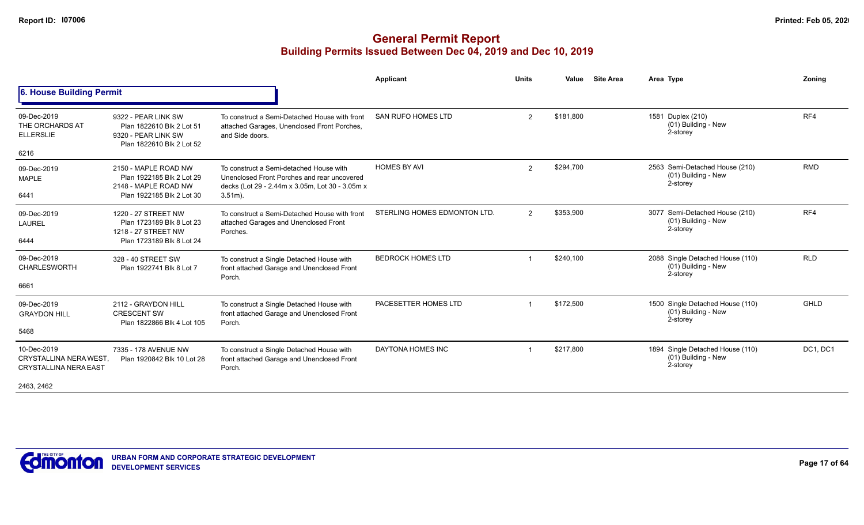|                                                                                     |                                                                                                        |                                                                                                                                                         | Applicant                    | <b>Units</b>         | Value     | <b>Site Area</b> | Area Type                                                           | Zonina      |
|-------------------------------------------------------------------------------------|--------------------------------------------------------------------------------------------------------|---------------------------------------------------------------------------------------------------------------------------------------------------------|------------------------------|----------------------|-----------|------------------|---------------------------------------------------------------------|-------------|
| 6. House Building Permit                                                            |                                                                                                        |                                                                                                                                                         |                              |                      |           |                  |                                                                     |             |
| 09-Dec-2019<br>THE ORCHARDS AT<br><b>ELLERSLIE</b><br>6216                          | 9322 - PEAR LINK SW<br>Plan 1822610 Blk 2 Lot 51<br>9320 - PEAR LINK SW<br>Plan 1822610 Blk 2 Lot 52   | To construct a Semi-Detached House with front<br>attached Garages, Unenclosed Front Porches,<br>and Side doors.                                         | SAN RUFO HOMES LTD           | $\mathbf{2}^{\circ}$ | \$181,800 |                  | 1581 Duplex (210)<br>(01) Building - New<br>2-storey                | RF4         |
| 09-Dec-2019<br><b>MAPLE</b><br>6441                                                 | 2150 - MAPLE ROAD NW<br>Plan 1922185 Blk 2 Lot 29<br>2148 - MAPLE ROAD NW<br>Plan 1922185 Blk 2 Lot 30 | To construct a Semi-detached House with<br>Unenclosed Front Porches and rear uncovered<br>decks (Lot 29 - 2.44m x 3.05m, Lot 30 - 3.05m x<br>$3.51m$ ). | <b>HOMES BY AVI</b>          | $\overline{2}$       | \$294,700 |                  | 2563 Semi-Detached House (210)<br>(01) Building - New<br>2-storey   | <b>RMD</b>  |
| 09-Dec-2019<br><b>LAUREL</b><br>6444                                                | 1220 - 27 STREET NW<br>Plan 1723189 Blk 8 Lot 23<br>1218 - 27 STREET NW<br>Plan 1723189 Blk 8 Lot 24   | To construct a Semi-Detached House with front<br>attached Garages and Unenclosed Front<br>Porches.                                                      | STERLING HOMES EDMONTON LTD. | $\overline{2}$       | \$353,900 |                  | 3077 Semi-Detached House (210)<br>(01) Building - New<br>2-storey   | RF4         |
| 09-Dec-2019<br><b>CHARLESWORTH</b><br>6661                                          | 328 - 40 STREET SW<br>Plan 1922741 Blk 8 Lot 7                                                         | To construct a Single Detached House with<br>front attached Garage and Unenclosed Front<br>Porch.                                                       | <b>BEDROCK HOMES LTD</b>     |                      | \$240,100 |                  | 2088 Single Detached House (110)<br>(01) Building - New<br>2-storey | <b>RLD</b>  |
| 09-Dec-2019<br><b>GRAYDON HILL</b><br>5468                                          | 2112 - GRAYDON HILL<br><b>CRESCENT SW</b><br>Plan 1822866 Blk 4 Lot 105                                | To construct a Single Detached House with<br>front attached Garage and Unenclosed Front<br>Porch.                                                       | PACESETTER HOMES LTD         | -1                   | \$172,500 |                  | 1500 Single Detached House (110)<br>(01) Building - New<br>2-storey | <b>GHLD</b> |
| 10-Dec-2019<br>CRYSTALLINA NERA WEST.<br><b>CRYSTALLINA NERA EAST</b><br>2463, 2462 | 7335 - 178 AVENUE NW<br>Plan 1920842 Blk 10 Lot 28                                                     | To construct a Single Detached House with<br>front attached Garage and Unenclosed Front<br>Porch.                                                       | DAYTONA HOMES INC            |                      | \$217.800 |                  | 1894 Single Detached House (110)<br>(01) Building - New<br>2-storey | DC1, DC1    |

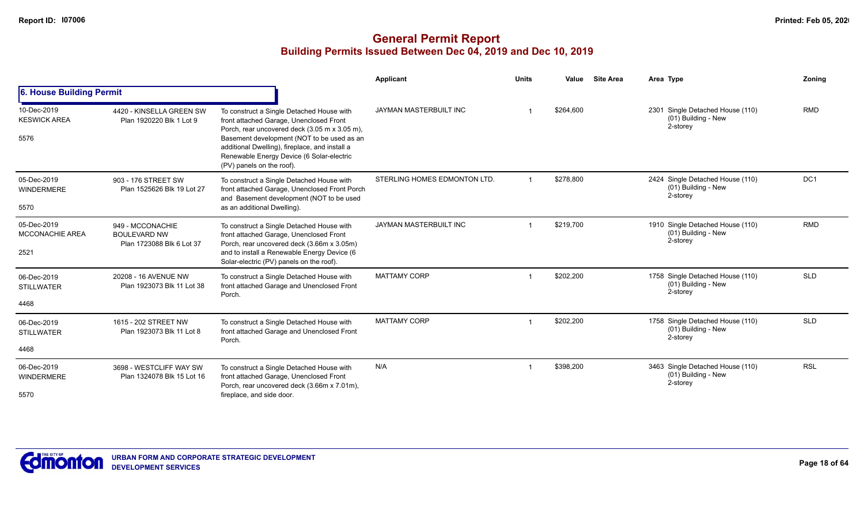|                                               |                                                                      |                                                                                                                                                                                                                                                                                                                 | Applicant                     | <b>Units</b> | Value     | <b>Site Area</b> | Area Type                                                             | Zoning     |
|-----------------------------------------------|----------------------------------------------------------------------|-----------------------------------------------------------------------------------------------------------------------------------------------------------------------------------------------------------------------------------------------------------------------------------------------------------------|-------------------------------|--------------|-----------|------------------|-----------------------------------------------------------------------|------------|
| 6. House Building Permit                      |                                                                      |                                                                                                                                                                                                                                                                                                                 |                               |              |           |                  |                                                                       |            |
| 10-Dec-2019<br><b>KESWICK AREA</b><br>5576    | 4420 - KINSELLA GREEN SW<br>Plan 1920220 Blk 1 Lot 9                 | To construct a Single Detached House with<br>front attached Garage, Unenclosed Front<br>Porch, rear uncovered deck (3.05 m x 3.05 m),<br>Basement development (NOT to be used as an<br>additional Dwelling), fireplace, and install a<br>Renewable Energy Device (6 Solar-electric<br>(PV) panels on the roof). | JAYMAN MASTERBUILT INC        |              | \$264,600 |                  | 2301 Single Detached House (110)<br>$(01)$ Building - New<br>2-storey | <b>RMD</b> |
| 05-Dec-2019<br><b>WINDERMERE</b><br>5570      | 903 - 176 STREET SW<br>Plan 1525626 Blk 19 Lot 27                    | To construct a Single Detached House with<br>front attached Garage, Unenclosed Front Porch<br>and Basement development (NOT to be used<br>as an additional Dwelling).                                                                                                                                           | STERLING HOMES EDMONTON LTD.  |              | \$278,800 |                  | 2424 Single Detached House (110)<br>(01) Building - New<br>2-storey   | DC1        |
| 05-Dec-2019<br><b>MCCONACHIE AREA</b><br>2521 | 949 - MCCONACHIE<br><b>BOULEVARD NW</b><br>Plan 1723088 Blk 6 Lot 37 | To construct a Single Detached House with<br>front attached Garage, Unenclosed Front<br>Porch, rear uncovered deck (3.66m x 3.05m)<br>and to install a Renewable Energy Device (6<br>Solar-electric (PV) panels on the roof).                                                                                   | <b>JAYMAN MASTERBUILT INC</b> |              | \$219,700 |                  | 1910 Single Detached House (110)<br>(01) Building - New<br>2-storey   | <b>RMD</b> |
| 06-Dec-2019<br><b>STILLWATER</b><br>4468      | 20208 - 16 AVENUE NW<br>Plan 1923073 Blk 11 Lot 38                   | To construct a Single Detached House with<br>front attached Garage and Unenclosed Front<br>Porch.                                                                                                                                                                                                               | <b>MATTAMY CORP</b>           |              | \$202,200 |                  | 1758 Single Detached House (110)<br>(01) Building - New<br>2-storey   | <b>SLD</b> |
| 06-Dec-2019<br><b>STILLWATER</b><br>4468      | 1615 - 202 STREET NW<br>Plan 1923073 Blk 11 Lot 8                    | To construct a Single Detached House with<br>front attached Garage and Unenclosed Front<br>Porch.                                                                                                                                                                                                               | <b>MATTAMY CORP</b>           |              | \$202,200 |                  | 1758 Single Detached House (110)<br>(01) Building - New<br>2-storey   | <b>SLD</b> |
| 06-Dec-2019<br><b>WINDERMERE</b><br>5570      | 3698 - WESTCLIFF WAY SW<br>Plan 1324078 Blk 15 Lot 16                | To construct a Single Detached House with<br>front attached Garage, Unenclosed Front<br>Porch, rear uncovered deck (3.66m x 7.01m),<br>fireplace, and side door.                                                                                                                                                | N/A                           |              | \$398,200 |                  | 3463 Single Detached House (110)<br>(01) Building - New<br>2-storey   | <b>RSL</b> |

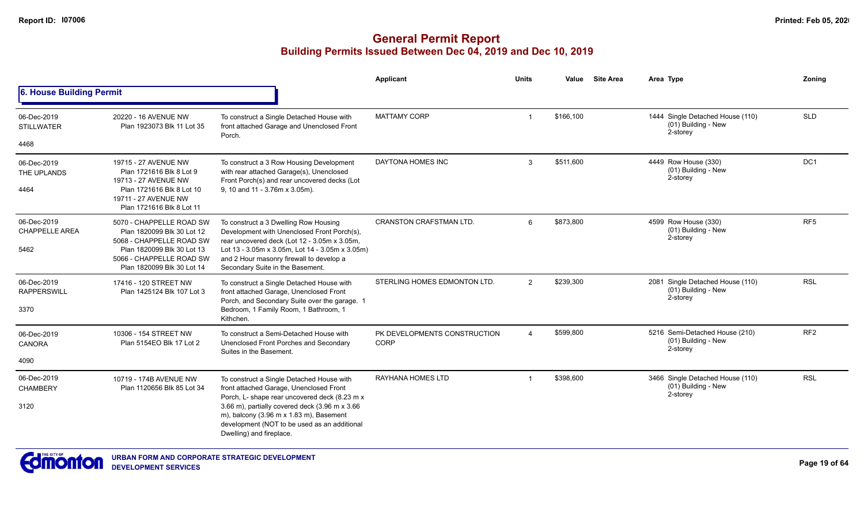|                                              |                                                                                                                                              |                                                                                                                                                                                                                        | Applicant                                   | <b>Units</b>   | Value     | <b>Site Area</b>                                                    | Area Type                                                           | Zonina          |
|----------------------------------------------|----------------------------------------------------------------------------------------------------------------------------------------------|------------------------------------------------------------------------------------------------------------------------------------------------------------------------------------------------------------------------|---------------------------------------------|----------------|-----------|---------------------------------------------------------------------|---------------------------------------------------------------------|-----------------|
| 6. House Building Permit                     |                                                                                                                                              |                                                                                                                                                                                                                        |                                             |                |           |                                                                     |                                                                     |                 |
| 06-Dec-2019<br><b>STILLWATER</b>             | 20220 - 16 AVENUE NW<br>Plan 1923073 Blk 11 Lot 35                                                                                           | To construct a Single Detached House with<br>front attached Garage and Unenclosed Front                                                                                                                                | <b>MATTAMY CORP</b>                         | -1             | \$166,100 |                                                                     | 1444 Single Detached House (110)<br>(01) Building - New<br>2-storey | <b>SLD</b>      |
| 4468                                         |                                                                                                                                              | Porch.                                                                                                                                                                                                                 |                                             |                |           |                                                                     |                                                                     |                 |
| 06-Dec-2019<br>THE UPLANDS<br>4464           | 19715 - 27 AVENUE NW<br>Plan 1721616 Blk 8 Lot 9<br>19713 - 27 AVENUE NW<br>Plan 1721616 Blk 8 Lot 10                                        | To construct a 3 Row Housing Development<br>with rear attached Garage(s), Unenclosed<br>Front Porch(s) and rear uncovered decks (Lot<br>9, 10 and 11 - 3.76m x 3.05m).                                                 | DAYTONA HOMES INC                           | 3              | \$511,600 |                                                                     | 4449 Row House (330)<br>(01) Building - New<br>2-storey             | DC <sub>1</sub> |
|                                              | 19711 - 27 AVENUE NW<br>Plan 1721616 Blk 8 Lot 11                                                                                            |                                                                                                                                                                                                                        |                                             |                |           |                                                                     |                                                                     |                 |
| 06-Dec-2019<br><b>CHAPPELLE AREA</b><br>5462 | 5070 - CHAPPELLE ROAD SW<br>Plan 1820099 Blk 30 Lot 12<br>5068 - CHAPPELLE ROAD SW<br>Plan 1820099 Blk 30 Lot 13                             | To construct a 3 Dwelling Row Housing<br>Development with Unenclosed Front Porch(s),<br>rear uncovered deck (Lot 12 - 3.05m x 3.05m,<br>Lot 13 - 3.05m x 3.05m, Lot 14 - 3.05m x 3.05m)                                | <b>CRANSTON CRAFSTMAN LTD.</b>              | 6              | \$873,800 |                                                                     | 4599 Row House (330)<br>(01) Building - New<br>2-storey             | RF <sub>5</sub> |
|                                              | 5066 - CHAPPELLE ROAD SW<br>Plan 1820099 Blk 30 Lot 14                                                                                       | and 2 Hour masonry firewall to develop a<br>Secondary Suite in the Basement.                                                                                                                                           |                                             |                |           |                                                                     |                                                                     |                 |
| 06-Dec-2019<br><b>RAPPERSWILL</b>            | 17416 - 120 STREET NW<br>Plan 1425124 Blk 107 Lot 3                                                                                          | To construct a Single Detached House with<br>front attached Garage, Unenclosed Front                                                                                                                                   | STERLING HOMES EDMONTON LTD.                | $\overline{2}$ | \$239,300 |                                                                     | 2081 Single Detached House (110)<br>(01) Building - New<br>2-storey | <b>RSL</b>      |
| 3370                                         |                                                                                                                                              | Porch, and Secondary Suite over the garage. 1<br>Bedroom, 1 Family Room, 1 Bathroom, 1<br>Kithchen.                                                                                                                    |                                             |                |           |                                                                     |                                                                     |                 |
| 06-Dec-2019<br>CANORA                        | 10306 - 154 STREET NW<br>Plan 5154EO Blk 17 Lot 2                                                                                            | To construct a Semi-Detached House with<br>Unenclosed Front Porches and Secondary                                                                                                                                      | PK DEVELOPMENTS CONSTRUCTION<br><b>CORP</b> | $\overline{4}$ | \$599,800 |                                                                     | 5216 Semi-Detached House (210)<br>(01) Building - New<br>2-storey   | RF <sub>2</sub> |
| 4090                                         |                                                                                                                                              | Suites in the Basement.                                                                                                                                                                                                |                                             |                |           |                                                                     |                                                                     |                 |
| 06-Dec-2019<br><b>CHAMBERY</b>               | 10719 - 174B AVENUE NW<br>To construct a Single Detached House with<br>front attached Garage, Unenclosed Front<br>Plan 1120656 Blk 85 Lot 34 | <b>RAYHANA HOMES LTD</b>                                                                                                                                                                                               |                                             | \$398,600      |           | 3466 Single Detached House (110)<br>(01) Building - New<br>2-storey | <b>RSL</b>                                                          |                 |
| 3120                                         |                                                                                                                                              | Porch, L- shape rear uncovered deck (8.23 m x<br>3.66 m), partially covered deck (3.96 m x 3.66<br>m), balcony (3.96 m x 1.83 m), Basement<br>development (NOT to be used as an additional<br>Dwelling) and fireplace. |                                             |                |           |                                                                     |                                                                     |                 |

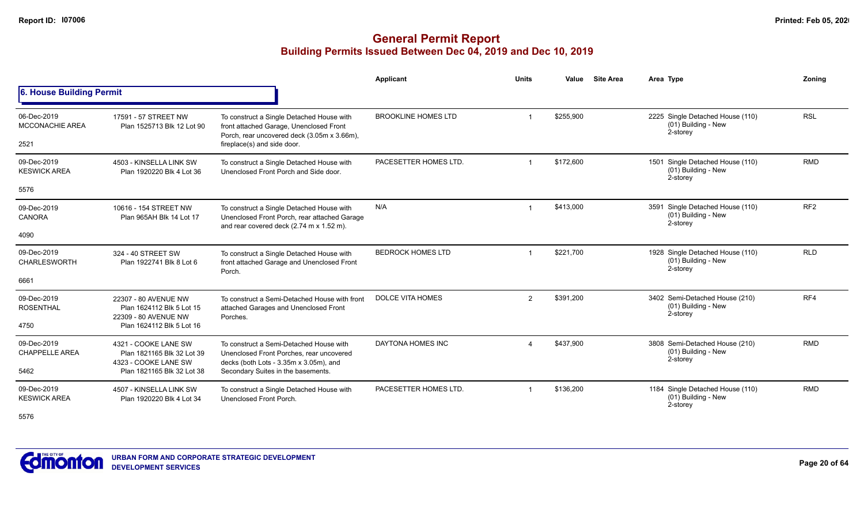#### **General Permit Report Building Permits Issued Between Dec 04, 2019 and Dec 10, 2019**

|                                               |                                                                                                          |                                                                                                                                                                             | Applicant                  | <b>Units</b>   | <b>Site Area</b><br>Value | Area Type                                                           | Zoning          |
|-----------------------------------------------|----------------------------------------------------------------------------------------------------------|-----------------------------------------------------------------------------------------------------------------------------------------------------------------------------|----------------------------|----------------|---------------------------|---------------------------------------------------------------------|-----------------|
| 6. House Building Permit                      |                                                                                                          |                                                                                                                                                                             |                            |                |                           |                                                                     |                 |
| 06-Dec-2019<br><b>MCCONACHIE AREA</b><br>2521 | 17591 - 57 STREET NW<br>Plan 1525713 Blk 12 Lot 90                                                       | To construct a Single Detached House with<br>front attached Garage, Unenclosed Front<br>Porch, rear uncovered deck (3.05m x 3.66m),<br>fireplace(s) and side door.          | <b>BROOKLINE HOMES LTD</b> |                | \$255,900                 | 2225 Single Detached House (110)<br>(01) Building - New<br>2-storey | <b>RSL</b>      |
| 09-Dec-2019<br><b>KESWICK AREA</b><br>5576    | 4503 - KINSELLA LINK SW<br>Plan 1920220 Blk 4 Lot 36                                                     | To construct a Single Detached House with<br>Unenclosed Front Porch and Side door.                                                                                          | PACESETTER HOMES LTD.      |                | \$172,600                 | 1501 Single Detached House (110)<br>(01) Building - New<br>2-storey | <b>RMD</b>      |
| 09-Dec-2019<br><b>CANORA</b><br>4090          | 10616 - 154 STREET NW<br>Plan 965AH Blk 14 Lot 17                                                        | To construct a Single Detached House with<br>Unenclosed Front Porch, rear attached Garage<br>and rear covered deck (2.74 m x 1.52 m).                                       | N/A                        |                | \$413,000                 | 3591 Single Detached House (110)<br>(01) Building - New<br>2-storey | RF <sub>2</sub> |
|                                               |                                                                                                          |                                                                                                                                                                             |                            |                |                           |                                                                     |                 |
| 09-Dec-2019<br><b>CHARLESWORTH</b><br>6661    | 324 - 40 STREET SW<br>Plan 1922741 Blk 8 Lot 6                                                           | To construct a Single Detached House with<br>front attached Garage and Unenclosed Front<br>Porch.                                                                           | <b>BEDROCK HOMES LTD</b>   |                | \$221,700                 | 1928 Single Detached House (110)<br>(01) Building - New<br>2-storey | <b>RLD</b>      |
|                                               |                                                                                                          |                                                                                                                                                                             |                            |                |                           |                                                                     |                 |
| 09-Dec-2019<br><b>ROSENTHAL</b>               | 22307 - 80 AVENUE NW<br>Plan 1624112 Blk 5 Lot 15<br>22309 - 80 AVENUE NW                                | To construct a Semi-Detached House with front<br>attached Garages and Unenclosed Front<br>Porches.                                                                          | <b>DOLCE VITA HOMES</b>    | $\overline{2}$ | \$391.200                 | 3402 Semi-Detached House (210)<br>(01) Building - New<br>2-storey   | RF4             |
| 4750                                          | Plan 1624112 Blk 5 Lot 16                                                                                |                                                                                                                                                                             |                            |                |                           |                                                                     |                 |
| 09-Dec-2019<br><b>CHAPPELLE AREA</b><br>5462  | 4321 - COOKE LANE SW<br>Plan 1821165 Blk 32 Lot 39<br>4323 - COOKE LANE SW<br>Plan 1821165 Blk 32 Lot 38 | To construct a Semi-Detached House with<br>Unenclosed Front Porches, rear uncovered<br>decks (both Lots - $3.35m \times 3.05m$ ), and<br>Secondary Suites in the basements. | DAYTONA HOMES INC          |                | \$437.900                 | 3808 Semi-Detached House (210)<br>(01) Building - New<br>2-storey   | <b>RMD</b>      |
| 09-Dec-2019<br><b>KESWICK AREA</b>            | 4507 - KINSELLA LINK SW<br>Plan 1920220 Blk 4 Lot 34                                                     | To construct a Single Detached House with<br>Unenclosed Front Porch.                                                                                                        | PACESETTER HOMES LTD.      |                | \$136.200                 | 1184 Single Detached House (110)<br>(01) Building - New<br>2-storey | <b>RMD</b>      |

5576

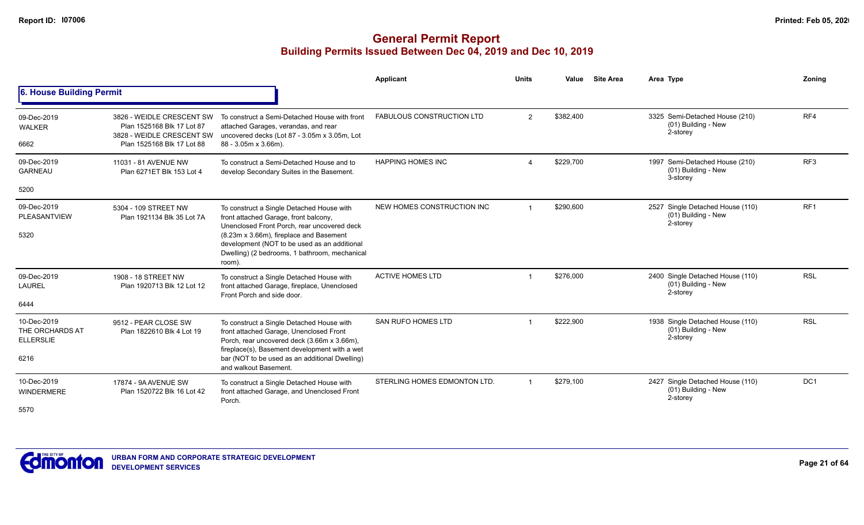|                                                            |                                                                                                                    |                                                                                                                                                                                                                                                                                         | Applicant                        | <b>Units</b>   | Value     | <b>Site Area</b> | Area Type                                                           | Zoning          |
|------------------------------------------------------------|--------------------------------------------------------------------------------------------------------------------|-----------------------------------------------------------------------------------------------------------------------------------------------------------------------------------------------------------------------------------------------------------------------------------------|----------------------------------|----------------|-----------|------------------|---------------------------------------------------------------------|-----------------|
| 6. House Building Permit                                   |                                                                                                                    |                                                                                                                                                                                                                                                                                         |                                  |                |           |                  |                                                                     |                 |
| 09-Dec-2019<br><b>WALKER</b><br>6662                       | 3826 - WEIDLE CRESCENT SW<br>Plan 1525168 Blk 17 Lot 87<br>3828 - WEIDLE CRESCENT SW<br>Plan 1525168 Blk 17 Lot 88 | To construct a Semi-Detached House with front<br>attached Garages, verandas, and rear<br>uncovered decks (Lot 87 - 3.05m x 3.05m, Lot<br>88 - 3.05m x 3.66m).                                                                                                                           | <b>FABULOUS CONSTRUCTION LTD</b> | $\overline{2}$ | \$382.400 |                  | 3325 Semi-Detached House (210)<br>(01) Building - New<br>2-storey   | RF4             |
| 09-Dec-2019<br><b>GARNEAU</b><br>5200                      | 11031 - 81 AVENUE NW<br>Plan 6271ET Blk 153 Lot 4                                                                  | To construct a Semi-Detached House and to<br>develop Secondary Suites in the Basement.                                                                                                                                                                                                  | <b>HAPPING HOMES INC</b>         |                | \$229,700 |                  | 1997 Semi-Detached House (210)<br>(01) Building - New<br>3-storey   | RF3             |
| 09-Dec-2019<br>PLEASANTVIEW<br>5320                        | 5304 - 109 STREET NW<br>Plan 1921134 Blk 35 Lot 7A                                                                 | To construct a Single Detached House with<br>front attached Garage, front balcony,<br>Unenclosed Front Porch, rear uncovered deck<br>(8.23m x 3.66m), fireplace and Basement<br>development (NOT to be used as an additional<br>Dwelling) (2 bedrooms, 1 bathroom, mechanical<br>room). | NEW HOMES CONSTRUCTION INC       |                | \$290,600 |                  | 2527 Single Detached House (110)<br>(01) Building - New<br>2-storey | RF <sub>1</sub> |
| 09-Dec-2019<br><b>LAUREL</b><br>6444                       | 1908 - 18 STREET NW<br>Plan 1920713 Blk 12 Lot 12                                                                  | To construct a Single Detached House with<br>front attached Garage, fireplace, Unenclosed<br>Front Porch and side door.                                                                                                                                                                 | <b>ACTIVE HOMES LTD</b>          |                | \$276,000 |                  | 2400 Single Detached House (110)<br>(01) Building - New<br>2-storey | <b>RSL</b>      |
| 10-Dec-2019<br>THE ORCHARDS AT<br><b>ELLERSLIE</b><br>6216 | 9512 - PEAR CLOSE SW<br>Plan 1822610 Blk 4 Lot 19                                                                  | To construct a Single Detached House with<br>front attached Garage, Unenclosed Front<br>Porch, rear uncovered deck (3.66m x 3.66m),<br>fireplace(s), Basement development with a wet<br>bar (NOT to be used as an additional Dwelling)<br>and walkout Basement.                         | <b>SAN RUFO HOMES LTD</b>        |                | \$222.900 |                  | 1938 Single Detached House (110)<br>(01) Building - New<br>2-storey | <b>RSL</b>      |
| 10-Dec-2019<br>WINDERMERE<br>5570                          | 17874 - 9A AVENUE SW<br>Plan 1520722 Blk 16 Lot 42                                                                 | To construct a Single Detached House with<br>front attached Garage, and Unenclosed Front<br>Porch.                                                                                                                                                                                      | STERLING HOMES EDMONTON LTD.     | $\mathbf 1$    | \$279,100 |                  | 2427 Single Detached House (110)<br>(01) Building - New<br>2-storey | DC <sub>1</sub> |

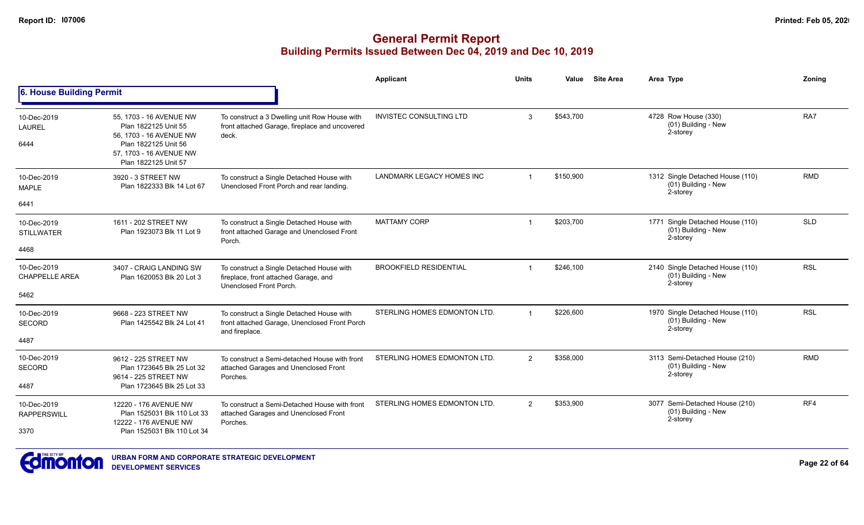|                                           |                                                                                                                                                       |                                                                                                               | Applicant                     | <b>Units</b>   | Value     | <b>Site Area</b> | Area Type                                                           | Zonina     |
|-------------------------------------------|-------------------------------------------------------------------------------------------------------------------------------------------------------|---------------------------------------------------------------------------------------------------------------|-------------------------------|----------------|-----------|------------------|---------------------------------------------------------------------|------------|
| <b>6. House Building Permit</b>           |                                                                                                                                                       |                                                                                                               |                               |                |           |                  |                                                                     |            |
| 10-Dec-2019<br><b>LAUREL</b><br>6444      | 55. 1703 - 16 AVENUE NW<br>Plan 1822125 Unit 55<br>56, 1703 - 16 AVENUE NW<br>Plan 1822125 Unit 56<br>57, 1703 - 16 AVENUE NW<br>Plan 1822125 Unit 57 | To construct a 3 Dwelling unit Row House with<br>front attached Garage, fireplace and uncovered<br>deck.      | INVISTEC CONSULTING LTD       | 3              | \$543,700 |                  | 4728 Row House (330)<br>(01) Building - New<br>2-storey             | RA7        |
| 10-Dec-2019<br><b>MAPLE</b>               | 3920 - 3 STREET NW<br>Plan 1822333 Blk 14 Lot 67                                                                                                      | To construct a Single Detached House with<br>Unenclosed Front Porch and rear landing.                         | LANDMARK LEGACY HOMES INC     |                | \$150,900 |                  | 1312 Single Detached House (110)<br>(01) Building - New<br>2-storey | <b>RMD</b> |
| 6441                                      |                                                                                                                                                       |                                                                                                               |                               |                |           |                  |                                                                     |            |
| 10-Dec-2019<br><b>STILLWATER</b>          | 1611 - 202 STREET NW<br>Plan 1923073 Blk 11 Lot 9                                                                                                     | To construct a Single Detached House with<br>front attached Garage and Unenclosed Front<br>Porch.             | <b>MATTAMY CORP</b>           |                | \$203,700 |                  | 1771 Single Detached House (110)<br>(01) Building - New<br>2-storey | <b>SLD</b> |
| 4468                                      |                                                                                                                                                       |                                                                                                               |                               |                |           |                  |                                                                     |            |
| 10-Dec-2019<br><b>CHAPPELLE AREA</b>      | 3407 - CRAIG LANDING SW<br>Plan 1620053 Blk 20 Lot 3                                                                                                  | To construct a Single Detached House with<br>fireplace, front attached Garage, and<br>Unenclosed Front Porch. | <b>BROOKFIELD RESIDENTIAL</b> |                | \$246,100 |                  | 2140 Single Detached House (110)<br>(01) Building - New<br>2-storey | <b>RSL</b> |
| 5462                                      |                                                                                                                                                       |                                                                                                               |                               |                |           |                  |                                                                     |            |
| 10-Dec-2019<br><b>SECORD</b>              | 9668 - 223 STREET NW<br>Plan 1425542 Blk 24 Lot 41                                                                                                    | To construct a Single Detached House with<br>front attached Garage, Unenclosed Front Porch<br>and fireplace.  | STERLING HOMES EDMONTON LTD.  | $\overline{1}$ | \$226,600 |                  | 1970 Single Detached House (110)<br>(01) Building - New<br>2-storey | <b>RSL</b> |
| 4487                                      |                                                                                                                                                       |                                                                                                               |                               |                |           |                  |                                                                     |            |
| 10-Dec-2019<br>SECORD                     | 9612 - 225 STREET NW<br>Plan 1723645 Blk 25 Lot 32<br>9614 - 225 STREET NW                                                                            | To construct a Semi-detached House with front<br>attached Garages and Unenclosed Front<br>Porches.            | STERLING HOMES EDMONTON LTD.  | 2              | \$358,000 |                  | 3113 Semi-Detached House (210)<br>(01) Building - New<br>2-storey   | <b>RMD</b> |
| 4487                                      | Plan 1723645 Blk 25 Lot 33                                                                                                                            |                                                                                                               |                               |                |           |                  |                                                                     |            |
| 10-Dec-2019<br><b>RAPPERSWILL</b><br>3370 | 12220 - 176 AVENUE NW<br>Plan 1525031 Blk 110 Lot 33<br>12222 - 176 AVENUE NW<br>Plan 1525031 Blk 110 Lot 34                                          | To construct a Semi-Detached House with front<br>attached Garages and Unenclosed Front<br>Porches.            | STERLING HOMES EDMONTON LTD.  | 2              | \$353,900 |                  | 3077 Semi-Detached House (210)<br>(01) Building - New<br>2-storey   | RF4        |

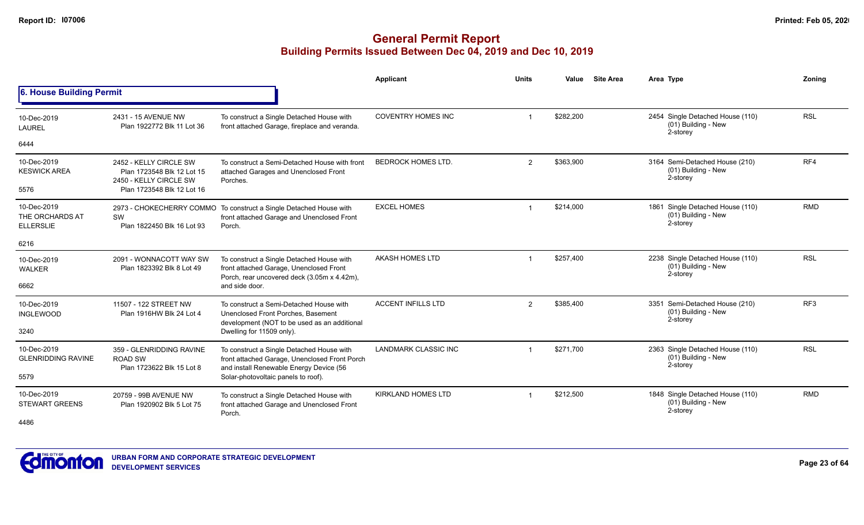|                                                    |                                                                                |                                                                                                                                       | <b>Applicant</b>            | <b>Units</b>   | Value     | <b>Site Area</b> | Area Type                                                           | Zoning          |
|----------------------------------------------------|--------------------------------------------------------------------------------|---------------------------------------------------------------------------------------------------------------------------------------|-----------------------------|----------------|-----------|------------------|---------------------------------------------------------------------|-----------------|
| 6. House Building Permit                           |                                                                                |                                                                                                                                       |                             |                |           |                  |                                                                     |                 |
| 10-Dec-2019<br>LAUREL                              | 2431 - 15 AVENUE NW<br>Plan 1922772 Blk 11 Lot 36                              | To construct a Single Detached House with<br>front attached Garage, fireplace and veranda.                                            | <b>COVENTRY HOMES INC</b>   |                | \$282,200 |                  | 2454 Single Detached House (110)<br>(01) Building - New<br>2-storey | <b>RSL</b>      |
| 6444                                               |                                                                                |                                                                                                                                       |                             |                |           |                  |                                                                     |                 |
| 10-Dec-2019<br><b>KESWICK AREA</b>                 | 2452 - KELLY CIRCLE SW<br>Plan 1723548 Blk 12 Lot 15<br>2450 - KELLY CIRCLE SW | To construct a Semi-Detached House with front<br>attached Garages and Unenclosed Front<br>Porches.                                    | <b>BEDROCK HOMES LTD.</b>   | $\overline{2}$ | \$363,900 |                  | 3164 Semi-Detached House (210)<br>(01) Building - New<br>2-storey   | RF4             |
| 5576                                               | Plan 1723548 Blk 12 Lot 16                                                     |                                                                                                                                       |                             |                |           |                  |                                                                     |                 |
| 10-Dec-2019<br>THE ORCHARDS AT<br><b>ELLERSLIE</b> | SW<br>Plan 1822450 Blk 16 Lot 93                                               | 2973 - CHOKECHERRY COMMO To construct a Single Detached House with<br>front attached Garage and Unenclosed Front<br>Porch.            | <b>EXCEL HOMES</b>          | $\mathbf 1$    | \$214,000 |                  | 1861 Single Detached House (110)<br>(01) Building - New<br>2-storey | <b>RMD</b>      |
| 6216                                               |                                                                                |                                                                                                                                       |                             |                |           |                  |                                                                     |                 |
| 10-Dec-2019<br><b>WALKER</b>                       | 2091 - WONNACOTT WAY SW<br>Plan 1823392 Blk 8 Lot 49                           | To construct a Single Detached House with<br>front attached Garage, Unenclosed Front<br>Porch, rear uncovered deck (3.05m x 4.42m),   | AKASH HOMES LTD             |                | \$257,400 |                  | 2238 Single Detached House (110)<br>(01) Building - New<br>2-storey | <b>RSL</b>      |
| 6662                                               |                                                                                | and side door.                                                                                                                        |                             |                |           |                  |                                                                     |                 |
| 10-Dec-2019<br><b>INGLEWOOD</b>                    | 11507 - 122 STREET NW<br>Plan 1916HW Blk 24 Lot 4                              | To construct a Semi-Detached House with<br>Unenclosed Front Porches, Basement<br>development (NOT to be used as an additional         | <b>ACCENT INFILLS LTD</b>   | $\overline{2}$ | \$385.400 |                  | 3351 Semi-Detached House (210)<br>(01) Building - New<br>2-storey   | RF <sub>3</sub> |
| 3240                                               |                                                                                | Dwelling for 11509 only).                                                                                                             |                             |                |           |                  |                                                                     |                 |
| 10-Dec-2019<br><b>GLENRIDDING RAVINE</b>           | 359 - GLENRIDDING RAVINE<br><b>ROAD SW</b><br>Plan 1723622 Blk 15 Lot 8        | To construct a Single Detached House with<br>front attached Garage, Unenclosed Front Porch<br>and install Renewable Energy Device (56 | <b>LANDMARK CLASSIC INC</b> |                | \$271.700 |                  | 2363 Single Detached House (110)<br>(01) Building - New<br>2-storey | <b>RSL</b>      |
| 5579                                               |                                                                                | Solar-photovoltaic panels to roof).                                                                                                   |                             |                |           |                  |                                                                     |                 |
| 10-Dec-2019<br><b>STEWART GREENS</b>               | 20759 - 99B AVENUE NW<br>Plan 1920902 Blk 5 Lot 75                             | To construct a Single Detached House with<br>front attached Garage and Unenclosed Front<br>Porch.                                     | <b>KIRKLAND HOMES LTD</b>   | -1             | \$212,500 |                  | 1848 Single Detached House (110)<br>(01) Building - New<br>2-storey | <b>RMD</b>      |
| 4486                                               |                                                                                |                                                                                                                                       |                             |                |           |                  |                                                                     |                 |

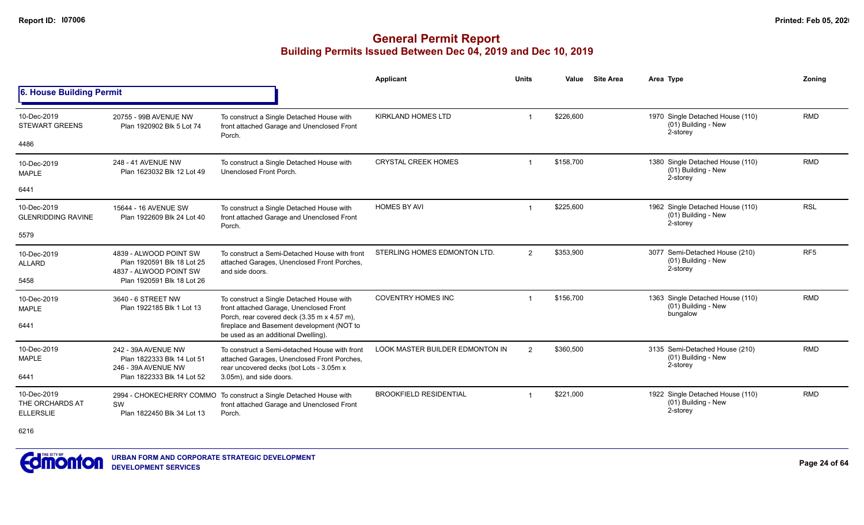## **General Permit Report Building Permits Issued Between Dec 04, 2019 and Dec 10, 2019**

|                                                    |                                                                                                        |                                                                                                                                                                     | <b>Applicant</b>                       | <b>Units</b>            | Value     | <b>Site Area</b> | Area Type                                                           | Zonina          |
|----------------------------------------------------|--------------------------------------------------------------------------------------------------------|---------------------------------------------------------------------------------------------------------------------------------------------------------------------|----------------------------------------|-------------------------|-----------|------------------|---------------------------------------------------------------------|-----------------|
| 6. House Building Permit                           |                                                                                                        |                                                                                                                                                                     |                                        |                         |           |                  |                                                                     |                 |
| 10-Dec-2019<br><b>STEWART GREENS</b>               | 20755 - 99B AVENUE NW<br>Plan 1920902 Blk 5 Lot 74                                                     | To construct a Single Detached House with<br>front attached Garage and Unenclosed Front<br>Porch.                                                                   | <b>KIRKLAND HOMES LTD</b>              |                         | \$226,600 |                  | 1970 Single Detached House (110)<br>(01) Building - New<br>2-storey | <b>RMD</b>      |
| 4486                                               |                                                                                                        |                                                                                                                                                                     |                                        |                         |           |                  |                                                                     |                 |
| 10-Dec-2019<br><b>MAPLE</b>                        | 248 - 41 AVENUE NW<br>Plan 1623032 Blk 12 Lot 49                                                       | To construct a Single Detached House with<br>Unenclosed Front Porch.                                                                                                | <b>CRYSTAL CREEK HOMES</b>             |                         | \$158.700 |                  | 1380 Single Detached House (110)<br>(01) Building - New<br>2-storey | <b>RMD</b>      |
| 6441                                               |                                                                                                        |                                                                                                                                                                     |                                        |                         |           |                  |                                                                     |                 |
| 10-Dec-2019<br><b>GLENRIDDING RAVINE</b>           | 15644 - 16 AVENUE SW<br>Plan 1922609 Blk 24 Lot 40                                                     | To construct a Single Detached House with<br>front attached Garage and Unenclosed Front<br>Porch.                                                                   | <b>HOMES BY AVI</b>                    | $\overline{\mathbf{1}}$ | \$225,600 |                  | 1962 Single Detached House (110)<br>(01) Building - New<br>2-storey | <b>RSL</b>      |
| 5579                                               |                                                                                                        |                                                                                                                                                                     |                                        |                         |           |                  |                                                                     |                 |
| 10-Dec-2019<br><b>ALLARD</b>                       | 4839 - ALWOOD POINT SW<br>Plan 1920591 Blk 18 Lot 25<br>4837 - ALWOOD POINT SW                         | To construct a Semi-Detached House with front<br>attached Garages, Unenclosed Front Porches,<br>and side doors.                                                     | STERLING HOMES EDMONTON LTD.           | $\overline{2}$          | \$353,900 |                  | 3077 Semi-Detached House (210)<br>(01) Building - New<br>2-storey   | RF <sub>5</sub> |
| 5458                                               | Plan 1920591 Blk 18 Lot 26                                                                             |                                                                                                                                                                     |                                        |                         |           |                  |                                                                     |                 |
| 10-Dec-2019<br><b>MAPLE</b>                        | 3640 - 6 STREET NW<br>Plan 1922185 Blk 1 Lot 13                                                        | To construct a Single Detached House with<br>front attached Garage, Unenclosed Front<br>Porch, rear covered deck (3.35 m x 4.57 m),                                 | <b>COVENTRY HOMES INC</b>              | -1                      | \$156,700 |                  | 1363 Single Detached House (110)<br>(01) Building - New<br>bungalow | <b>RMD</b>      |
| 6441                                               |                                                                                                        | fireplace and Basement development (NOT to<br>be used as an additional Dwelling).                                                                                   |                                        |                         |           |                  |                                                                     |                 |
| 10-Dec-2019<br><b>MAPLE</b><br>6441                | 242 - 39A AVENUE NW<br>Plan 1822333 Blk 14 Lot 51<br>246 - 39A AVENUE NW<br>Plan 1822333 Blk 14 Lot 52 | To construct a Semi-detached House with front<br>attached Garages, Unenclosed Front Porches,<br>rear uncovered decks (bot Lots - 3.05m x<br>3.05m), and side doors. | <b>LOOK MASTER BUILDER EDMONTON IN</b> | 2                       | \$360,500 |                  | 3135 Semi-Detached House (210)<br>(01) Building - New<br>2-storey   | <b>RMD</b>      |
|                                                    |                                                                                                        |                                                                                                                                                                     |                                        |                         |           |                  |                                                                     |                 |
| 10-Dec-2019<br>THE ORCHARDS AT<br><b>ELLERSLIE</b> | 2994 - CHOKECHERRY COMMO<br>SW<br>Plan 1822450 Blk 34 Lot 13                                           | To construct a Single Detached House with<br>front attached Garage and Unenclosed Front<br>Porch.                                                                   | <b>BROOKFIELD RESIDENTIAL</b>          |                         | \$221,000 |                  | 1922 Single Detached House (110)<br>(01) Building - New<br>2-storey | <b>RMD</b>      |

6216

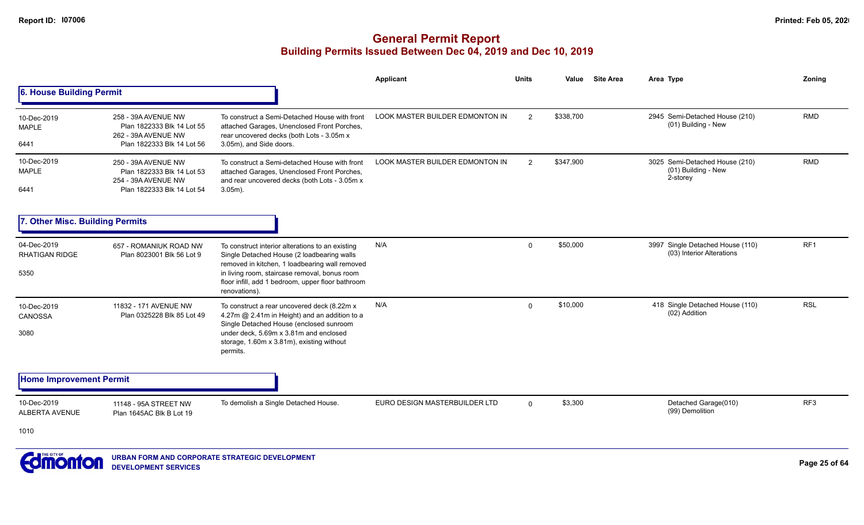#### **General Permit Report Building Permits Issued Between Dec 04, 2019 and Dec 10, 2019**

|                                              |                                                                                                        |                                                                                                                                                                                                                                                                         | Applicant                              | <b>Units</b>   | Value     | <b>Site Area</b> | Area Type                                                         | Zoning     |
|----------------------------------------------|--------------------------------------------------------------------------------------------------------|-------------------------------------------------------------------------------------------------------------------------------------------------------------------------------------------------------------------------------------------------------------------------|----------------------------------------|----------------|-----------|------------------|-------------------------------------------------------------------|------------|
| 6. House Building Permit                     |                                                                                                        |                                                                                                                                                                                                                                                                         |                                        |                |           |                  |                                                                   |            |
| 10-Dec-2019<br><b>MAPLE</b><br>6441          | 258 - 39A AVENUE NW<br>Plan 1822333 Blk 14 Lot 55<br>262 - 39A AVENUE NW<br>Plan 1822333 Blk 14 Lot 56 | To construct a Semi-Detached House with front<br>attached Garages, Unenclosed Front Porches,<br>rear uncovered decks (both Lots - 3.05m x<br>3.05m), and Side doors.                                                                                                    | <b>LOOK MASTER BUILDER EDMONTON IN</b> | $\overline{2}$ | \$338,700 |                  | 2945 Semi-Detached House (210)<br>(01) Building - New             | <b>RMD</b> |
| 10-Dec-2019<br>MAPLE<br>6441                 | 250 - 39A AVENUE NW<br>Plan 1822333 Blk 14 Lot 53<br>254 - 39A AVENUE NW<br>Plan 1822333 Blk 14 Lot 54 | To construct a Semi-detached House with front<br>attached Garages, Unenclosed Front Porches,<br>and rear uncovered decks (both Lots - 3.05m x<br>$3.05m$ ).                                                                                                             | LOOK MASTER BUILDER EDMONTON IN        | 2              | \$347,900 |                  | 3025 Semi-Detached House (210)<br>(01) Building - New<br>2-storey | <b>RMD</b> |
| 7. Other Misc. Building Permits              |                                                                                                        |                                                                                                                                                                                                                                                                         |                                        |                |           |                  |                                                                   |            |
| 04-Dec-2019<br><b>RHATIGAN RIDGE</b><br>5350 | 657 - ROMANIUK ROAD NW<br>Plan 8023001 Blk 56 Lot 9                                                    | To construct interior alterations to an existing<br>Single Detached House (2 loadbearing walls<br>removed in kitchen, 1 loadbearing wall removed<br>in living room, staircase removal, bonus room<br>floor infill, add 1 bedroom, upper floor bathroom<br>renovations). | N/A                                    | 0              | \$50,000  |                  | 3997 Single Detached House (110)<br>(03) Interior Alterations     | RF1        |
| 10-Dec-2019<br>CANOSSA<br>3080               | 11832 - 171 AVENUE NW<br>Plan 0325228 Blk 85 Lot 49                                                    | To construct a rear uncovered deck (8.22m x<br>4.27m @ 2.41m in Height) and an addition to a<br>Single Detached House (enclosed sunroom<br>under deck, 5.69m x 3.81m and enclosed<br>storage, 1.60m x 3.81m), existing without<br>permits.                              | N/A                                    | 0              | \$10,000  |                  | 418 Single Detached House (110)<br>(02) Addition                  | <b>RSL</b> |
| <b>Home Improvement Permit</b>               |                                                                                                        |                                                                                                                                                                                                                                                                         |                                        |                |           |                  |                                                                   |            |
| 10-Dec-2019<br><b>ALBERTA AVENUE</b>         | 11148 - 95A STREET NW<br>Plan 1645AC Blk B Lot 19                                                      | To demolish a Single Detached House.                                                                                                                                                                                                                                    | EURO DESIGN MASTERBUILDER LTD          | $\mathbf 0$    | \$3,300   |                  | Detached Garage(010)<br>(99) Demolition                           | RF3        |
| 1010                                         |                                                                                                        |                                                                                                                                                                                                                                                                         |                                        |                |           |                  |                                                                   |            |
| Campaton                                     |                                                                                                        | URBAN FORM AND CORPORATE STRATEGIC DEVELOPMENT                                                                                                                                                                                                                          |                                        |                |           |                  |                                                                   | $D = 0.50$ |

**COLIOLITOII** DEVELOPMENT SERVICES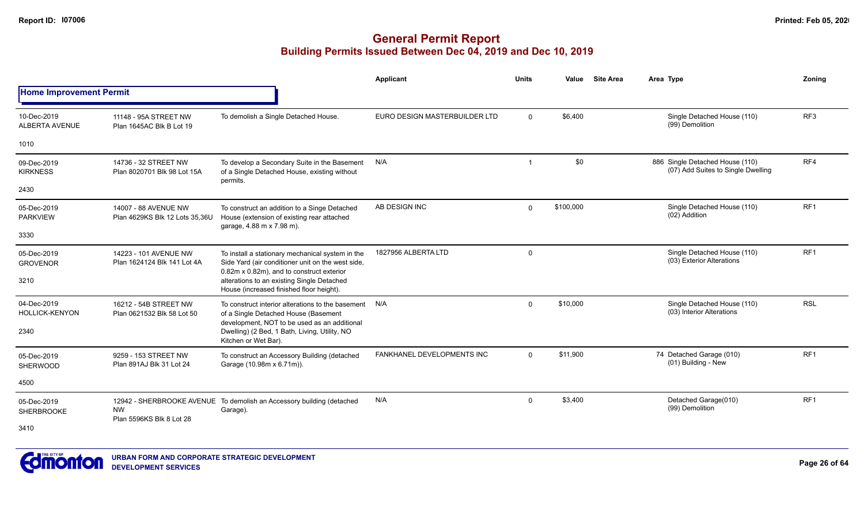|                                      |                                                        |                                                                                                                                                    | Applicant                     | <b>Units</b>   | Value     | <b>Site Area</b> | Area Type                                                             | Zonina          |
|--------------------------------------|--------------------------------------------------------|----------------------------------------------------------------------------------------------------------------------------------------------------|-------------------------------|----------------|-----------|------------------|-----------------------------------------------------------------------|-----------------|
| <b>Home Improvement Permit</b>       |                                                        |                                                                                                                                                    |                               |                |           |                  |                                                                       |                 |
| 10-Dec-2019<br><b>ALBERTA AVENUE</b> | 11148 - 95A STREET NW<br>Plan 1645AC Blk B Lot 19      | To demolish a Single Detached House.                                                                                                               | EURO DESIGN MASTERBUILDER LTD | $\mathbf{0}$   | \$6,400   |                  | Single Detached House (110)<br>(99) Demolition                        | RF <sub>3</sub> |
| 1010                                 |                                                        |                                                                                                                                                    |                               |                |           |                  |                                                                       |                 |
| 09-Dec-2019<br><b>KIRKNESS</b>       | 14736 - 32 STREET NW<br>Plan 8020701 Blk 98 Lot 15A    | To develop a Secondary Suite in the Basement<br>of a Single Detached House, existing without<br>permits.                                           | N/A                           | $\overline{1}$ | \$0       |                  | 886 Single Detached House (110)<br>(07) Add Suites to Single Dwelling | RF4             |
| 2430                                 |                                                        |                                                                                                                                                    |                               |                |           |                  |                                                                       |                 |
| 05-Dec-2019<br><b>PARKVIEW</b>       | 14007 - 88 AVENUE NW<br>Plan 4629KS Blk 12 Lots 35,36U | To construct an addition to a Singe Detached<br>House (extension of existing rear attached<br>garage, 4.88 m x 7.98 m).                            | AB DESIGN INC                 | $\mathbf{0}$   | \$100,000 |                  | Single Detached House (110)<br>(02) Addition                          | RF <sub>1</sub> |
| 3330                                 |                                                        |                                                                                                                                                    |                               |                |           |                  |                                                                       |                 |
| 05-Dec-2019<br><b>GROVENOR</b>       | 14223 - 101 AVENUE NW<br>Plan 1624124 Blk 141 Lot 4A   | To install a stationary mechanical system in the<br>Side Yard (air conditioner unit on the west side,<br>0.82m x 0.82m), and to construct exterior | 1827956 ALBERTA LTD           | 0              |           |                  | Single Detached House (110)<br>(03) Exterior Alterations              | RF <sub>1</sub> |
| 3210                                 |                                                        | alterations to an existing Single Detached<br>House (increased finished floor height).                                                             |                               |                |           |                  |                                                                       |                 |
| 04-Dec-2019<br><b>HOLLICK-KENYON</b> | 16212 - 54B STREET NW<br>Plan 0621532 Blk 58 Lot 50    | To construct interior alterations to the basement<br>of a Single Detached House (Basement<br>development, NOT to be used as an additional          | N/A                           | 0              | \$10,000  |                  | Single Detached House (110)<br>(03) Interior Alterations              | <b>RSL</b>      |
| 2340                                 |                                                        | Dwelling) (2 Bed, 1 Bath, Living, Utility, NO<br>Kitchen or Wet Bar).                                                                              |                               |                |           |                  |                                                                       |                 |
| 05-Dec-2019<br><b>SHERWOOD</b>       | 9259 - 153 STREET NW<br>Plan 891AJ Blk 31 Lot 24       | To construct an Accessory Building (detached<br>Garage (10.98m x 6.71m)).                                                                          | FANKHANEL DEVELOPMENTS INC    | $\Omega$       | \$11,900  |                  | 74 Detached Garage (010)<br>(01) Building - New                       | RF <sub>1</sub> |
| 4500                                 |                                                        |                                                                                                                                                    |                               |                |           |                  |                                                                       |                 |
| 05-Dec-2019<br>SHERBROOKE            | <b>NW</b>                                              | 12942 - SHERBROOKE AVENUE To demolish an Accessory building (detached<br>Garage).                                                                  | N/A                           | 0              | \$3,400   |                  | Detached Garage(010)<br>(99) Demolition                               | RF <sub>1</sub> |
| 3410                                 | Plan 5596KS Blk 8 Lot 28                               |                                                                                                                                                    |                               |                |           |                  |                                                                       |                 |

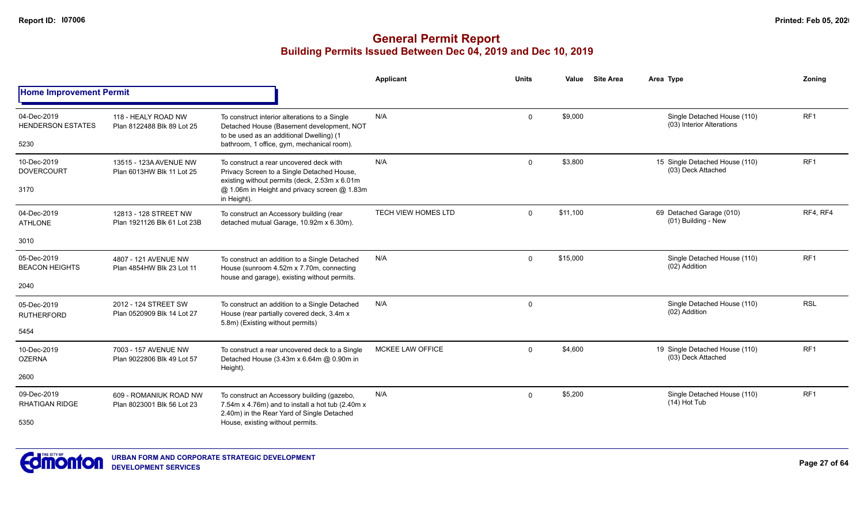|                                                 |                                                      |                                                                                                                                                                                                       | Applicant                  | <b>Units</b> | Value    | <b>Site Area</b> | Area Type                                                | Zoning          |
|-------------------------------------------------|------------------------------------------------------|-------------------------------------------------------------------------------------------------------------------------------------------------------------------------------------------------------|----------------------------|--------------|----------|------------------|----------------------------------------------------------|-----------------|
| <b>Home Improvement Permit</b>                  |                                                      |                                                                                                                                                                                                       |                            |              |          |                  |                                                          |                 |
| 04-Dec-2019<br><b>HENDERSON ESTATES</b><br>5230 | 118 - HEALY ROAD NW<br>Plan 8122488 Blk 89 Lot 25    | To construct interior alterations to a Single<br>Detached House (Basement development, NOT<br>to be used as an additional Dwelling) (1<br>bathroom, 1 office, gym, mechanical room).                  | N/A                        | $\Omega$     | \$9.000  |                  | Single Detached House (110)<br>(03) Interior Alterations | RF <sub>1</sub> |
| 10-Dec-2019<br><b>DOVERCOURT</b><br>3170        | 13515 - 123A AVENUE NW<br>Plan 6013HW Blk 11 Lot 25  | To construct a rear uncovered deck with<br>Privacy Screen to a Single Detached House,<br>existing without permits (deck, 2.53m x 6.01m<br>@ 1.06m in Height and privacy screen @ 1.83m<br>in Height). | N/A                        | $\Omega$     | \$3,800  |                  | 15 Single Detached House (110)<br>(03) Deck Attached     | RF <sub>1</sub> |
| 04-Dec-2019<br><b>ATHLONE</b>                   | 12813 - 128 STREET NW<br>Plan 1921126 Blk 61 Lot 23B | To construct an Accessory building (rear<br>detached mutual Garage, 10.92m x 6.30m).                                                                                                                  | <b>TECH VIEW HOMES LTD</b> | $\mathbf{0}$ | \$11,100 |                  | 69 Detached Garage (010)<br>(01) Building - New          | RF4, RF4        |
| 3010                                            |                                                      |                                                                                                                                                                                                       |                            |              |          |                  |                                                          |                 |
| 05-Dec-2019<br><b>BEACON HEIGHTS</b><br>2040    | 4807 - 121 AVENUE NW<br>Plan 4854HW Blk 23 Lot 11    | To construct an addition to a Single Detached<br>House (sunroom 4.52m x 7.70m, connecting<br>house and garage), existing without permits.                                                             | N/A                        | $\Omega$     | \$15,000 |                  | Single Detached House (110)<br>(02) Addition             | RF <sub>1</sub> |
| 05-Dec-2019<br><b>RUTHERFORD</b><br>5454        | 2012 - 124 STREET SW<br>Plan 0520909 Blk 14 Lot 27   | To construct an addition to a Single Detached<br>House (rear partially covered deck, 3.4m x<br>5.8m) (Existing without permits)                                                                       | N/A                        | $\Omega$     |          |                  | Single Detached House (110)<br>(02) Addition             | <b>RSL</b>      |
| 10-Dec-2019<br><b>OZERNA</b>                    | 7003 - 157 AVENUE NW<br>Plan 9022806 Blk 49 Lot 57   | To construct a rear uncovered deck to a Single<br>Detached House (3.43m x 6.64m @ 0.90m in<br>Height).                                                                                                | MCKEE LAW OFFICE           | $\Omega$     | \$4.600  |                  | 19 Single Detached House (110)<br>(03) Deck Attached     | RF <sub>1</sub> |
| 2600                                            |                                                      |                                                                                                                                                                                                       |                            |              |          |                  |                                                          |                 |
| 09-Dec-2019<br><b>RHATIGAN RIDGE</b>            | 609 - ROMANIUK ROAD NW<br>Plan 8023001 Blk 56 Lot 23 | To construct an Accessory building (gazebo,<br>7.54m x 4.76m) and to install a hot tub (2.40m x<br>2.40m) in the Rear Yard of Single Detached                                                         | N/A                        | $\Omega$     | \$5,200  |                  | Single Detached House (110)<br>$(14)$ Hot Tub            | RF <sub>1</sub> |
| 5350                                            |                                                      | House, existing without permits.                                                                                                                                                                      |                            |              |          |                  |                                                          |                 |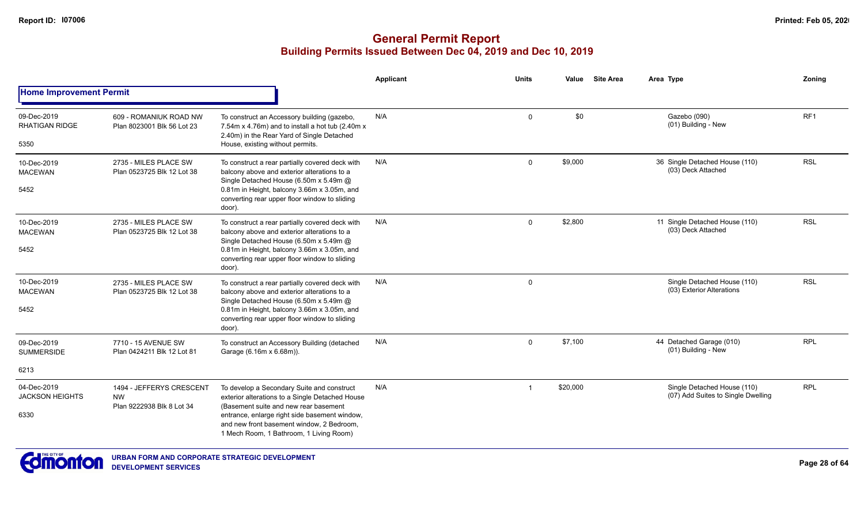|                                       |                                                      |                                                                                                                                                                                | Applicant | <b>Units</b> | Value    | <b>Site Area</b> | Area Type                                                         | Zoning     |
|---------------------------------------|------------------------------------------------------|--------------------------------------------------------------------------------------------------------------------------------------------------------------------------------|-----------|--------------|----------|------------------|-------------------------------------------------------------------|------------|
| <b>Home Improvement Permit</b>        |                                                      |                                                                                                                                                                                |           |              |          |                  |                                                                   |            |
| 09-Dec-2019<br><b>RHATIGAN RIDGE</b>  | 609 - ROMANIUK ROAD NW<br>Plan 8023001 Blk 56 Lot 23 | To construct an Accessory building (gazebo,<br>7.54m x 4.76m) and to install a hot tub (2.40m x<br>2.40m) in the Rear Yard of Single Detached                                  | N/A       | $\mathbf 0$  | \$0      |                  | Gazebo (090)<br>(01) Building - New                               | RF1        |
| 5350                                  |                                                      | House, existing without permits.                                                                                                                                               |           |              |          |                  |                                                                   |            |
| 10-Dec-2019<br><b>MACEWAN</b>         | 2735 - MILES PLACE SW<br>Plan 0523725 Blk 12 Lot 38  | To construct a rear partially covered deck with<br>balcony above and exterior alterations to a                                                                                 | N/A       | $\Omega$     | \$9,000  |                  | 36 Single Detached House (110)<br>(03) Deck Attached              | <b>RSL</b> |
| 5452                                  |                                                      | Single Detached House (6.50m x 5.49m @<br>0.81m in Height, balcony 3.66m x 3.05m, and<br>converting rear upper floor window to sliding<br>door).                               |           |              |          |                  |                                                                   |            |
| 10-Dec-2019<br><b>MACEWAN</b>         | 2735 - MILES PLACE SW<br>Plan 0523725 Blk 12 Lot 38  | To construct a rear partially covered deck with<br>balcony above and exterior alterations to a                                                                                 | N/A       | $\mathbf 0$  | \$2,800  |                  | 11 Single Detached House (110)<br>(03) Deck Attached              | <b>RSL</b> |
| 5452                                  |                                                      | Single Detached House (6.50m x 5.49m @<br>0.81m in Height, balcony 3.66m x 3.05m, and<br>converting rear upper floor window to sliding<br>door).                               |           |              |          |                  |                                                                   |            |
| 10-Dec-2019<br><b>MACEWAN</b>         | 2735 - MILES PLACE SW<br>Plan 0523725 Blk 12 Lot 38  | To construct a rear partially covered deck with<br>balcony above and exterior alterations to a                                                                                 | N/A       | $\mathbf 0$  |          |                  | Single Detached House (110)<br>(03) Exterior Alterations          | <b>RSL</b> |
| 5452                                  |                                                      | Single Detached House (6.50m x 5.49m @<br>0.81m in Height, balcony 3.66m x 3.05m, and<br>converting rear upper floor window to sliding<br>door).                               |           |              |          |                  |                                                                   |            |
| 09-Dec-2019<br><b>SUMMERSIDE</b>      | 7710 - 15 AVENUE SW<br>Plan 0424211 Blk 12 Lot 81    | To construct an Accessory Building (detached<br>Garage (6.16m x 6.68m)).                                                                                                       | N/A       | $\mathbf 0$  | \$7,100  |                  | 44 Detached Garage (010)<br>(01) Building - New                   | <b>RPL</b> |
| 6213                                  |                                                      |                                                                                                                                                                                |           |              |          |                  |                                                                   |            |
| 04-Dec-2019<br><b>JACKSON HEIGHTS</b> | 1494 - JEFFERYS CRESCENT<br><b>NW</b>                | To develop a Secondary Suite and construct<br>exterior alterations to a Single Detached House                                                                                  | N/A       |              | \$20,000 |                  | Single Detached House (110)<br>(07) Add Suites to Single Dwelling | <b>RPL</b> |
| 6330                                  | Plan 9222938 Blk 8 Lot 34                            | (Basement suite and new rear basement<br>entrance, enlarge right side basement window,<br>and new front basement window. 2 Bedroom.<br>1 Mech Room, 1 Bathroom, 1 Living Room) |           |              |          |                  |                                                                   |            |

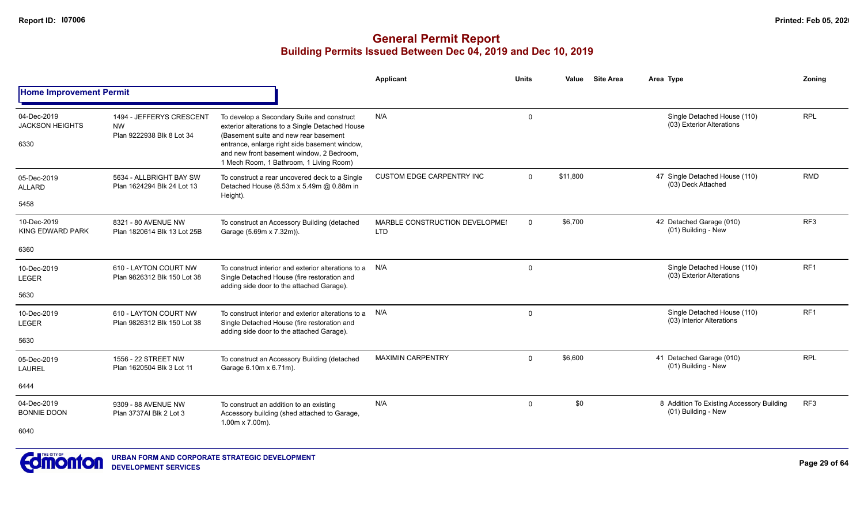|                                               |                                                                    |                                                                                                                                                                                                                                                                                 | Applicant                                    | <b>Units</b> | Value    | <b>Site Area</b> | Area Type                                                        | Zoning          |
|-----------------------------------------------|--------------------------------------------------------------------|---------------------------------------------------------------------------------------------------------------------------------------------------------------------------------------------------------------------------------------------------------------------------------|----------------------------------------------|--------------|----------|------------------|------------------------------------------------------------------|-----------------|
| <b>Home Improvement Permit</b>                |                                                                    |                                                                                                                                                                                                                                                                                 |                                              |              |          |                  |                                                                  |                 |
| 04-Dec-2019<br><b>JACKSON HEIGHTS</b><br>6330 | 1494 - JEFFERYS CRESCENT<br><b>NW</b><br>Plan 9222938 Blk 8 Lot 34 | To develop a Secondary Suite and construct<br>exterior alterations to a Single Detached House<br>(Basement suite and new rear basement<br>entrance, enlarge right side basement window,<br>and new front basement window, 2 Bedroom,<br>1 Mech Room, 1 Bathroom, 1 Living Room) | N/A                                          | $\mathbf 0$  |          |                  | Single Detached House (110)<br>(03) Exterior Alterations         | <b>RPL</b>      |
| 05-Dec-2019<br><b>ALLARD</b><br>5458          | 5634 - ALLBRIGHT BAY SW<br>Plan 1624294 Blk 24 Lot 13              | To construct a rear uncovered deck to a Single<br>Detached House (8.53m x 5.49m @ 0.88m in<br>Height).                                                                                                                                                                          | <b>CUSTOM EDGE CARPENTRY INC</b>             | $\Omega$     | \$11.800 |                  | 47 Single Detached House (110)<br>(03) Deck Attached             | <b>RMD</b>      |
| 10-Dec-2019<br><b>KING EDWARD PARK</b>        | 8321 - 80 AVENUE NW<br>Plan 1820614 Blk 13 Lot 25B                 | To construct an Accessory Building (detached<br>Garage (5.69m x 7.32m)).                                                                                                                                                                                                        | MARBLE CONSTRUCTION DEVELOPMEI<br><b>LTD</b> | $\mathbf{0}$ | \$6,700  |                  | 42 Detached Garage (010)<br>(01) Building - New                  | RF <sub>3</sub> |
| 6360                                          |                                                                    |                                                                                                                                                                                                                                                                                 |                                              |              |          |                  |                                                                  |                 |
| 10-Dec-2019<br><b>LEGER</b><br>5630           | 610 - LAYTON COURT NW<br>Plan 9826312 Blk 150 Lot 38               | To construct interior and exterior alterations to a<br>Single Detached House (fire restoration and<br>adding side door to the attached Garage).                                                                                                                                 | N/A                                          | $\mathbf 0$  |          |                  | Single Detached House (110)<br>(03) Exterior Alterations         | RF <sub>1</sub> |
| 10-Dec-2019<br>LEGER<br>5630                  | 610 - LAYTON COURT NW<br>Plan 9826312 Blk 150 Lot 38               | To construct interior and exterior alterations to a<br>Single Detached House (fire restoration and<br>adding side door to the attached Garage).                                                                                                                                 | N/A                                          | $\mathbf 0$  |          |                  | Single Detached House (110)<br>(03) Interior Alterations         | RF <sub>1</sub> |
| 05-Dec-2019<br><b>LAUREL</b>                  | 1556 - 22 STREET NW<br>Plan 1620504 Blk 3 Lot 11                   | To construct an Accessory Building (detached<br>Garage 6.10m x 6.71m).                                                                                                                                                                                                          | <b>MAXIMIN CARPENTRY</b>                     | $\mathbf{0}$ | \$6.600  |                  | 41 Detached Garage (010)<br>(01) Building - New                  | <b>RPL</b>      |
| 6444                                          |                                                                    |                                                                                                                                                                                                                                                                                 |                                              |              |          |                  |                                                                  |                 |
| 04-Dec-2019<br><b>BONNIE DOON</b>             | 9309 - 88 AVENUE NW<br>Plan 3737AI Blk 2 Lot 3                     | To construct an addition to an existing<br>Accessory building (shed attached to Garage,                                                                                                                                                                                         | N/A                                          | $\mathbf{0}$ | \$0      |                  | 8 Addition To Existing Accessory Building<br>(01) Building - New | RF3             |
| 6040                                          |                                                                    | $1.00m \times 7.00m$ ).                                                                                                                                                                                                                                                         |                                              |              |          |                  |                                                                  |                 |

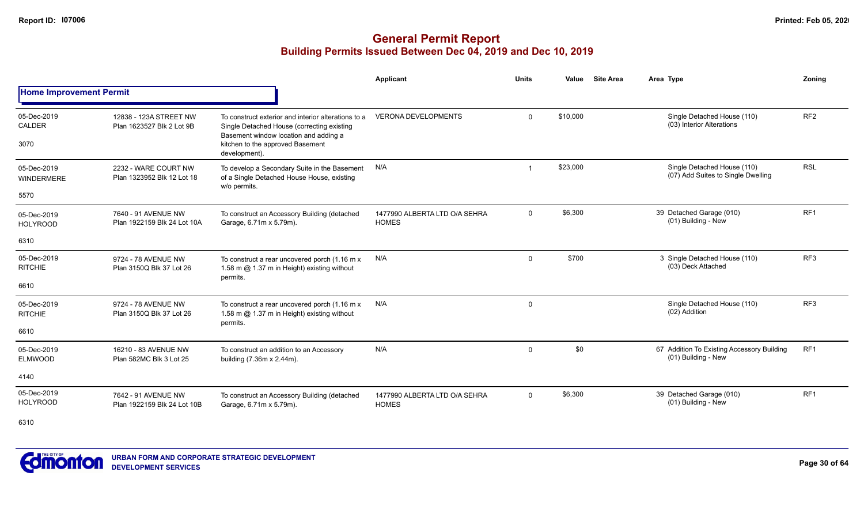|                                  |                                                     |                                                                                                          | <b>Applicant</b>                              | <b>Units</b>   | Value    | <b>Site Area</b> | Area Type                                                         | Zoning          |
|----------------------------------|-----------------------------------------------------|----------------------------------------------------------------------------------------------------------|-----------------------------------------------|----------------|----------|------------------|-------------------------------------------------------------------|-----------------|
| <b>Home Improvement Permit</b>   |                                                     |                                                                                                          |                                               |                |          |                  |                                                                   |                 |
| 05-Dec-2019<br><b>CALDER</b>     | 12838 - 123A STREET NW<br>Plan 1623527 Blk 2 Lot 9B | To construct exterior and interior alterations to a<br>Single Detached House (correcting existing        | <b>VERONA DEVELOPMENTS</b>                    | $\mathbf 0$    | \$10,000 |                  | Single Detached House (110)<br>(03) Interior Alterations          | RF <sub>2</sub> |
| 3070                             |                                                     | Basement window location and adding a<br>kitchen to the approved Basement<br>development).               |                                               |                |          |                  |                                                                   |                 |
| 05-Dec-2019<br><b>WINDERMERE</b> | 2232 - WARE COURT NW<br>Plan 1323952 Blk 12 Lot 18  | To develop a Secondary Suite in the Basement<br>of a Single Detached House House, existing               | N/A                                           | $\overline{1}$ | \$23,000 |                  | Single Detached House (110)<br>(07) Add Suites to Single Dwelling | <b>RSL</b>      |
| 5570                             |                                                     | w/o permits.                                                                                             |                                               |                |          |                  |                                                                   |                 |
| 05-Dec-2019<br><b>HOLYROOD</b>   | 7640 - 91 AVENUE NW<br>Plan 1922159 Blk 24 Lot 10A  | To construct an Accessory Building (detached<br>Garage, 6.71m x 5.79m).                                  | 1477990 ALBERTA LTD O/A SEHRA<br><b>HOMES</b> | $\mathbf 0$    | \$6,300  |                  | 39 Detached Garage (010)<br>(01) Building - New                   | RF <sub>1</sub> |
| 6310                             |                                                     |                                                                                                          |                                               |                |          |                  |                                                                   |                 |
| 05-Dec-2019<br><b>RITCHIE</b>    | 9724 - 78 AVENUE NW<br>Plan 3150Q Blk 37 Lot 26     | To construct a rear uncovered porch (1.16 m x<br>1.58 m @ 1.37 m in Height) existing without<br>permits. | N/A                                           | $\mathbf 0$    | \$700    |                  | 3 Single Detached House (110)<br>(03) Deck Attached               | RF <sub>3</sub> |
| 6610                             |                                                     |                                                                                                          |                                               |                |          |                  |                                                                   |                 |
| 05-Dec-2019<br><b>RITCHIE</b>    | 9724 - 78 AVENUE NW<br>Plan 3150Q Blk 37 Lot 26     | To construct a rear uncovered porch (1.16 m x<br>1.58 m @ 1.37 m in Height) existing without<br>permits. | N/A                                           | 0              |          |                  | Single Detached House (110)<br>(02) Addition                      | RF <sub>3</sub> |
| 6610                             |                                                     |                                                                                                          |                                               |                |          |                  |                                                                   |                 |
| 05-Dec-2019<br><b>ELMWOOD</b>    | 16210 - 83 AVENUE NW<br>Plan 582MC Blk 3 Lot 25     | To construct an addition to an Accessory<br>building (7.36m x 2.44m).                                    | N/A                                           | $\mathbf 0$    | \$0      |                  | 67 Addition To Existing Accessory Building<br>(01) Building - New | RF <sub>1</sub> |
| 4140                             |                                                     |                                                                                                          |                                               |                |          |                  |                                                                   |                 |
| 05-Dec-2019<br><b>HOLYROOD</b>   | 7642 - 91 AVENUE NW<br>Plan 1922159 Blk 24 Lot 10B  | To construct an Accessory Building (detached<br>Garage, 6.71m x 5.79m).                                  | 1477990 ALBERTA LTD O/A SEHRA<br><b>HOMES</b> | $\Omega$       | \$6,300  |                  | 39 Detached Garage (010)<br>(01) Building - New                   | RF <sub>1</sub> |
| 6310                             |                                                     |                                                                                                          |                                               |                |          |                  |                                                                   |                 |

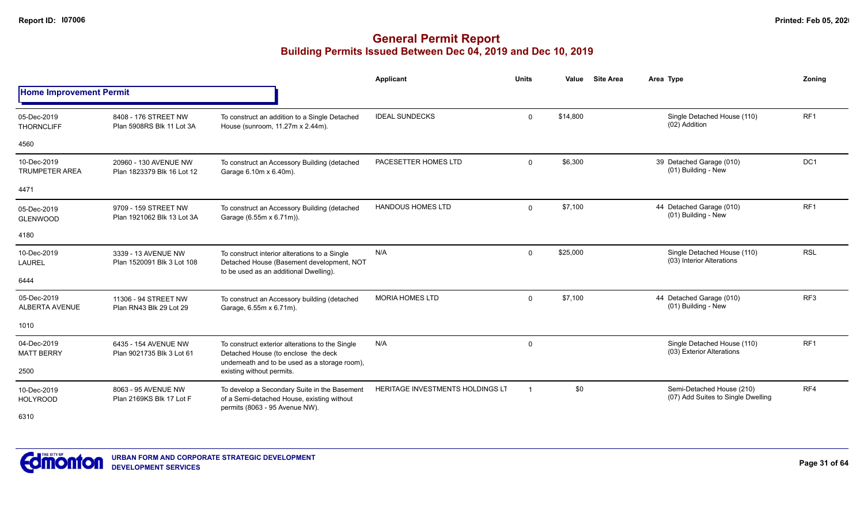|                                                                                                                                                                                                                                                                                                                                                                                                                                                                                                                                                                                                                                                                                                                                                                                                                                                                                                                                                                                                                                                                                                                                                                                                                                                                                                                                                                                                                                                                                                                       |                          |                                                                              | Applicant | <b>Units</b>            | Value    | <b>Site Area</b> | Area Type                                                       | Zonina          |
|-----------------------------------------------------------------------------------------------------------------------------------------------------------------------------------------------------------------------------------------------------------------------------------------------------------------------------------------------------------------------------------------------------------------------------------------------------------------------------------------------------------------------------------------------------------------------------------------------------------------------------------------------------------------------------------------------------------------------------------------------------------------------------------------------------------------------------------------------------------------------------------------------------------------------------------------------------------------------------------------------------------------------------------------------------------------------------------------------------------------------------------------------------------------------------------------------------------------------------------------------------------------------------------------------------------------------------------------------------------------------------------------------------------------------------------------------------------------------------------------------------------------------|--------------------------|------------------------------------------------------------------------------|-----------|-------------------------|----------|------------------|-----------------------------------------------------------------|-----------------|
| <b>Home Improvement Permit</b><br><b>IDEAL SUNDECKS</b><br>8408 - 176 STREET NW<br>05-Dec-2019<br>To construct an addition to a Single Detached<br>House (sunroom, 11.27m x 2.44m).<br>Plan 5908RS Blk 11 Lot 3A<br><b>THORNCLIFF</b><br>4560<br>10-Dec-2019<br>PACESETTER HOMES LTD<br>20960 - 130 AVENUE NW<br>To construct an Accessory Building (detached<br><b>TRUMPETER AREA</b><br>Garage 6.10m x 6.40m).<br>Plan 1823379 Blk 16 Lot 12<br>4471<br><b>HANDOUS HOMES LTD</b><br>9709 - 159 STREET NW<br>To construct an Accessory Building (detached<br>05-Dec-2019<br>Plan 1921062 Blk 13 Lot 3A<br>Garage (6.55m x 6.71m)).<br><b>GLENWOOD</b><br>4180<br>N/A<br>10-Dec-2019<br>3339 - 13 AVENUE NW<br>To construct interior alterations to a Single<br>Plan 1520091 Blk 3 Lot 108<br>Detached House (Basement development, NOT<br>LAUREL<br>to be used as an additional Dwelling).<br>6444<br>05-Dec-2019<br><b>MORIA HOMES LTD</b><br>11306 - 94 STREET NW<br>To construct an Accessory building (detached<br><b>ALBERTA AVENUE</b><br>Garage, 6.55m x 6.71m).<br>Plan RN43 Blk 29 Lot 29<br>1010<br>04-Dec-2019<br>N/A<br>6435 - 154 AVENUE NW<br>To construct exterior alterations to the Single<br><b>MATT BERRY</b><br>Detached House (to enclose the deck<br>Plan 9021735 Blk 3 Lot 61<br>underneath and to be used as a storage room),<br>2500<br>existing without permits.<br>HERITAGE INVESTMENTS HOLDINGS LT<br>To develop a Secondary Suite in the Basement<br>8063 - 95 AVENUE NW<br>10-Dec-2019 |                          |                                                                              |           |                         |          |                  |                                                                 |                 |
|                                                                                                                                                                                                                                                                                                                                                                                                                                                                                                                                                                                                                                                                                                                                                                                                                                                                                                                                                                                                                                                                                                                                                                                                                                                                                                                                                                                                                                                                                                                       |                          |                                                                              |           | $\mathbf{0}$            | \$14,800 |                  | Single Detached House (110)<br>(02) Addition                    | RF <sub>1</sub> |
|                                                                                                                                                                                                                                                                                                                                                                                                                                                                                                                                                                                                                                                                                                                                                                                                                                                                                                                                                                                                                                                                                                                                                                                                                                                                                                                                                                                                                                                                                                                       |                          |                                                                              |           |                         |          |                  |                                                                 |                 |
|                                                                                                                                                                                                                                                                                                                                                                                                                                                                                                                                                                                                                                                                                                                                                                                                                                                                                                                                                                                                                                                                                                                                                                                                                                                                                                                                                                                                                                                                                                                       |                          |                                                                              |           | $\mathbf{0}$            | \$6,300  |                  | 39 Detached Garage (010)<br>(01) Building - New                 | DC <sub>1</sub> |
|                                                                                                                                                                                                                                                                                                                                                                                                                                                                                                                                                                                                                                                                                                                                                                                                                                                                                                                                                                                                                                                                                                                                                                                                                                                                                                                                                                                                                                                                                                                       |                          |                                                                              |           |                         |          |                  |                                                                 |                 |
|                                                                                                                                                                                                                                                                                                                                                                                                                                                                                                                                                                                                                                                                                                                                                                                                                                                                                                                                                                                                                                                                                                                                                                                                                                                                                                                                                                                                                                                                                                                       |                          |                                                                              |           | $\mathbf{0}$            | \$7,100  |                  | 44 Detached Garage (010)<br>(01) Building - New                 | RF <sub>1</sub> |
|                                                                                                                                                                                                                                                                                                                                                                                                                                                                                                                                                                                                                                                                                                                                                                                                                                                                                                                                                                                                                                                                                                                                                                                                                                                                                                                                                                                                                                                                                                                       |                          |                                                                              |           |                         |          |                  |                                                                 |                 |
|                                                                                                                                                                                                                                                                                                                                                                                                                                                                                                                                                                                                                                                                                                                                                                                                                                                                                                                                                                                                                                                                                                                                                                                                                                                                                                                                                                                                                                                                                                                       |                          |                                                                              |           | $\mathbf 0$             | \$25,000 |                  | Single Detached House (110)<br>(03) Interior Alterations        | <b>RSL</b>      |
|                                                                                                                                                                                                                                                                                                                                                                                                                                                                                                                                                                                                                                                                                                                                                                                                                                                                                                                                                                                                                                                                                                                                                                                                                                                                                                                                                                                                                                                                                                                       |                          |                                                                              |           |                         |          |                  |                                                                 |                 |
|                                                                                                                                                                                                                                                                                                                                                                                                                                                                                                                                                                                                                                                                                                                                                                                                                                                                                                                                                                                                                                                                                                                                                                                                                                                                                                                                                                                                                                                                                                                       |                          |                                                                              |           | $\mathbf{0}$            | \$7,100  |                  | 44 Detached Garage (010)<br>(01) Building - New                 | RF <sub>3</sub> |
|                                                                                                                                                                                                                                                                                                                                                                                                                                                                                                                                                                                                                                                                                                                                                                                                                                                                                                                                                                                                                                                                                                                                                                                                                                                                                                                                                                                                                                                                                                                       |                          |                                                                              |           |                         |          |                  |                                                                 |                 |
|                                                                                                                                                                                                                                                                                                                                                                                                                                                                                                                                                                                                                                                                                                                                                                                                                                                                                                                                                                                                                                                                                                                                                                                                                                                                                                                                                                                                                                                                                                                       |                          |                                                                              |           | 0                       |          |                  | Single Detached House (110)<br>(03) Exterior Alterations        | RF <sub>1</sub> |
|                                                                                                                                                                                                                                                                                                                                                                                                                                                                                                                                                                                                                                                                                                                                                                                                                                                                                                                                                                                                                                                                                                                                                                                                                                                                                                                                                                                                                                                                                                                       |                          |                                                                              |           |                         |          |                  |                                                                 |                 |
| <b>HOLYROOD</b>                                                                                                                                                                                                                                                                                                                                                                                                                                                                                                                                                                                                                                                                                                                                                                                                                                                                                                                                                                                                                                                                                                                                                                                                                                                                                                                                                                                                                                                                                                       | Plan 2169KS Blk 17 Lot F | of a Semi-detached House, existing without<br>permits (8063 - 95 Avenue NW). |           | $\overline{\mathbf{1}}$ | \$0      |                  | Semi-Detached House (210)<br>(07) Add Suites to Single Dwelling | RF4             |
| 6310                                                                                                                                                                                                                                                                                                                                                                                                                                                                                                                                                                                                                                                                                                                                                                                                                                                                                                                                                                                                                                                                                                                                                                                                                                                                                                                                                                                                                                                                                                                  |                          |                                                                              |           |                         |          |                  |                                                                 |                 |

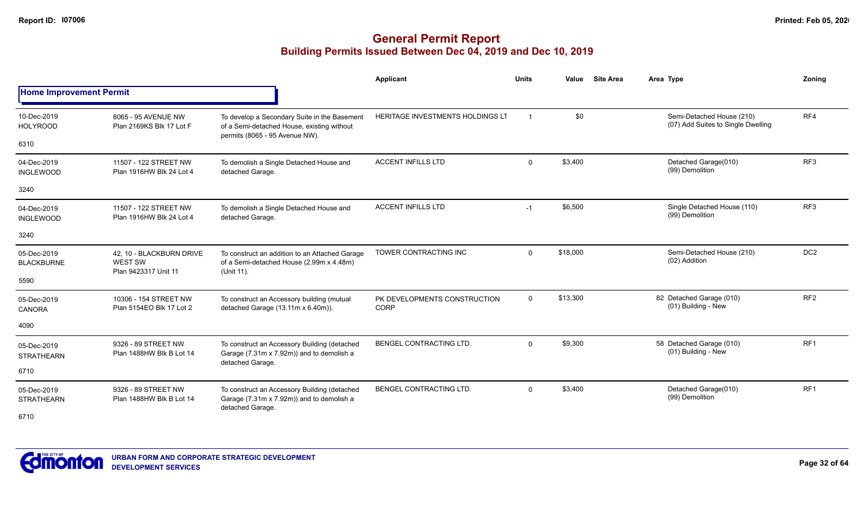|                                  |                                                             |                                                                                                                              | <b>Applicant</b>                            | <b>Units</b> | Value    | <b>Site Area</b> | Area Type                                                       | Zonina          |
|----------------------------------|-------------------------------------------------------------|------------------------------------------------------------------------------------------------------------------------------|---------------------------------------------|--------------|----------|------------------|-----------------------------------------------------------------|-----------------|
| <b>Home Improvement Permit</b>   |                                                             |                                                                                                                              |                                             |              |          |                  |                                                                 |                 |
| 10-Dec-2019<br><b>HOLYROOD</b>   | 8065 - 95 AVENUE NW<br>Plan 2169KS Blk 17 Lot F             | To develop a Secondary Suite in the Basement<br>of a Semi-detached House, existing without<br>permits (8065 - 95 Avenue NW). | <b>HERITAGE INVESTMENTS HOLDINGS LT</b>     |              | \$0      |                  | Semi-Detached House (210)<br>(07) Add Suites to Single Dwelling | RF4             |
| 6310                             |                                                             |                                                                                                                              |                                             |              |          |                  |                                                                 |                 |
| 04-Dec-2019<br><b>INGLEWOOD</b>  | 11507 - 122 STREET NW<br>Plan 1916HW Blk 24 Lot 4           | To demolish a Single Detached House and<br>detached Garage.                                                                  | <b>ACCENT INFILLS LTD</b>                   | $\mathbf 0$  | \$3,400  |                  | Detached Garage(010)<br>(99) Demolition                         | RF <sub>3</sub> |
| 3240                             |                                                             |                                                                                                                              |                                             |              |          |                  |                                                                 |                 |
| 04-Dec-2019<br><b>INGLEWOOD</b>  | 11507 - 122 STREET NW<br>Plan 1916HW Blk 24 Lot 4           | To demolish a Single Detached House and<br>detached Garage.                                                                  | <b>ACCENT INFILLS LTD</b>                   | $-1$         | \$6,500  |                  | Single Detached House (110)<br>(99) Demolition                  | RF <sub>3</sub> |
| 3240                             |                                                             |                                                                                                                              |                                             |              |          |                  |                                                                 |                 |
| 05-Dec-2019<br><b>BLACKBURNE</b> | 42. 10 - BLACKBURN DRIVE<br>WEST SW<br>Plan 9423317 Unit 11 | To construct an addition to an Attached Garage<br>of a Semi-detached House (2.99m x 4.48m)<br>(Unit 11).                     | TOWER CONTRACTING INC                       | $\Omega$     | \$18,000 |                  | Semi-Detached House (210)<br>(02) Addition                      | DC <sub>2</sub> |
| 5590                             |                                                             |                                                                                                                              |                                             |              |          |                  |                                                                 |                 |
| 05-Dec-2019<br><b>CANORA</b>     | 10306 - 154 STREET NW<br>Plan 5154EO Blk 17 Lot 2           | To construct an Accessory building (mutual<br>detached Garage (13.11m x 6.40m)).                                             | PK DEVELOPMENTS CONSTRUCTION<br><b>CORP</b> | $\Omega$     | \$13,300 |                  | 82 Detached Garage (010)<br>(01) Building - New                 | RF <sub>2</sub> |
| 4090                             |                                                             |                                                                                                                              |                                             |              |          |                  |                                                                 |                 |
| 05-Dec-2019<br><b>STRATHEARN</b> | 9326 - 89 STREET NW<br>Plan 1488HW Blk B Lot 14             | To construct an Accessory Building (detached<br>Garage (7.31m x 7.92m)) and to demolish a<br>detached Garage.                | <b>BENGEL CONTRACTING LTD.</b>              | $\Omega$     | \$9,300  |                  | 58 Detached Garage (010)<br>(01) Building - New                 | RF <sub>1</sub> |
| 6710                             |                                                             |                                                                                                                              |                                             |              |          |                  |                                                                 |                 |
| 05-Dec-2019<br><b>STRATHEARN</b> | 9326 - 89 STREET NW<br>Plan 1488HW Blk B Lot 14             | To construct an Accessory Building (detached<br>Garage (7.31m x 7.92m)) and to demolish a<br>detached Garage.                | <b>BENGEL CONTRACTING LTD.</b>              | $\mathbf{0}$ | \$3,400  |                  | Detached Garage(010)<br>(99) Demolition                         | RF <sub>1</sub> |
| 6710                             |                                                             |                                                                                                                              |                                             |              |          |                  |                                                                 |                 |

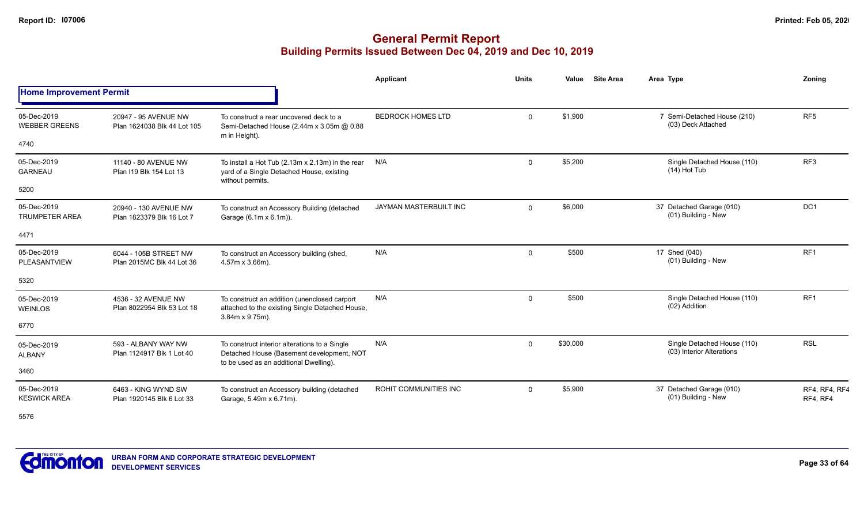|                                      |                                                     |                                                                                                                            | Applicant                | <b>Units</b> | Value                                                                                                                                                                                                                                                                                                                                                                  | <b>Site Area</b> | Area Type                                                | Zoning                    |
|--------------------------------------|-----------------------------------------------------|----------------------------------------------------------------------------------------------------------------------------|--------------------------|--------------|------------------------------------------------------------------------------------------------------------------------------------------------------------------------------------------------------------------------------------------------------------------------------------------------------------------------------------------------------------------------|------------------|----------------------------------------------------------|---------------------------|
| <b>Home Improvement Permit</b>       |                                                     |                                                                                                                            |                          |              | \$1,900<br>7 Semi-Detached House (210)<br>$\mathbf 0$<br>(03) Deck Attached<br>\$5,200<br>Single Detached House (110)<br>$\mathbf{0}$<br>$(14)$ Hot Tub<br>\$6,000<br>37 Detached Garage (010)<br>$\Omega$<br>(01) Building - New<br>\$500<br>17 Shed (040)<br>$\Omega$<br>(01) Building - New<br>\$500<br>Single Detached House (110)<br>$\mathbf 0$<br>(02) Addition |                  |                                                          |                           |
| 05-Dec-2019<br><b>WEBBER GREENS</b>  | 20947 - 95 AVENUE NW<br>Plan 1624038 Blk 44 Lot 105 | To construct a rear uncovered deck to a<br>Semi-Detached House (2.44m x 3.05m @ 0.88<br>m in Height).                      | <b>BEDROCK HOMES LTD</b> |              |                                                                                                                                                                                                                                                                                                                                                                        |                  |                                                          | RF <sub>5</sub>           |
| 4740                                 |                                                     |                                                                                                                            |                          |              |                                                                                                                                                                                                                                                                                                                                                                        |                  |                                                          |                           |
| 05-Dec-2019<br><b>GARNEAU</b>        | 11140 - 80 AVENUE NW<br>Plan I19 Blk 154 Lot 13     | To install a Hot Tub (2.13m x 2.13m) in the rear<br>yard of a Single Detached House, existing<br>without permits.          | N/A                      |              |                                                                                                                                                                                                                                                                                                                                                                        |                  |                                                          | RF <sub>3</sub>           |
| 5200                                 |                                                     |                                                                                                                            |                          |              |                                                                                                                                                                                                                                                                                                                                                                        |                  |                                                          |                           |
| 05-Dec-2019<br><b>TRUMPETER AREA</b> | 20940 - 130 AVENUE NW<br>Plan 1823379 Blk 16 Lot 7  | To construct an Accessory Building (detached<br>Garage (6.1m x 6.1m)).                                                     | JAYMAN MASTERBUILT INC   |              |                                                                                                                                                                                                                                                                                                                                                                        |                  |                                                          | DC <sub>1</sub>           |
| 4471                                 |                                                     |                                                                                                                            |                          |              |                                                                                                                                                                                                                                                                                                                                                                        |                  |                                                          |                           |
| 05-Dec-2019<br>PLEASANTVIEW          | 6044 - 105B STREET NW<br>Plan 2015MC Blk 44 Lot 36  | To construct an Accessory building (shed,<br>4.57m x 3.66m).                                                               | N/A                      |              |                                                                                                                                                                                                                                                                                                                                                                        |                  |                                                          | RF <sub>1</sub>           |
| 5320                                 |                                                     |                                                                                                                            |                          |              |                                                                                                                                                                                                                                                                                                                                                                        |                  |                                                          |                           |
| 05-Dec-2019<br><b>WEINLOS</b>        | 4536 - 32 AVENUE NW<br>Plan 8022954 Blk 53 Lot 18   | To construct an addition (unenclosed carport<br>attached to the existing Single Detached House,<br>$3.84m \times 9.75m$ ). | N/A                      |              |                                                                                                                                                                                                                                                                                                                                                                        |                  |                                                          | RF <sub>1</sub>           |
| 6770                                 |                                                     |                                                                                                                            |                          |              |                                                                                                                                                                                                                                                                                                                                                                        |                  |                                                          |                           |
| 05-Dec-2019<br><b>ALBANY</b>         | 593 - ALBANY WAY NW<br>Plan 1124917 Blk 1 Lot 40    | To construct interior alterations to a Single<br>Detached House (Basement development, NOT                                 | N/A                      | $\Omega$     | \$30,000                                                                                                                                                                                                                                                                                                                                                               |                  | Single Detached House (110)<br>(03) Interior Alterations | <b>RSL</b>                |
| 3460                                 | to be used as an additional Dwelling).              |                                                                                                                            |                          |              |                                                                                                                                                                                                                                                                                                                                                                        |                  |                                                          |                           |
| 05-Dec-2019<br><b>KESWICK AREA</b>   | 6463 - KING WYND SW<br>Plan 1920145 Blk 6 Lot 33    | To construct an Accessory building (detached<br>Garage, 5.49m x 6.71m).                                                    | ROHIT COMMUNITIES INC    | $\Omega$     | \$5,900                                                                                                                                                                                                                                                                                                                                                                |                  | 37 Detached Garage (010)<br>(01) Building - New          | RF4, RF4, RF4<br>RF4, RF4 |
| 5576                                 |                                                     |                                                                                                                            |                          |              |                                                                                                                                                                                                                                                                                                                                                                        |                  |                                                          |                           |



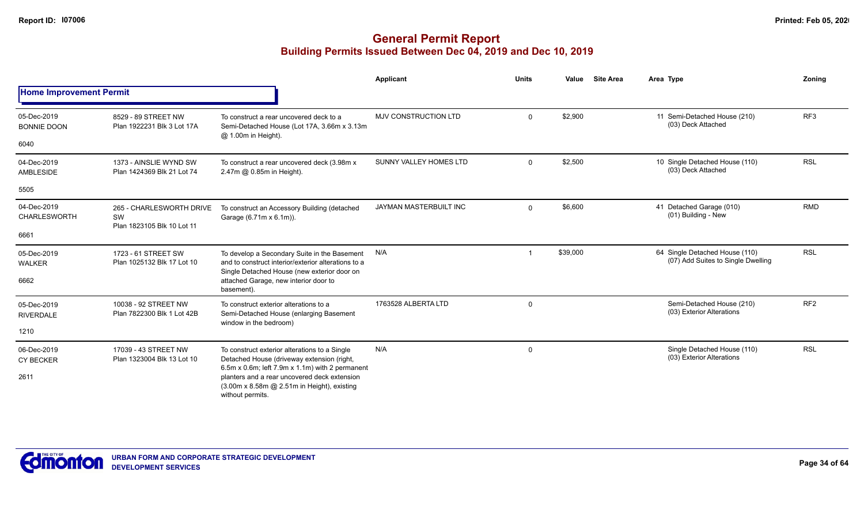|                                   |                                                                                                                                                                    |                                                                                                                                                    | <b>Applicant</b>            | <b>Units</b> | Value    | <b>Site Area</b> | Area Type                                                            | Zonina          |
|-----------------------------------|--------------------------------------------------------------------------------------------------------------------------------------------------------------------|----------------------------------------------------------------------------------------------------------------------------------------------------|-----------------------------|--------------|----------|------------------|----------------------------------------------------------------------|-----------------|
| <b>Home Improvement Permit</b>    |                                                                                                                                                                    |                                                                                                                                                    |                             |              |          |                  |                                                                      |                 |
| 05-Dec-2019<br><b>BONNIE DOON</b> | 8529 - 89 STREET NW<br>Plan 1922231 Blk 3 Lot 17A                                                                                                                  | To construct a rear uncovered deck to a<br>Semi-Detached House (Lot 17A, 3.66m x 3.13m)                                                            | <b>MJV CONSTRUCTION LTD</b> | $\mathbf{0}$ | \$2,900  |                  | 11 Semi-Detached House (210)<br>(03) Deck Attached                   | RF <sub>3</sub> |
| 6040                              |                                                                                                                                                                    | @ 1.00m in Height).                                                                                                                                |                             |              |          |                  |                                                                      |                 |
| 04-Dec-2019<br>AMBLESIDE          | 1373 - AINSLIE WYND SW<br>Plan 1424369 Blk 21 Lot 74                                                                                                               | To construct a rear uncovered deck (3.98m x<br>2.47m @ 0.85m in Height).                                                                           | SUNNY VALLEY HOMES LTD      | $\mathbf{0}$ | \$2,500  |                  | 10 Single Detached House (110)<br>(03) Deck Attached                 | <b>RSL</b>      |
| 5505                              |                                                                                                                                                                    |                                                                                                                                                    |                             |              |          |                  |                                                                      |                 |
| 04-Dec-2019<br>CHARLESWORTH       | 265 - CHARLESWORTH DRIVE<br>SW<br>Plan 1823105 Blk 10 Lot 11                                                                                                       | To construct an Accessory Building (detached<br>Garage (6.71m x 6.1m)).                                                                            | JAYMAN MASTERBUILT INC      | $\mathbf{0}$ | \$6,600  |                  | 41 Detached Garage (010)<br>(01) Building - New                      | <b>RMD</b>      |
| 6661                              |                                                                                                                                                                    |                                                                                                                                                    |                             |              |          |                  |                                                                      |                 |
| 05-Dec-2019<br><b>WALKER</b>      | 1723 - 61 STREET SW<br>Plan 1025132 Blk 17 Lot 10                                                                                                                  | To develop a Secondary Suite in the Basement<br>and to construct interior/exterior alterations to a<br>Single Detached House (new exterior door on | N/A                         |              | \$39,000 |                  | 64 Single Detached House (110)<br>(07) Add Suites to Single Dwelling | <b>RSL</b>      |
| 6662                              |                                                                                                                                                                    | attached Garage, new interior door to<br>basement).                                                                                                |                             |              |          |                  |                                                                      |                 |
| 05-Dec-2019<br><b>RIVERDALE</b>   | 10038 - 92 STREET NW<br>Plan 7822300 Blk 1 Lot 42B                                                                                                                 | To construct exterior alterations to a<br>Semi-Detached House (enlarging Basement<br>window in the bedroom)                                        | 1763528 ALBERTA LTD         | 0            |          |                  | Semi-Detached House (210)<br>(03) Exterior Alterations               | RF <sub>2</sub> |
| 1210                              |                                                                                                                                                                    |                                                                                                                                                    |                             |              |          |                  |                                                                      |                 |
| 06-Dec-2019<br><b>CY BECKER</b>   | 17039 - 43 STREET NW<br>Plan 1323004 Blk 13 Lot 10                                                                                                                 | To construct exterior alterations to a Single<br>Detached House (driveway extension (right,                                                        | N/A                         | 0            |          |                  | Single Detached House (110)<br>(03) Exterior Alterations             | <b>RSL</b>      |
| 2611                              | 6.5m x 0.6m; left 7.9m x 1.1m) with 2 permanent<br>planters and a rear uncovered deck extension<br>(3.00m x 8.58m @ 2.51m in Height), existing<br>without permits. |                                                                                                                                                    |                             |              |          |                  |                                                                      |                 |

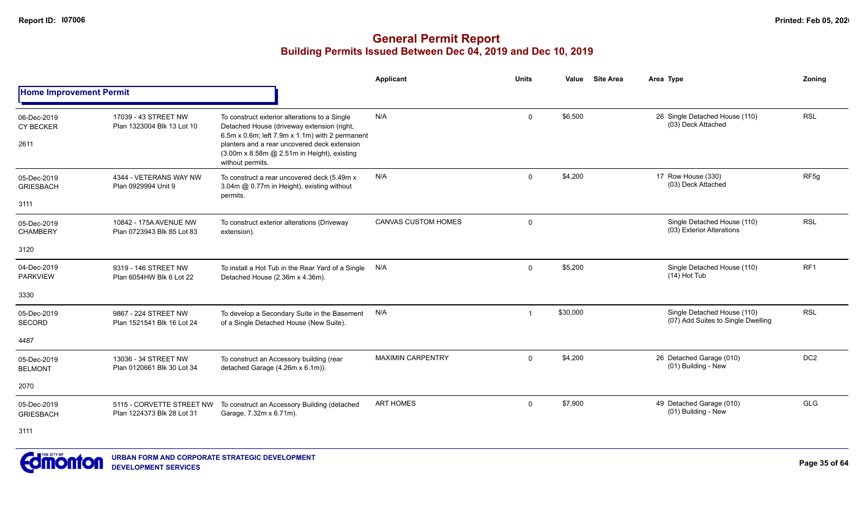|                                         |                                                         |                                                                                                                                                                                                                                                                   | <b>Applicant</b>           | <b>Units</b> | Value    | <b>Site Area</b> | Area Type                                                         | Zonina           |
|-----------------------------------------|---------------------------------------------------------|-------------------------------------------------------------------------------------------------------------------------------------------------------------------------------------------------------------------------------------------------------------------|----------------------------|--------------|----------|------------------|-------------------------------------------------------------------|------------------|
| <b>Home Improvement Permit</b>          |                                                         |                                                                                                                                                                                                                                                                   |                            |              |          |                  |                                                                   |                  |
| 06-Dec-2019<br><b>CY BECKER</b><br>2611 | 17039 - 43 STREET NW<br>Plan 1323004 Blk 13 Lot 10      | To construct exterior alterations to a Single<br>Detached House (driveway extension (right,<br>6.5m x 0.6m; left 7.9m x 1.1m) with 2 permanent<br>planters and a rear uncovered deck extension<br>(3.00m x 8.58m @ 2.51m in Height), existing<br>without permits. | N/A                        | 0            | \$6,500  |                  | 26 Single Detached House (110)<br>(03) Deck Attached              | <b>RSL</b>       |
| 05-Dec-2019<br><b>GRIESBACH</b><br>3111 | 4344 - VETERANS WAY NW<br>Plan 0929994 Unit 9           | To construct a rear uncovered deck (5.49m x<br>3.04m @ 0.77m in Height), existing without<br>permits.                                                                                                                                                             | N/A                        | $\mathbf 0$  | \$4,200  |                  | 17 Row House (330)<br>(03) Deck Attached                          | RF <sub>5g</sub> |
| 05-Dec-2019<br><b>CHAMBERY</b>          | 10842 - 175A AVENUE NW<br>Plan 0723943 Blk 85 Lot 83    | To construct exterior alterations (Driveway<br>extension).                                                                                                                                                                                                        | <b>CANVAS CUSTOM HOMES</b> | $\mathbf 0$  |          |                  | Single Detached House (110)<br>(03) Exterior Alterations          | <b>RSL</b>       |
| 3120                                    |                                                         |                                                                                                                                                                                                                                                                   |                            |              |          |                  |                                                                   |                  |
| 04-Dec-2019<br><b>PARKVIEW</b>          | 9319 - 146 STREET NW<br>Plan 6054HW Blk 6 Lot 22        | To install a Hot Tub in the Rear Yard of a Single<br>Detached House (2.36m x 4.36m).                                                                                                                                                                              | N/A                        | $\mathbf 0$  | \$5,200  |                  | Single Detached House (110)<br>$(14)$ Hot Tub                     | RF <sub>1</sub>  |
| 3330                                    |                                                         |                                                                                                                                                                                                                                                                   |                            |              |          |                  |                                                                   |                  |
| 05-Dec-2019<br><b>SECORD</b>            | 9867 - 224 STREET NW<br>Plan 1521541 Blk 16 Lot 24      | To develop a Secondary Suite in the Basement<br>of a Single Detached House (New Suite).                                                                                                                                                                           | N/A                        | -1           | \$30,000 |                  | Single Detached House (110)<br>(07) Add Suites to Single Dwelling | <b>RSL</b>       |
| 4487                                    |                                                         |                                                                                                                                                                                                                                                                   |                            |              |          |                  |                                                                   |                  |
| 05-Dec-2019<br><b>BELMONT</b>           | 13036 - 34 STREET NW<br>Plan 0120661 Blk 30 Lot 34      | To construct an Accessory building (rear<br>detached Garage (4.26m x 6.1m)).                                                                                                                                                                                      | <b>MAXIMIN CARPENTRY</b>   | $\mathbf 0$  | \$4,200  |                  | 26 Detached Garage (010)<br>(01) Building - New                   | DC <sub>2</sub>  |
| 2070                                    |                                                         |                                                                                                                                                                                                                                                                   |                            |              |          |                  |                                                                   |                  |
| 05-Dec-2019<br><b>GRIESBACH</b>         | 5115 - CORVETTE STREET NW<br>Plan 1224373 Blk 28 Lot 31 | To construct an Accessory Building (detached<br>Garage, 7.32m x 6.71m).                                                                                                                                                                                           | <b>ART HOMES</b>           | $\mathbf 0$  | \$7,900  |                  | 49 Detached Garage (010)<br>(01) Building - New                   | <b>GLG</b>       |
| 3111                                    |                                                         |                                                                                                                                                                                                                                                                   |                            |              |          |                  |                                                                   |                  |

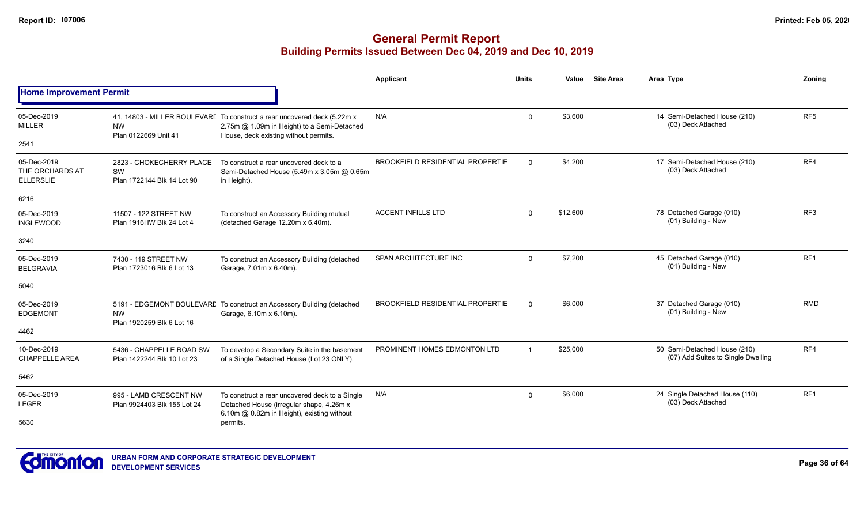|                                                    |                                                              |                                                                                                                                                                  | Applicant                               | Units          | Value    | <b>Site Area</b> | Area Type                                                          | Zoning          |
|----------------------------------------------------|--------------------------------------------------------------|------------------------------------------------------------------------------------------------------------------------------------------------------------------|-----------------------------------------|----------------|----------|------------------|--------------------------------------------------------------------|-----------------|
| <b>Home Improvement Permit</b>                     |                                                              |                                                                                                                                                                  |                                         |                |          |                  |                                                                    |                 |
| 05-Dec-2019<br><b>MILLER</b>                       | <b>NW</b><br>Plan 0122669 Unit 41                            | 41, 14803 - MILLER BOULEVARE To construct a rear uncovered deck (5.22m x<br>2.75m @ 1.09m in Height) to a Semi-Detached<br>House, deck existing without permits. | N/A                                     | $\Omega$       | \$3,600  |                  | 14 Semi-Detached House (210)<br>(03) Deck Attached                 | RF <sub>5</sub> |
| 2541                                               |                                                              |                                                                                                                                                                  |                                         |                |          |                  |                                                                    |                 |
| 05-Dec-2019<br>THE ORCHARDS AT<br><b>ELLERSLIE</b> | 2823 - CHOKECHERRY PLACE<br>SW<br>Plan 1722144 Blk 14 Lot 90 | To construct a rear uncovered deck to a<br>Semi-Detached House (5.49m x 3.05m @ 0.65m<br>in Height).                                                             | <b>BROOKFIELD RESIDENTIAL PROPERTIE</b> | $\Omega$       | \$4,200  |                  | 17 Semi-Detached House (210)<br>(03) Deck Attached                 | RF4             |
| 6216                                               |                                                              |                                                                                                                                                                  |                                         |                |          |                  |                                                                    |                 |
| 05-Dec-2019<br><b>INGLEWOOD</b>                    | 11507 - 122 STREET NW<br>Plan 1916HW Blk 24 Lot 4            | To construct an Accessory Building mutual<br>(detached Garage 12.20m x 6.40m).                                                                                   | <b>ACCENT INFILLS LTD</b>               | $\Omega$       | \$12,600 |                  | 78 Detached Garage (010)<br>(01) Building - New                    | RF3             |
| 3240                                               |                                                              |                                                                                                                                                                  |                                         |                |          |                  |                                                                    |                 |
| 05-Dec-2019<br><b>BELGRAVIA</b>                    | 7430 - 119 STREET NW<br>Plan 1723016 Blk 6 Lot 13            | To construct an Accessory Building (detached<br>Garage, 7.01m x 6.40m).                                                                                          | SPAN ARCHITECTURE INC                   | $\Omega$       | \$7,200  |                  | 45 Detached Garage (010)<br>(01) Building - New                    | RF <sub>1</sub> |
| 5040                                               |                                                              |                                                                                                                                                                  |                                         |                |          |                  |                                                                    |                 |
| 05-Dec-2019<br><b>EDGEMONT</b>                     | <b>NW</b><br>Plan 1920259 Blk 6 Lot 16                       | 5191 - EDGEMONT BOULEVARE To construct an Accessory Building (detached<br>Garage, 6.10m x 6.10m).                                                                | <b>BROOKFIELD RESIDENTIAL PROPERTIE</b> | $\Omega$       | \$6,000  |                  | 37 Detached Garage (010)<br>(01) Building - New                    | <b>RMD</b>      |
| 4462                                               |                                                              |                                                                                                                                                                  |                                         |                |          |                  |                                                                    |                 |
| 10-Dec-2019<br><b>CHAPPELLE AREA</b>               | 5436 - CHAPPELLE ROAD SW<br>Plan 1422244 Blk 10 Lot 23       | To develop a Secondary Suite in the basement<br>of a Single Detached House (Lot 23 ONLY).                                                                        | PROMINENT HOMES EDMONTON LTD            | $\overline{1}$ | \$25,000 |                  | 50 Semi-Detached House (210)<br>(07) Add Suites to Single Dwelling | RF4             |
| 5462                                               |                                                              |                                                                                                                                                                  |                                         |                |          |                  |                                                                    |                 |
| 05-Dec-2019<br>LEGER                               | 995 - LAMB CRESCENT NW<br>Plan 9924403 Blk 155 Lot 24        | To construct a rear uncovered deck to a Single<br>Detached House (irregular shape, 4.26m x                                                                       | N/A                                     | $\Omega$       | \$6,000  |                  | 24 Single Detached House (110)<br>(03) Deck Attached               | RF1             |
| 5630                                               |                                                              | 6.10m @ 0.82m in Height), existing without<br>permits.                                                                                                           |                                         |                |          |                  |                                                                    |                 |

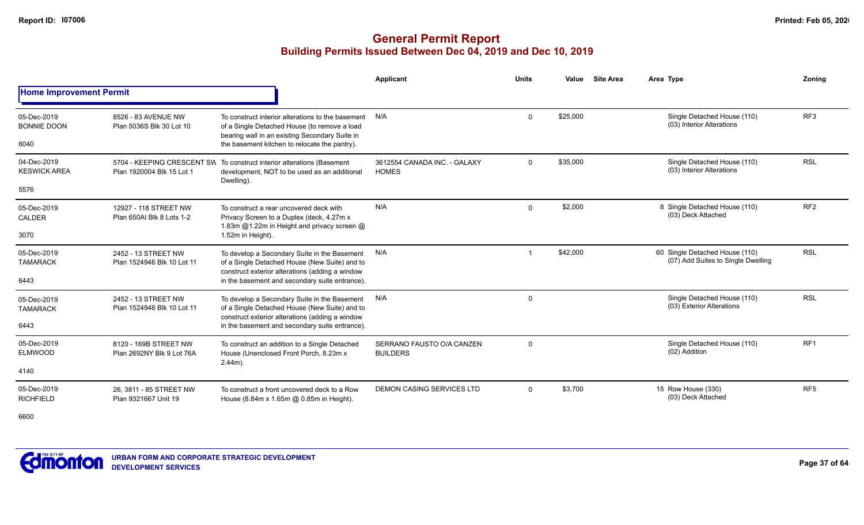## **General Permit Report Building Permits Issued Between Dec 04, 2019 and Dec 10, 2019**

|                                    |                                                    |                                                                                                                                                     | Applicant                                    | <b>Units</b> | Value    | <b>Site Area</b> | Area Type                                                            | Zonina          |
|------------------------------------|----------------------------------------------------|-----------------------------------------------------------------------------------------------------------------------------------------------------|----------------------------------------------|--------------|----------|------------------|----------------------------------------------------------------------|-----------------|
| <b>Home Improvement Permit</b>     |                                                    |                                                                                                                                                     |                                              |              |          |                  |                                                                      |                 |
| 05-Dec-2019<br><b>BONNIE DOON</b>  | 8526 - 83 AVENUE NW<br>Plan 5036S Blk 30 Lot 10    | To construct interior alterations to the basement<br>of a Single Detached House (to remove a load<br>bearing wall in an existing Secondary Suite in | N/A                                          | 0            | \$25,000 |                  | Single Detached House (110)<br>(03) Interior Alterations             | RF <sub>3</sub> |
| 6040                               |                                                    | the basement kitchen to relocate the pantry).                                                                                                       |                                              |              |          |                  |                                                                      |                 |
| 04-Dec-2019<br><b>KESWICK AREA</b> | Plan 1920004 Blk 15 Lot 1                          | 5704 - KEEPING CRESCENT SW To construct interior alterations (Basement<br>development, NOT to be used as an additional<br>Dwelling).                | 3612554 CANADA INC. - GALAXY<br><b>HOMES</b> | 0            | \$35,000 |                  | Single Detached House (110)<br>(03) Interior Alterations             | <b>RSL</b>      |
| 5576                               |                                                    |                                                                                                                                                     |                                              |              |          |                  |                                                                      |                 |
| 05-Dec-2019<br><b>CALDER</b>       | 12927 - 118 STREET NW<br>Plan 650AI Blk 8 Lots 1-2 | To construct a rear uncovered deck with<br>Privacy Screen to a Duplex (deck, 4.27m x<br>1.83m @1.22m in Height and privacy screen @                 | N/A                                          | $\Omega$     | \$2,000  |                  | 8 Single Detached House (110)<br>(03) Deck Attached                  | RF <sub>2</sub> |
| 3070                               |                                                    | 1.52m in Height).                                                                                                                                   |                                              |              |          |                  |                                                                      |                 |
| 05-Dec-2019<br><b>TAMARACK</b>     | 2452 - 13 STREET NW<br>Plan 1524946 Blk 10 Lot 11  | To develop a Secondary Suite in the Basement<br>of a Single Detached House (New Suite) and to<br>construct exterior alterations (adding a window    | N/A                                          |              | \$42,000 |                  | 60 Single Detached House (110)<br>(07) Add Suites to Single Dwelling | <b>RSL</b>      |
| 6443                               |                                                    | in the basement and secondary suite entrance).                                                                                                      |                                              |              |          |                  |                                                                      |                 |
| 05-Dec-2019<br><b>TAMARACK</b>     | 2452 - 13 STREET NW<br>Plan 1524946 Blk 10 Lot 11  | To develop a Secondary Suite in the Basement<br>of a Single Detached House (New Suite) and to<br>construct exterior alterations (adding a window    | N/A                                          | $\Omega$     |          |                  | Single Detached House (110)<br>(03) Exterior Alterations             | <b>RSL</b>      |
| 6443                               |                                                    | in the basement and secondary suite entrance).                                                                                                      |                                              |              |          |                  |                                                                      |                 |
| 05-Dec-2019<br><b>ELMWOOD</b>      | 8120 - 169B STREET NW<br>Plan 2692NY Blk 9 Lot 76A | To construct an addition to a Single Detached<br>House (Unenclosed Front Porch, 8.23m x<br>$2.44m$ ).                                               | SERRANO FAUSTO O/A CANZEN<br><b>BUILDERS</b> | $\Omega$     |          |                  | Single Detached House (110)<br>(02) Addition                         | RF <sub>1</sub> |
| 4140                               |                                                    |                                                                                                                                                     |                                              |              |          |                  |                                                                      |                 |
| 05-Dec-2019<br><b>RICHFIELD</b>    | 26, 3811 - 85 STREET NW<br>Plan 9321667 Unit 19    | To construct a front uncovered deck to a Row<br>House (8.84m x 1.65m @ 0.85m in Height).                                                            | <b>DEMON CASING SERVICES LTD</b>             | $\mathbf{0}$ | \$3,700  |                  | 15 Row House (330)<br>(03) Deck Attached                             | RF <sub>5</sub> |

6600

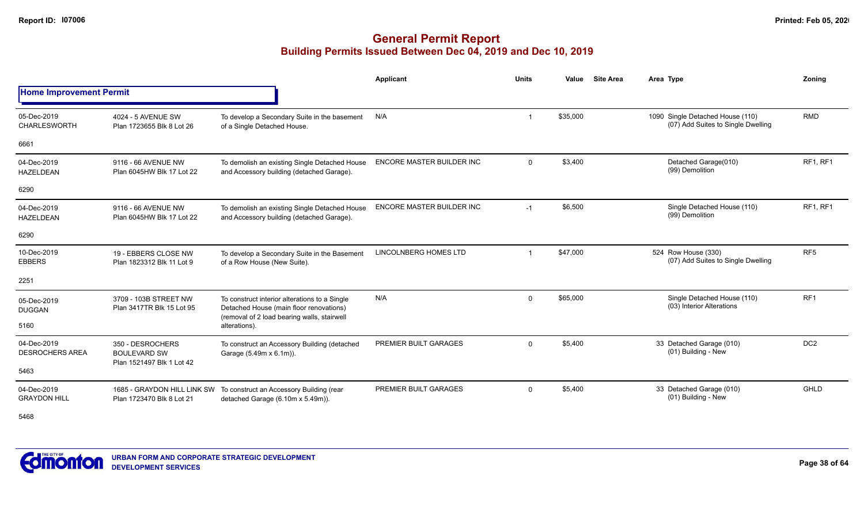## **General Permit Report Building Permits Issued Between Dec 04, 2019 and Dec 10, 2019**

|                                       |                                                                      |                                                                                                                                         | <b>Applicant</b>                 | <b>Units</b> | Value    | <b>Site Area</b> | Area Type                                                              | Zoning          |
|---------------------------------------|----------------------------------------------------------------------|-----------------------------------------------------------------------------------------------------------------------------------------|----------------------------------|--------------|----------|------------------|------------------------------------------------------------------------|-----------------|
| <b>Home Improvement Permit</b>        |                                                                      |                                                                                                                                         |                                  |              |          |                  |                                                                        |                 |
| 05-Dec-2019<br>CHARLESWORTH           | 4024 - 5 AVENUE SW<br>Plan 1723655 Blk 8 Lot 26                      | To develop a Secondary Suite in the basement<br>of a Single Detached House.                                                             | N/A                              | -1           | \$35,000 |                  | 1090 Single Detached House (110)<br>(07) Add Suites to Single Dwelling | <b>RMD</b>      |
| 6661                                  |                                                                      |                                                                                                                                         |                                  |              |          |                  |                                                                        |                 |
| 04-Dec-2019<br><b>HAZELDEAN</b>       | 9116 - 66 AVENUE NW<br>Plan 6045HW Blk 17 Lot 22                     | To demolish an existing Single Detached House<br>and Accessory building (detached Garage).                                              | <b>ENCORE MASTER BUILDER INC</b> | $\mathbf 0$  | \$3,400  |                  | Detached Garage(010)<br>(99) Demolition                                | RF1, RF1        |
| 6290                                  |                                                                      |                                                                                                                                         |                                  |              |          |                  |                                                                        |                 |
| 04-Dec-2019<br><b>HAZELDEAN</b>       | 9116 - 66 AVENUE NW<br>Plan 6045HW Blk 17 Lot 22                     | To demolish an existing Single Detached House<br>and Accessory building (detached Garage).                                              | ENCORE MASTER BUILDER INC        | $-1$         | \$6,500  |                  | Single Detached House (110)<br>(99) Demolition                         | RF1, RF1        |
| 6290                                  |                                                                      |                                                                                                                                         |                                  |              |          |                  |                                                                        |                 |
| 10-Dec-2019<br><b>EBBERS</b>          | 19 - EBBERS CLOSE NW<br>Plan 1823312 Blk 11 Lot 9                    | To develop a Secondary Suite in the Basement<br>of a Row House (New Suite).                                                             | <b>LINCOLNBERG HOMES LTD</b>     | -1           | \$47,000 |                  | 524 Row House (330)<br>(07) Add Suites to Single Dwelling              | RF <sub>5</sub> |
| 2251                                  |                                                                      |                                                                                                                                         |                                  |              |          |                  |                                                                        |                 |
| 05-Dec-2019<br><b>DUGGAN</b>          | 3709 - 103B STREET NW<br>Plan 3417TR Blk 15 Lot 95                   | To construct interior alterations to a Single<br>Detached House (main floor renovations)<br>(removal of 2 load bearing walls, stairwell | N/A                              | $\mathbf 0$  | \$65,000 |                  | Single Detached House (110)<br>(03) Interior Alterations               | RF <sub>1</sub> |
| 5160                                  |                                                                      | alterations).                                                                                                                           |                                  |              |          |                  |                                                                        |                 |
| 04-Dec-2019<br><b>DESROCHERS AREA</b> | 350 - DESROCHERS<br><b>BOULEVARD SW</b><br>Plan 1521497 Blk 1 Lot 42 | To construct an Accessory Building (detached<br>Garage (5.49m x 6.1m)).                                                                 | PREMIER BUILT GARAGES            | $\Omega$     | \$5,400  |                  | 33 Detached Garage (010)<br>(01) Building - New                        | DC <sub>2</sub> |
| 5463                                  |                                                                      |                                                                                                                                         |                                  |              |          |                  |                                                                        |                 |
| 04-Dec-2019<br><b>GRAYDON HILL</b>    | 1685 - GRAYDON HILL LINK SW<br>Plan 1723470 Blk 8 Lot 21             | To construct an Accessory Building (rear<br>detached Garage (6.10m x 5.49m)).                                                           | PREMIER BUILT GARAGES            | $\Omega$     | \$5,400  |                  | 33 Detached Garage (010)<br>(01) Building - New                        | GHLD            |

5468

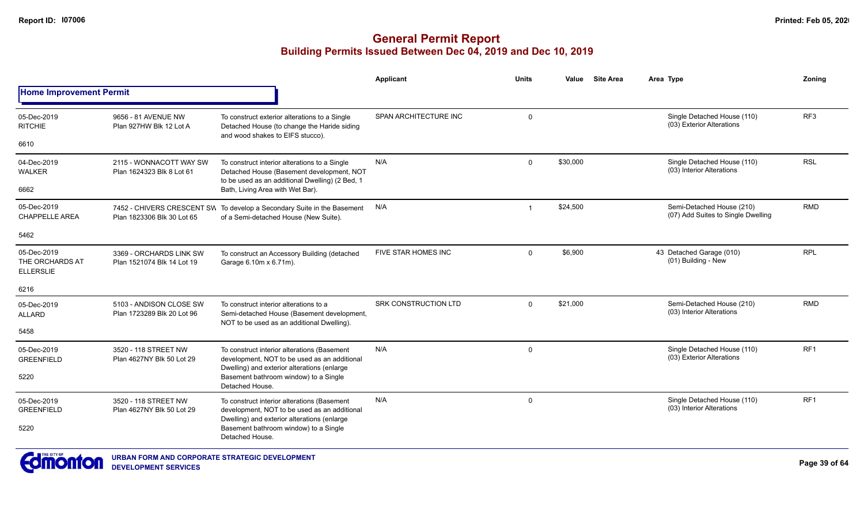|                                                    |                                                          |                                                                                                                                                                                     | Applicant                   | <b>Units</b> | Value    | <b>Site Area</b> | Area Type                                                       | Zoning          |
|----------------------------------------------------|----------------------------------------------------------|-------------------------------------------------------------------------------------------------------------------------------------------------------------------------------------|-----------------------------|--------------|----------|------------------|-----------------------------------------------------------------|-----------------|
| <b>Home Improvement Permit</b>                     |                                                          |                                                                                                                                                                                     |                             |              |          |                  |                                                                 |                 |
| 05-Dec-2019<br><b>RITCHIE</b><br>6610              | 9656 - 81 AVENUE NW<br>Plan 927HW Blk 12 Lot A           | To construct exterior alterations to a Single<br>Detached House (to change the Haride siding<br>and wood shakes to EIFS stucco).                                                    | SPAN ARCHITECTURE INC       | $\mathbf 0$  |          |                  | Single Detached House (110)<br>(03) Exterior Alterations        | RF3             |
| 04-Dec-2019<br>WALKER<br>6662                      | 2115 - WONNACOTT WAY SW<br>Plan 1624323 Blk 8 Lot 61     | To construct interior alterations to a Single<br>Detached House (Basement development, NOT<br>to be used as an additional Dwelling) (2 Bed, 1<br>Bath, Living Area with Wet Bar).   | N/A                         | $\mathbf{0}$ | \$30,000 |                  | Single Detached House (110)<br>(03) Interior Alterations        | <b>RSL</b>      |
| 05-Dec-2019<br><b>CHAPPELLE AREA</b>               | 7452 - CHIVERS CRESCENT SW<br>Plan 1823306 Blk 30 Lot 65 | To develop a Secondary Suite in the Basement<br>of a Semi-detached House (New Suite).                                                                                               | N/A                         | $\mathbf{1}$ | \$24,500 |                  | Semi-Detached House (210)<br>(07) Add Suites to Single Dwelling | <b>RMD</b>      |
| 5462                                               |                                                          |                                                                                                                                                                                     |                             |              |          |                  |                                                                 |                 |
| 05-Dec-2019<br>THE ORCHARDS AT<br><b>ELLERSLIE</b> | 3369 - ORCHARDS LINK SW<br>Plan 1521074 Blk 14 Lot 19    | To construct an Accessory Building (detached<br>Garage 6.10m x 6.71m).                                                                                                              | FIVE STAR HOMES INC         | $\mathbf{0}$ | \$6,900  |                  | 43 Detached Garage (010)<br>(01) Building - New                 | <b>RPL</b>      |
| 6216                                               |                                                          |                                                                                                                                                                                     |                             |              |          |                  |                                                                 |                 |
| 05-Dec-2019<br><b>ALLARD</b>                       | 5103 - ANDISON CLOSE SW<br>Plan 1723289 Blk 20 Lot 96    | To construct interior alterations to a<br>Semi-detached House (Basement development,<br>NOT to be used as an additional Dwelling).                                                  | <b>SRK CONSTRUCTION LTD</b> | $\mathbf 0$  | \$21,000 |                  | Semi-Detached House (210)<br>(03) Interior Alterations          | <b>RMD</b>      |
| 5458                                               |                                                          |                                                                                                                                                                                     |                             |              |          |                  |                                                                 |                 |
| 05-Dec-2019<br><b>GREENFIELD</b><br>5220           | 3520 - 118 STREET NW<br>Plan 4627NY Blk 50 Lot 29        | To construct interior alterations (Basement<br>development, NOT to be used as an additional<br>Dwelling) and exterior alterations (enlarge<br>Basement bathroom window) to a Single | N/A                         | $\mathbf 0$  |          |                  | Single Detached House (110)<br>(03) Exterior Alterations        | RF <sub>1</sub> |
|                                                    |                                                          | Detached House.                                                                                                                                                                     |                             |              |          |                  |                                                                 |                 |
| 05-Dec-2019<br><b>GREENFIELD</b>                   | 3520 - 118 STREET NW<br>Plan 4627NY Blk 50 Lot 29        | To construct interior alterations (Basement<br>development, NOT to be used as an additional<br>Dwelling) and exterior alterations (enlarge                                          | N/A                         | 0            |          |                  | Single Detached House (110)<br>(03) Interior Alterations        | RF <sub>1</sub> |
| 5220                                               |                                                          | Basement bathroom window) to a Single<br>Detached House.                                                                                                                            |                             |              |          |                  |                                                                 |                 |
| <b>EXTREMELTING</b><br>$\sim$                      |                                                          |                                                                                                                                                                                     |                             |              |          |                  |                                                                 |                 |

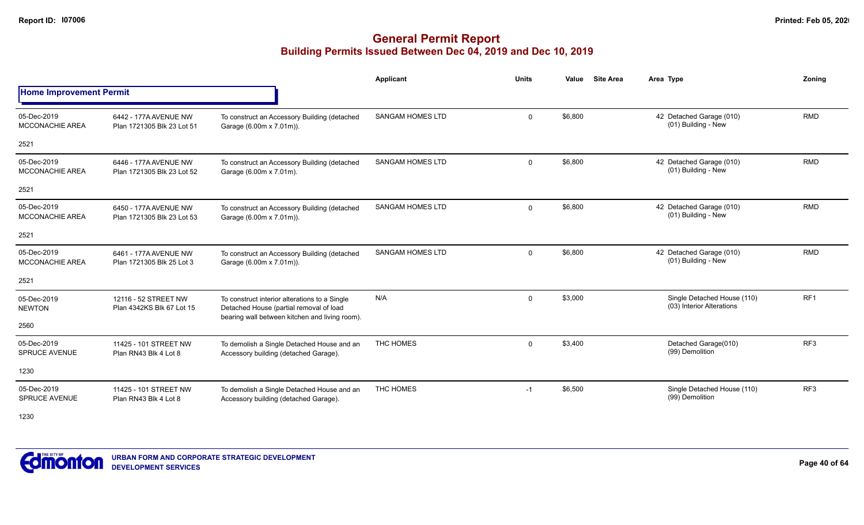|                                       |                                                     |                                                                                                                                            | Applicant               | <b>Units</b> | Value   | <b>Site Area</b> | Area Type                                                | Zonina          |
|---------------------------------------|-----------------------------------------------------|--------------------------------------------------------------------------------------------------------------------------------------------|-------------------------|--------------|---------|------------------|----------------------------------------------------------|-----------------|
| <b>Home Improvement Permit</b>        |                                                     |                                                                                                                                            |                         |              |         |                  |                                                          |                 |
| 05-Dec-2019<br><b>MCCONACHIE AREA</b> | 6442 - 177A AVENUE NW<br>Plan 1721305 Blk 23 Lot 51 | To construct an Accessory Building (detached<br>Garage (6.00m x 7.01m)).                                                                   | <b>SANGAM HOMES LTD</b> | 0            | \$6,800 |                  | 42 Detached Garage (010)<br>(01) Building - New          | <b>RMD</b>      |
| 2521                                  |                                                     |                                                                                                                                            |                         |              |         |                  |                                                          |                 |
| 05-Dec-2019<br><b>MCCONACHIE AREA</b> | 6446 - 177A AVENUE NW<br>Plan 1721305 Blk 23 Lot 52 | To construct an Accessory Building (detached<br>Garage (6.00m x 7.01m).                                                                    | <b>SANGAM HOMES LTD</b> | 0            | \$6,800 |                  | 42 Detached Garage (010)<br>(01) Building - New          | <b>RMD</b>      |
| 2521                                  |                                                     |                                                                                                                                            |                         |              |         |                  |                                                          |                 |
| 05-Dec-2019<br>MCCONACHIE AREA        | 6450 - 177A AVENUE NW<br>Plan 1721305 Blk 23 Lot 53 | To construct an Accessory Building (detached<br>Garage (6.00m x 7.01m)).                                                                   | <b>SANGAM HOMES LTD</b> | 0            | \$6,800 |                  | 42 Detached Garage (010)<br>(01) Building - New          | <b>RMD</b>      |
| 2521                                  |                                                     |                                                                                                                                            |                         |              |         |                  |                                                          |                 |
| 05-Dec-2019<br><b>MCCONACHIE AREA</b> | 6461 - 177A AVENUE NW<br>Plan 1721305 Blk 25 Lot 3  | To construct an Accessory Building (detached<br>Garage (6.00m x 7.01m)).                                                                   | <b>SANGAM HOMES LTD</b> | 0            | \$6,800 |                  | 42 Detached Garage (010)<br>(01) Building - New          | <b>RMD</b>      |
| 2521                                  |                                                     |                                                                                                                                            |                         |              |         |                  |                                                          |                 |
| 05-Dec-2019<br><b>NEWTON</b>          | 12116 - 52 STREET NW<br>Plan 4342KS Blk 67 Lot 15   | To construct interior alterations to a Single<br>Detached House (partial removal of load<br>bearing wall between kitchen and living room). | N/A                     | 0            | \$3,000 |                  | Single Detached House (110)<br>(03) Interior Alterations | RF <sub>1</sub> |
| 2560                                  |                                                     |                                                                                                                                            |                         |              |         |                  |                                                          |                 |
| 05-Dec-2019<br><b>SPRUCE AVENUE</b>   | 11425 - 101 STREET NW<br>Plan RN43 Blk 4 Lot 8      | To demolish a Single Detached House and an<br>Accessory building (detached Garage).                                                        | THC HOMES               | 0            | \$3,400 |                  | Detached Garage(010)<br>(99) Demolition                  | RF <sub>3</sub> |
| 1230                                  |                                                     |                                                                                                                                            |                         |              |         |                  |                                                          |                 |
| 05-Dec-2019<br><b>SPRUCE AVENUE</b>   | 11425 - 101 STREET NW<br>Plan RN43 Blk 4 Lot 8      | To demolish a Single Detached House and an<br>Accessory building (detached Garage).                                                        | THC HOMES               | $-1$         | \$6,500 |                  | Single Detached House (110)<br>(99) Demolition           | RF <sub>3</sub> |



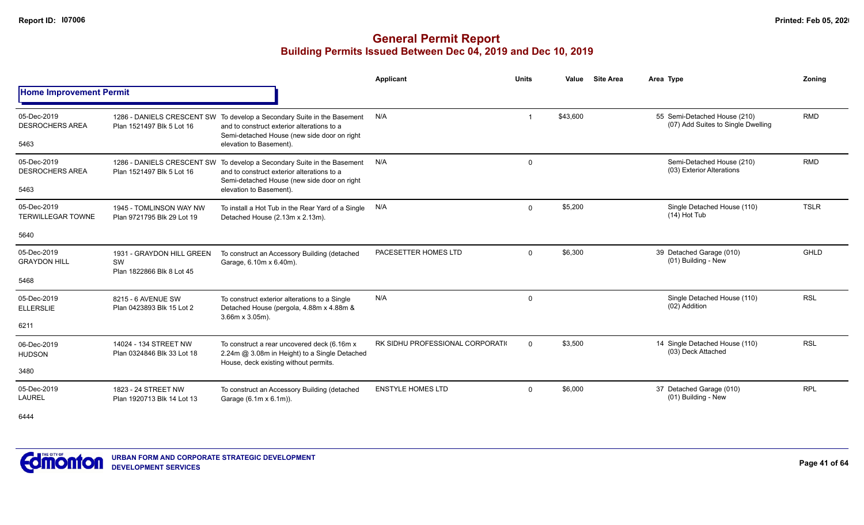## **General Permit Report Building Permits Issued Between Dec 04, 2019 and Dec 10, 2019**

|                                               |                                                              |                                                                                                                                                                                                 | Applicant                         | <b>Units</b> | Value    | <b>Site Area</b> | Area Type                                                          | Zonina      |
|-----------------------------------------------|--------------------------------------------------------------|-------------------------------------------------------------------------------------------------------------------------------------------------------------------------------------------------|-----------------------------------|--------------|----------|------------------|--------------------------------------------------------------------|-------------|
| <b>Home Improvement Permit</b>                |                                                              |                                                                                                                                                                                                 |                                   |              |          |                  |                                                                    |             |
| 05-Dec-2019<br><b>DESROCHERS AREA</b><br>5463 | Plan 1521497 Blk 5 Lot 16                                    | 1286 - DANIELS CRESCENT SW To develop a Secondary Suite in the Basement<br>and to construct exterior alterations to a<br>Semi-detached House (new side door on right<br>elevation to Basement). | N/A                               |              | \$43,600 |                  | 55 Semi-Detached House (210)<br>(07) Add Suites to Single Dwelling | <b>RMD</b>  |
| 05-Dec-2019<br><b>DESROCHERS AREA</b><br>5463 | Plan 1521497 Blk 5 Lot 16                                    | 1286 - DANIELS CRESCENT SW To develop a Secondary Suite in the Basement<br>and to construct exterior alterations to a<br>Semi-detached House (new side door on right<br>elevation to Basement). | N/A                               | $\mathbf 0$  |          |                  | Semi-Detached House (210)<br>(03) Exterior Alterations             | <b>RMD</b>  |
| 05-Dec-2019<br><b>TERWILLEGAR TOWNE</b>       | 1945 - TOMLINSON WAY NW<br>Plan 9721795 Blk 29 Lot 19        | To install a Hot Tub in the Rear Yard of a Single<br>Detached House (2.13m x 2.13m).                                                                                                            | N/A                               | $\mathbf 0$  | \$5,200  |                  | Single Detached House (110)<br>$(14)$ Hot Tub                      | <b>TSLR</b> |
| 5640                                          |                                                              |                                                                                                                                                                                                 |                                   |              |          |                  |                                                                    |             |
| 05-Dec-2019<br><b>GRAYDON HILL</b><br>5468    | 1931 - GRAYDON HILL GREEN<br>SW<br>Plan 1822866 Blk 8 Lot 45 | To construct an Accessory Building (detached<br>Garage, 6.10m x 6.40m).                                                                                                                         | PACESETTER HOMES LTD              | $\Omega$     | \$6,300  |                  | 39 Detached Garage (010)<br>(01) Building - New                    | <b>GHLD</b> |
| 05-Dec-2019<br><b>ELLERSLIE</b><br>6211       | 8215 - 6 AVENUE SW<br>Plan 0423893 Blk 15 Lot 2              | To construct exterior alterations to a Single<br>Detached House (pergola, 4.88m x 4.88m &<br>3.66m x 3.05m).                                                                                    | N/A                               | $\mathbf 0$  |          |                  | Single Detached House (110)<br>(02) Addition                       | <b>RSL</b>  |
| 06-Dec-2019<br><b>HUDSON</b><br>3480          | 14024 - 134 STREET NW<br>Plan 0324846 Blk 33 Lot 18          | To construct a rear uncovered deck (6.16m x<br>2.24m @ 3.08m in Height) to a Single Detached<br>House, deck existing without permits.                                                           | RK SIDHU PROFESSIONAL CORPORATION | $\Omega$     | \$3,500  |                  | 14 Single Detached House (110)<br>(03) Deck Attached               | <b>RSL</b>  |
| 05-Dec-2019<br><b>LAUREL</b>                  | 1823 - 24 STREET NW<br>Plan 1920713 Blk 14 Lot 13            | To construct an Accessory Building (detached<br>Garage (6.1m x 6.1m)).                                                                                                                          | <b>ENSTYLE HOMES LTD</b>          | $\Omega$     | \$6,000  |                  | 37 Detached Garage (010)<br>(01) Building - New                    | <b>RPL</b>  |

6444

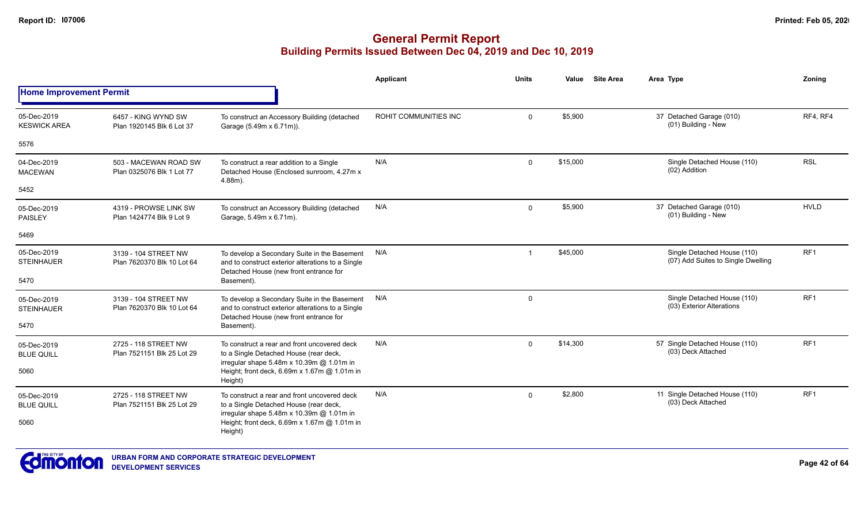|                                    |                                                    |                                                                                                                                             | <b>Applicant</b>             | <b>Units</b>            | Value    | <b>Site Area</b> | Area Type                                                         | Zoning          |
|------------------------------------|----------------------------------------------------|---------------------------------------------------------------------------------------------------------------------------------------------|------------------------------|-------------------------|----------|------------------|-------------------------------------------------------------------|-----------------|
| <b>Home Improvement Permit</b>     |                                                    |                                                                                                                                             |                              |                         |          |                  |                                                                   |                 |
| 05-Dec-2019<br><b>KESWICK AREA</b> | 6457 - KING WYND SW<br>Plan 1920145 Blk 6 Lot 37   | To construct an Accessory Building (detached<br>Garage (5.49m x 6.71m)).                                                                    | <b>ROHIT COMMUNITIES INC</b> | $\Omega$                | \$5,900  |                  | 37 Detached Garage (010)<br>(01) Building - New                   | RF4, RF4        |
| 5576                               |                                                    |                                                                                                                                             |                              |                         |          |                  |                                                                   |                 |
| 04-Dec-2019<br><b>MACEWAN</b>      | 503 - MACEWAN ROAD SW<br>Plan 0325076 Blk 1 Lot 77 | To construct a rear addition to a Single<br>Detached House (Enclosed sunroom, 4.27m x<br>4.88m).                                            | N/A                          | $\Omega$                | \$15,000 |                  | Single Detached House (110)<br>(02) Addition                      | <b>RSL</b>      |
| 5452                               |                                                    |                                                                                                                                             |                              |                         |          |                  |                                                                   |                 |
| 05-Dec-2019<br><b>PAISLEY</b>      | 4319 - PROWSE LINK SW<br>Plan 1424774 Blk 9 Lot 9  | To construct an Accessory Building (detached<br>Garage, 5.49m x 6.71m).                                                                     | N/A                          | $\mathbf 0$             | \$5,900  |                  | 37 Detached Garage (010)<br>(01) Building - New                   | <b>HVLD</b>     |
| 5469                               |                                                    |                                                                                                                                             |                              |                         |          |                  |                                                                   |                 |
| 05-Dec-2019<br><b>STEINHAUER</b>   | 3139 - 104 STREET NW<br>Plan 7620370 Blk 10 Lot 64 | To develop a Secondary Suite in the Basement<br>and to construct exterior alterations to a Single<br>Detached House (new front entrance for | N/A                          | -1                      | \$45,000 |                  | Single Detached House (110)<br>(07) Add Suites to Single Dwelling | RF <sub>1</sub> |
| 5470                               |                                                    | Basement).                                                                                                                                  |                              |                         |          |                  |                                                                   |                 |
| 05-Dec-2019<br><b>STEINHAUER</b>   | 3139 - 104 STREET NW<br>Plan 7620370 Blk 10 Lot 64 | To develop a Secondary Suite in the Basement<br>and to construct exterior alterations to a Single<br>Detached House (new front entrance for | N/A                          | $\mathsf{O}\phantom{0}$ |          |                  | Single Detached House (110)<br>(03) Exterior Alterations          | RF <sub>1</sub> |
| 5470                               |                                                    | Basement).                                                                                                                                  |                              |                         |          |                  |                                                                   |                 |
| 05-Dec-2019<br><b>BLUE QUILL</b>   | 2725 - 118 STREET NW<br>Plan 7521151 Blk 25 Lot 29 | To construct a rear and front uncovered deck<br>to a Single Detached House (rear deck,<br>irregular shape 5.48m x 10.39m @ 1.01m in         | N/A                          | $\mathbf 0$             | \$14,300 |                  | 57 Single Detached House (110)<br>(03) Deck Attached              | RF1             |
| 5060                               |                                                    | Height; front deck, 6.69m x 1.67m @ 1.01m in<br>Height)                                                                                     |                              |                         |          |                  |                                                                   |                 |
| 05-Dec-2019<br><b>BLUE QUILL</b>   | 2725 - 118 STREET NW<br>Plan 7521151 Blk 25 Lot 29 | To construct a rear and front uncovered deck<br>to a Single Detached House (rear deck,<br>irregular shape 5.48m x 10.39m @ 1.01m in         | N/A                          | $\Omega$                | \$2,800  |                  | 11 Single Detached House (110)<br>(03) Deck Attached              | RF <sub>1</sub> |
| 5060                               |                                                    | Height; front deck, 6.69m x 1.67m @ 1.01m in<br>Height)                                                                                     |                              |                         |          |                  |                                                                   |                 |

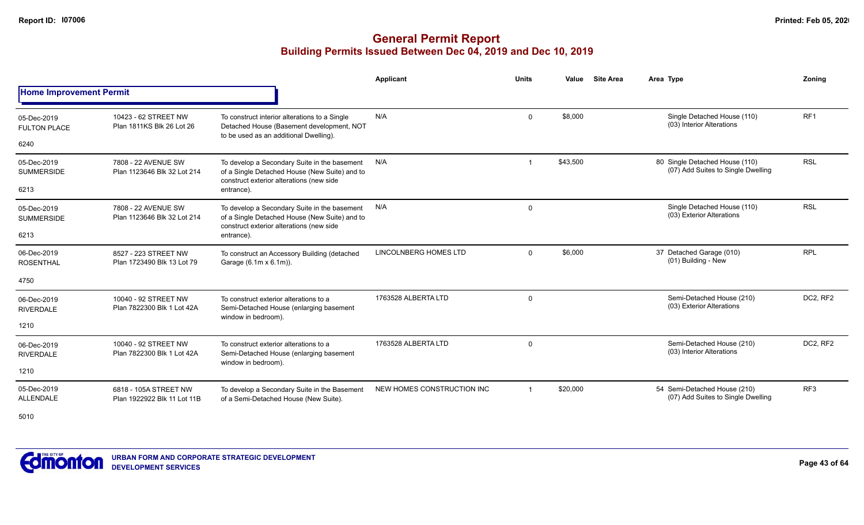## **General Permit Report Building Permits Issued Between Dec 04, 2019 and Dec 10, 2019**

|                                    |                                                      |                                                                                                                                           | Applicant                    | <b>Units</b>            | Value    | <b>Site Area</b> | Area Type                                                            | Zoning          |
|------------------------------------|------------------------------------------------------|-------------------------------------------------------------------------------------------------------------------------------------------|------------------------------|-------------------------|----------|------------------|----------------------------------------------------------------------|-----------------|
| <b>Home Improvement Permit</b>     |                                                      |                                                                                                                                           |                              |                         |          |                  |                                                                      |                 |
| 05-Dec-2019<br><b>FULTON PLACE</b> | 10423 - 62 STREET NW<br>Plan 1811KS Blk 26 Lot 26    | To construct interior alterations to a Single<br>Detached House (Basement development, NOT<br>to be used as an additional Dwelling).      | N/A                          | $\Omega$                | \$8.000  |                  | Single Detached House (110)<br>(03) Interior Alterations             | RF <sub>1</sub> |
| 6240                               |                                                      |                                                                                                                                           |                              |                         |          |                  |                                                                      |                 |
| 05-Dec-2019<br><b>SUMMERSIDE</b>   | 7808 - 22 AVENUE SW<br>Plan 1123646 Blk 32 Lot 214   | To develop a Secondary Suite in the basement<br>of a Single Detached House (New Suite) and to<br>construct exterior alterations (new side | N/A                          |                         | \$43,500 |                  | 80 Single Detached House (110)<br>(07) Add Suites to Single Dwelling | <b>RSL</b>      |
| 6213                               |                                                      | entrance).                                                                                                                                |                              |                         |          |                  |                                                                      |                 |
| 05-Dec-2019<br><b>SUMMERSIDE</b>   | 7808 - 22 AVENUE SW<br>Plan 1123646 Blk 32 Lot 214   | To develop a Secondary Suite in the basement<br>of a Single Detached House (New Suite) and to<br>construct exterior alterations (new side | N/A                          | 0                       |          |                  | Single Detached House (110)<br>(03) Exterior Alterations             | <b>RSL</b>      |
| 6213                               |                                                      | entrance).                                                                                                                                |                              |                         |          |                  |                                                                      |                 |
| 06-Dec-2019<br><b>ROSENTHAL</b>    | 8527 - 223 STREET NW<br>Plan 1723490 Blk 13 Lot 79   | To construct an Accessory Building (detached<br>Garage (6.1m x 6.1m)).                                                                    | <b>LINCOLNBERG HOMES LTD</b> | $\Omega$                | \$6,000  |                  | 37 Detached Garage (010)<br>(01) Building - New                      | <b>RPL</b>      |
| 4750                               |                                                      |                                                                                                                                           |                              |                         |          |                  |                                                                      |                 |
| 06-Dec-2019<br><b>RIVERDALE</b>    | 10040 - 92 STREET NW<br>Plan 7822300 Blk 1 Lot 42A   | To construct exterior alterations to a<br>Semi-Detached House (enlarging basement<br>window in bedroom).                                  | 1763528 ALBERTA LTD          | 0                       |          |                  | Semi-Detached House (210)<br>(03) Exterior Alterations               | DC2, RF2        |
| 1210                               |                                                      |                                                                                                                                           |                              |                         |          |                  |                                                                      |                 |
| 06-Dec-2019<br><b>RIVERDALE</b>    | 10040 - 92 STREET NW<br>Plan 7822300 Blk 1 Lot 42A   | To construct exterior alterations to a<br>Semi-Detached House (enlarging basement<br>window in bedroom).                                  | 1763528 ALBERTA LTD          | $\mathbf 0$             |          |                  | Semi-Detached House (210)<br>(03) Interior Alterations               | DC2, RF2        |
| 1210                               |                                                      |                                                                                                                                           |                              |                         |          |                  |                                                                      |                 |
| 05-Dec-2019<br><b>ALLENDALE</b>    | 6818 - 105A STREET NW<br>Plan 1922922 Blk 11 Lot 11B | To develop a Secondary Suite in the Basement<br>of a Semi-Detached House (New Suite).                                                     | NEW HOMES CONSTRUCTION INC   | $\overline{\mathbf{1}}$ | \$20,000 |                  | 54 Semi-Detached House (210)<br>(07) Add Suites to Single Dwelling   | RF <sub>3</sub> |

5010

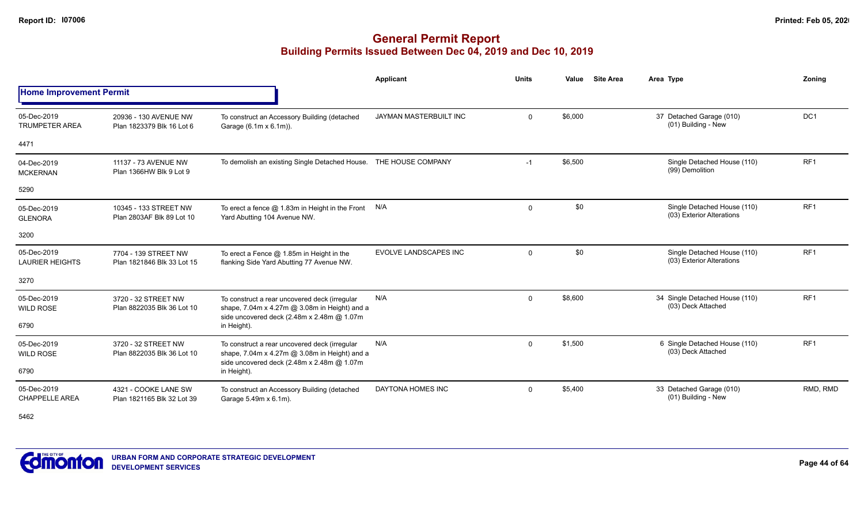## **General Permit Report Building Permits Issued Between Dec 04, 2019 and Dec 10, 2019**

|                                       |                                                    |                                                                                                                                              | Applicant                     | <b>Units</b> | Value   | <b>Site Area</b> | Area Type                                                | Zonina          |
|---------------------------------------|----------------------------------------------------|----------------------------------------------------------------------------------------------------------------------------------------------|-------------------------------|--------------|---------|------------------|----------------------------------------------------------|-----------------|
| <b>Home Improvement Permit</b>        |                                                    |                                                                                                                                              |                               |              |         |                  |                                                          |                 |
| 05-Dec-2019<br><b>TRUMPETER AREA</b>  | 20936 - 130 AVENUE NW<br>Plan 1823379 Blk 16 Lot 6 | To construct an Accessory Building (detached<br>Garage (6.1m x 6.1m)).                                                                       | <b>JAYMAN MASTERBUILT INC</b> | $\mathbf 0$  | \$6,000 |                  | 37 Detached Garage (010)<br>(01) Building - New          | DC <sub>1</sub> |
| 4471                                  |                                                    |                                                                                                                                              |                               |              |         |                  |                                                          |                 |
| 04-Dec-2019<br><b>MCKERNAN</b>        | 11137 - 73 AVENUE NW<br>Plan 1366HW Blk 9 Lot 9    | To demolish an existing Single Detached House. THE HOUSE COMPANY                                                                             |                               | $-1$         | \$6,500 |                  | Single Detached House (110)<br>(99) Demolition           | RF1             |
| 5290                                  |                                                    |                                                                                                                                              |                               |              |         |                  |                                                          |                 |
| 05-Dec-2019<br><b>GLENORA</b>         | 10345 - 133 STREET NW<br>Plan 2803AF Blk 89 Lot 10 | To erect a fence $@$ 1.83m in Height in the Front $N/A$<br>Yard Abutting 104 Avenue NW.                                                      |                               | $\mathbf 0$  | \$0     |                  | Single Detached House (110)<br>(03) Exterior Alterations | RF <sub>1</sub> |
| 3200                                  |                                                    |                                                                                                                                              |                               |              |         |                  |                                                          |                 |
| 05-Dec-2019<br><b>LAURIER HEIGHTS</b> | 7704 - 139 STREET NW<br>Plan 1821846 Blk 33 Lot 15 | To erect a Fence $@$ 1.85m in Height in the<br>flanking Side Yard Abutting 77 Avenue NW.                                                     | <b>EVOLVE LANDSCAPES INC</b>  | $\mathbf 0$  | \$0     |                  | Single Detached House (110)<br>(03) Exterior Alterations | RF <sub>1</sub> |
| 3270                                  |                                                    |                                                                                                                                              |                               |              |         |                  |                                                          |                 |
| 05-Dec-2019<br><b>WILD ROSE</b>       | 3720 - 32 STREET NW<br>Plan 8822035 Blk 36 Lot 10  | To construct a rear uncovered deck (irregular<br>shape, 7.04m x 4.27m @ 3.08m in Height) and a<br>side uncovered deck (2.48m x 2.48m @ 1.07m | N/A                           | $\mathbf{0}$ | \$8,600 |                  | 34 Single Detached House (110)<br>(03) Deck Attached     | RF1             |
| 6790                                  |                                                    | in Height).                                                                                                                                  |                               |              |         |                  |                                                          |                 |
| 05-Dec-2019<br><b>WILD ROSE</b>       | 3720 - 32 STREET NW<br>Plan 8822035 Blk 36 Lot 10  | To construct a rear uncovered deck (irregular<br>shape, 7.04m x 4.27m @ 3.08m in Height) and a<br>side uncovered deck (2.48m x 2.48m @ 1.07m | N/A                           | $\Omega$     | \$1,500 |                  | 6 Single Detached House (110)<br>(03) Deck Attached      | RF <sub>1</sub> |
| 6790                                  |                                                    | in Height).                                                                                                                                  |                               |              |         |                  |                                                          |                 |
| 05-Dec-2019<br><b>CHAPPELLE AREA</b>  | 4321 - COOKE LANE SW<br>Plan 1821165 Blk 32 Lot 39 | To construct an Accessory Building (detached<br>Garage 5.49m x 6.1m).                                                                        | DAYTONA HOMES INC             | $\Omega$     | \$5,400 |                  | 33 Detached Garage (010)<br>(01) Building - New          | RMD, RMD        |

5462

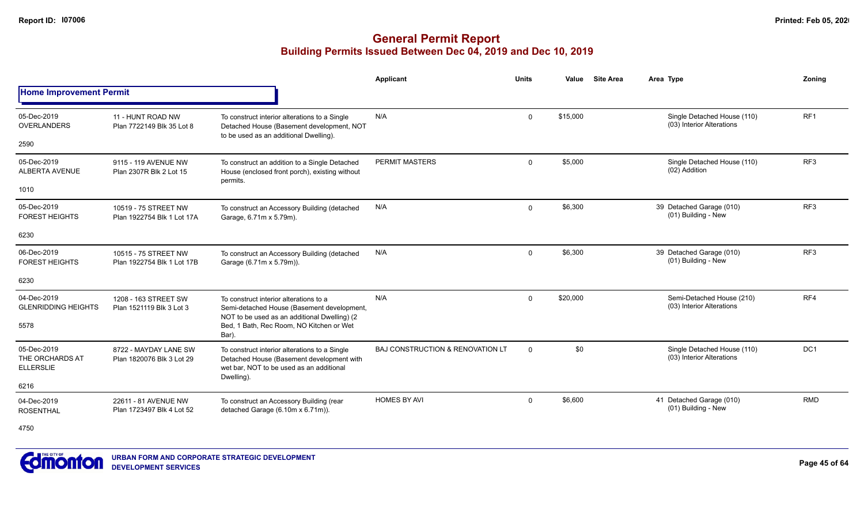|                                                    |                                                    |                                                                                                                                        | Applicant                                   | Units        | Value    | <b>Site Area</b> | Area Type                                                | Zoning          |
|----------------------------------------------------|----------------------------------------------------|----------------------------------------------------------------------------------------------------------------------------------------|---------------------------------------------|--------------|----------|------------------|----------------------------------------------------------|-----------------|
| <b>Home Improvement Permit</b>                     |                                                    |                                                                                                                                        |                                             |              |          |                  |                                                          |                 |
| 05-Dec-2019<br><b>OVERLANDERS</b>                  | 11 - HUNT ROAD NW<br>Plan 7722149 Blk 35 Lot 8     | To construct interior alterations to a Single<br>Detached House (Basement development, NOT<br>to be used as an additional Dwelling).   | N/A                                         | $\mathbf{0}$ | \$15,000 |                  | Single Detached House (110)<br>(03) Interior Alterations | RF <sub>1</sub> |
| 2590                                               |                                                    |                                                                                                                                        |                                             |              |          |                  |                                                          |                 |
| 05-Dec-2019<br>ALBERTA AVENUE                      | 9115 - 119 AVENUE NW<br>Plan 2307R Blk 2 Lot 15    | To construct an addition to a Single Detached<br>House (enclosed front porch), existing without                                        | <b>PERMIT MASTERS</b>                       | $\Omega$     | \$5,000  |                  | Single Detached House (110)<br>(02) Addition             | RF <sub>3</sub> |
| 1010                                               |                                                    | permits.                                                                                                                               |                                             |              |          |                  |                                                          |                 |
| 05-Dec-2019<br><b>FOREST HEIGHTS</b>               | 10519 - 75 STREET NW<br>Plan 1922754 Blk 1 Lot 17A | To construct an Accessory Building (detached<br>Garage, 6.71m x 5.79m).                                                                | N/A                                         | $\mathbf{0}$ | \$6,300  |                  | 39 Detached Garage (010)<br>(01) Building - New          | RF3             |
| 6230                                               |                                                    |                                                                                                                                        |                                             |              |          |                  |                                                          |                 |
| 06-Dec-2019<br><b>FOREST HEIGHTS</b>               | 10515 - 75 STREET NW<br>Plan 1922754 Blk 1 Lot 17B | To construct an Accessory Building (detached<br>Garage (6.71m x 5.79m)).                                                               | N/A                                         | 0            | \$6,300  |                  | 39 Detached Garage (010)<br>(01) Building - New          | RF <sub>3</sub> |
| 6230                                               |                                                    |                                                                                                                                        |                                             |              |          |                  |                                                          |                 |
| 04-Dec-2019<br><b>GLENRIDDING HEIGHTS</b>          | 1208 - 163 STREET SW<br>Plan 1521119 Blk 3 Lot 3   | To construct interior alterations to a<br>Semi-detached House (Basement development,<br>NOT to be used as an additional Dwelling) (2   | N/A                                         | 0            | \$20,000 |                  | Semi-Detached House (210)<br>(03) Interior Alterations   | RF4             |
| 5578                                               |                                                    | Bed, 1 Bath, Rec Room, NO Kitchen or Wet<br>Bar).                                                                                      |                                             |              |          |                  |                                                          |                 |
| 05-Dec-2019<br>THE ORCHARDS AT<br><b>ELLERSLIE</b> | 8722 - MAYDAY LANE SW<br>Plan 1820076 Blk 3 Lot 29 | To construct interior alterations to a Single<br>Detached House (Basement development with<br>wet bar. NOT to be used as an additional | <b>BAJ CONSTRUCTION &amp; RENOVATION LT</b> | $\Omega$     | \$0      |                  | Single Detached House (110)<br>(03) Interior Alterations | DC1             |
| 6216                                               |                                                    | Dwelling)                                                                                                                              |                                             |              |          |                  |                                                          |                 |
| 04-Dec-2019<br><b>ROSENTHAL</b>                    | 22611 - 81 AVENUE NW<br>Plan 1723497 Blk 4 Lot 52  | To construct an Accessory Building (rear<br>detached Garage (6.10m x 6.71m)).                                                          | <b>HOMES BY AVI</b>                         | $\Omega$     | \$6,600  |                  | 41 Detached Garage (010)<br>(01) Building - New          | <b>RMD</b>      |
| 4750                                               |                                                    |                                                                                                                                        |                                             |              |          |                  |                                                          |                 |

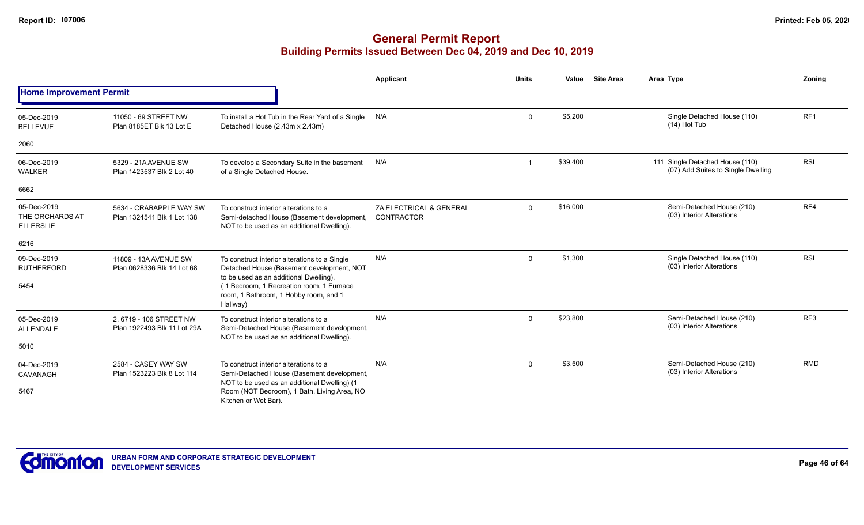|                                                    |                                                        |                                                                                                                                      | Applicant                             | <b>Units</b> | Value    | <b>Site Area</b> | Area Type                                                             | Zonina          |
|----------------------------------------------------|--------------------------------------------------------|--------------------------------------------------------------------------------------------------------------------------------------|---------------------------------------|--------------|----------|------------------|-----------------------------------------------------------------------|-----------------|
| <b>Home Improvement Permit</b>                     |                                                        |                                                                                                                                      |                                       |              |          |                  |                                                                       |                 |
| 05-Dec-2019<br><b>BELLEVUE</b>                     | 11050 - 69 STREET NW<br>Plan 8185ET Blk 13 Lot E       | To install a Hot Tub in the Rear Yard of a Single<br>Detached House (2.43m x 2.43m)                                                  | N/A                                   | $\mathbf 0$  | \$5,200  |                  | Single Detached House (110)<br>$(14)$ Hot Tub                         | RF <sub>1</sub> |
| 2060                                               |                                                        |                                                                                                                                      |                                       |              |          |                  |                                                                       |                 |
| 06-Dec-2019<br><b>WALKER</b>                       | 5329 - 21A AVENUE SW<br>Plan 1423537 Blk 2 Lot 40      | To develop a Secondary Suite in the basement<br>of a Single Detached House.                                                          | N/A                                   |              | \$39,400 |                  | 111 Single Detached House (110)<br>(07) Add Suites to Single Dwelling | <b>RSL</b>      |
| 6662                                               |                                                        |                                                                                                                                      |                                       |              |          |                  |                                                                       |                 |
| 05-Dec-2019<br>THE ORCHARDS AT<br><b>ELLERSLIE</b> | 5634 - CRABAPPLE WAY SW<br>Plan 1324541 Blk 1 Lot 138  | To construct interior alterations to a<br>Semi-detached House (Basement development,<br>NOT to be used as an additional Dwelling).   | ZA ELECTRICAL & GENERAL<br>CONTRACTOR | $\mathbf 0$  | \$16,000 |                  | Semi-Detached House (210)<br>(03) Interior Alterations                | RF4             |
| 6216                                               |                                                        |                                                                                                                                      |                                       |              |          |                  |                                                                       |                 |
| 09-Dec-2019<br><b>RUTHERFORD</b>                   | 11809 - 13A AVENUE SW<br>Plan 0628336 Blk 14 Lot 68    | To construct interior alterations to a Single<br>Detached House (Basement development, NOT<br>to be used as an additional Dwelling). | N/A                                   | $\mathbf 0$  | \$1,300  |                  | Single Detached House (110)<br>(03) Interior Alterations              | <b>RSL</b>      |
| 5454                                               |                                                        | (1 Bedroom, 1 Recreation room, 1 Furnace<br>room, 1 Bathroom, 1 Hobby room, and 1<br>Hallway)                                        |                                       |              |          |                  |                                                                       |                 |
| 05-Dec-2019<br><b>ALLENDALE</b>                    | 2, 6719 - 106 STREET NW<br>Plan 1922493 Blk 11 Lot 29A | To construct interior alterations to a<br>Semi-Detached House (Basement development,<br>NOT to be used as an additional Dwelling).   | N/A                                   | $\Omega$     | \$23,800 |                  | Semi-Detached House (210)<br>(03) Interior Alterations                | RF <sub>3</sub> |
| 5010                                               |                                                        |                                                                                                                                      |                                       |              |          |                  |                                                                       |                 |
| 04-Dec-2019<br>CAVANAGH                            | 2584 - CASEY WAY SW<br>Plan 1523223 Blk 8 Lot 114      | To construct interior alterations to a<br>Semi-Detached House (Basement development,                                                 | N/A                                   | $\Omega$     | \$3,500  |                  | Semi-Detached House (210)<br>(03) Interior Alterations                | <b>RMD</b>      |
| 5467                                               |                                                        | NOT to be used as an additional Dwelling) (1<br>Room (NOT Bedroom), 1 Bath, Living Area, NO<br>Kitchen or Wet Bar).                  |                                       |              |          |                  |                                                                       |                 |

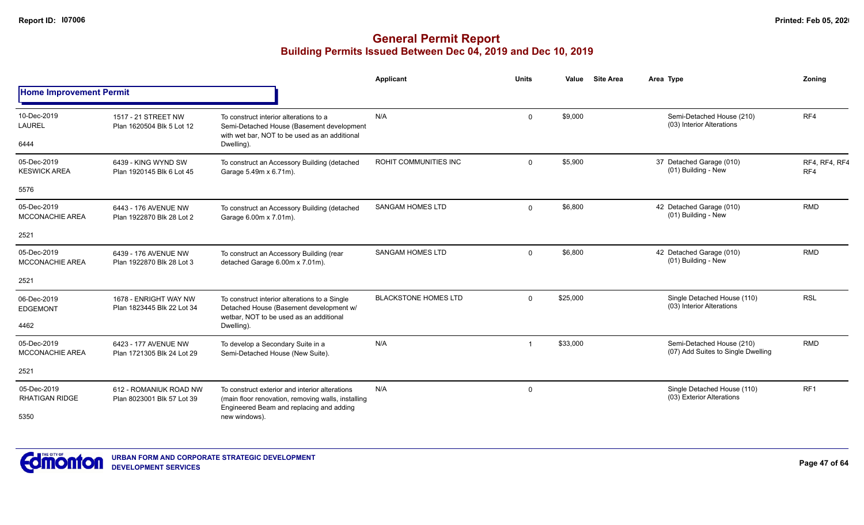|                                       |                                                      |                                                                                                                                                  | Applicant                   | <b>Units</b> | Value    | <b>Site Area</b> | Area Type                                                       | Zoning               |
|---------------------------------------|------------------------------------------------------|--------------------------------------------------------------------------------------------------------------------------------------------------|-----------------------------|--------------|----------|------------------|-----------------------------------------------------------------|----------------------|
| <b>Home Improvement Permit</b>        |                                                      |                                                                                                                                                  |                             |              |          |                  |                                                                 |                      |
| 10-Dec-2019<br><b>LAUREL</b>          | 1517 - 21 STREET NW<br>Plan 1620504 Blk 5 Lot 12     | To construct interior alterations to a<br>Semi-Detached House (Basement development<br>with wet bar, NOT to be used as an additional             | N/A                         | $\Omega$     | \$9,000  |                  | Semi-Detached House (210)<br>(03) Interior Alterations          | RF4                  |
| 6444                                  |                                                      | Dwelling).                                                                                                                                       |                             |              |          |                  |                                                                 |                      |
| 05-Dec-2019<br><b>KESWICK AREA</b>    | 6439 - KING WYND SW<br>Plan 1920145 Blk 6 Lot 45     | To construct an Accessory Building (detached<br>Garage 5.49m x 6.71m).                                                                           | ROHIT COMMUNITIES INC       | $\Omega$     | \$5,900  |                  | 37 Detached Garage (010)<br>(01) Building - New                 | RF4, RF4, RF4<br>RF4 |
| 5576                                  |                                                      |                                                                                                                                                  |                             |              |          |                  |                                                                 |                      |
| 05-Dec-2019<br><b>MCCONACHIE AREA</b> | 6443 - 176 AVENUE NW<br>Plan 1922870 Blk 28 Lot 2    | To construct an Accessory Building (detached<br>Garage 6.00m x 7.01m).                                                                           | <b>SANGAM HOMES LTD</b>     | $\Omega$     | \$6,800  |                  | 42 Detached Garage (010)<br>(01) Building - New                 | <b>RMD</b>           |
| 2521                                  |                                                      |                                                                                                                                                  |                             |              |          |                  |                                                                 |                      |
| 05-Dec-2019<br><b>MCCONACHIE AREA</b> | 6439 - 176 AVENUE NW<br>Plan 1922870 Blk 28 Lot 3    | To construct an Accessory Building (rear<br>detached Garage 6.00m x 7.01m).                                                                      | <b>SANGAM HOMES LTD</b>     | $\Omega$     | \$6,800  |                  | 42 Detached Garage (010)<br>(01) Building - New                 | <b>RMD</b>           |
| 2521                                  |                                                      |                                                                                                                                                  |                             |              |          |                  |                                                                 |                      |
| 06-Dec-2019<br><b>EDGEMONT</b>        | 1678 - ENRIGHT WAY NW<br>Plan 1823445 Blk 22 Lot 34  | To construct interior alterations to a Single<br>Detached House (Basement development w/<br>wetbar. NOT to be used as an additional              | <b>BLACKSTONE HOMES LTD</b> | $\Omega$     | \$25,000 |                  | Single Detached House (110)<br>(03) Interior Alterations        | <b>RSL</b>           |
| 4462                                  |                                                      | Dwelling).                                                                                                                                       |                             |              |          |                  |                                                                 |                      |
| 05-Dec-2019<br><b>MCCONACHIE AREA</b> | 6423 - 177 AVENUE NW<br>Plan 1721305 Blk 24 Lot 29   | To develop a Secondary Suite in a<br>Semi-Detached House (New Suite).                                                                            | N/A                         |              | \$33,000 |                  | Semi-Detached House (210)<br>(07) Add Suites to Single Dwelling | <b>RMD</b>           |
| 2521                                  |                                                      |                                                                                                                                                  |                             |              |          |                  |                                                                 |                      |
| 05-Dec-2019<br><b>RHATIGAN RIDGE</b>  | 612 - ROMANIUK ROAD NW<br>Plan 8023001 Blk 57 Lot 39 | To construct exterior and interior alterations<br>(main floor renovation, removing walls, installing<br>Engineered Beam and replacing and adding | N/A                         | $\mathbf 0$  |          |                  | Single Detached House (110)<br>(03) Exterior Alterations        | RF <sub>1</sub>      |
| 5350                                  |                                                      | new windows).                                                                                                                                    |                             |              |          |                  |                                                                 |                      |

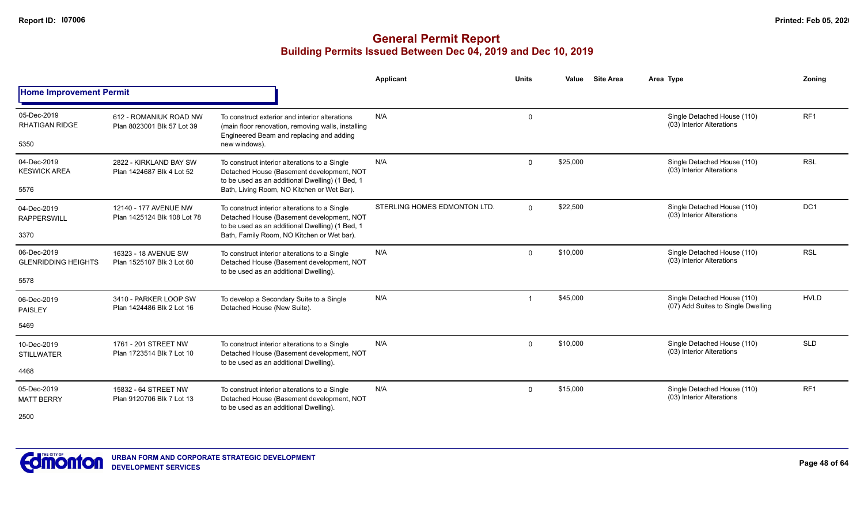|                                              |                                                      |                                                                                                                                                                   | <b>Applicant</b>             | <b>Units</b> | Value    | <b>Site Area</b> | Area Type                                                         | Zonina          |
|----------------------------------------------|------------------------------------------------------|-------------------------------------------------------------------------------------------------------------------------------------------------------------------|------------------------------|--------------|----------|------------------|-------------------------------------------------------------------|-----------------|
| <b>Home Improvement Permit</b>               |                                                      |                                                                                                                                                                   |                              |              |          |                  |                                                                   |                 |
| 05-Dec-2019<br><b>RHATIGAN RIDGE</b><br>5350 | 612 - ROMANIUK ROAD NW<br>Plan 8023001 Blk 57 Lot 39 | To construct exterior and interior alterations<br>(main floor renovation, removing walls, installing<br>Engineered Beam and replacing and adding<br>new windows). | N/A                          | 0            |          |                  | Single Detached House (110)<br>(03) Interior Alterations          | RF <sub>1</sub> |
|                                              |                                                      |                                                                                                                                                                   |                              |              |          |                  |                                                                   |                 |
| 04-Dec-2019<br><b>KESWICK AREA</b>           | 2822 - KIRKLAND BAY SW<br>Plan 1424687 Blk 4 Lot 52  | To construct interior alterations to a Single<br>Detached House (Basement development, NOT<br>to be used as an additional Dwelling) (1 Bed, 1                     | N/A                          | $\mathbf 0$  | \$25,000 |                  | Single Detached House (110)<br>(03) Interior Alterations          | <b>RSL</b>      |
| 5576                                         |                                                      | Bath, Living Room, NO Kitchen or Wet Bar).                                                                                                                        |                              |              |          |                  |                                                                   |                 |
| 04-Dec-2019<br><b>RAPPERSWILL</b>            | 12140 - 177 AVENUE NW<br>Plan 1425124 Blk 108 Lot 78 | To construct interior alterations to a Single<br>Detached House (Basement development, NOT<br>to be used as an additional Dwelling) (1 Bed, 1                     | STERLING HOMES EDMONTON LTD. | $\mathbf 0$  | \$22,500 |                  | Single Detached House (110)<br>(03) Interior Alterations          | DC <sub>1</sub> |
| 3370                                         |                                                      | Bath, Family Room, NO Kitchen or Wet bar).                                                                                                                        |                              |              |          |                  |                                                                   |                 |
| 06-Dec-2019<br><b>GLENRIDDING HEIGHTS</b>    | 16323 - 18 AVENUE SW<br>Plan 1525107 Blk 3 Lot 60    | To construct interior alterations to a Single<br>Detached House (Basement development, NOT<br>to be used as an additional Dwelling).                              | N/A                          | $\mathbf 0$  | \$10,000 |                  | Single Detached House (110)<br>(03) Interior Alterations          | <b>RSL</b>      |
| 5578                                         |                                                      |                                                                                                                                                                   |                              |              |          |                  |                                                                   |                 |
| 06-Dec-2019<br><b>PAISLEY</b>                | 3410 - PARKER LOOP SW<br>Plan 1424486 Blk 2 Lot 16   | To develop a Secondary Suite to a Single<br>Detached House (New Suite).                                                                                           | N/A                          | -1           | \$45,000 |                  | Single Detached House (110)<br>(07) Add Suites to Single Dwelling | <b>HVLD</b>     |
| 5469                                         |                                                      |                                                                                                                                                                   |                              |              |          |                  |                                                                   |                 |
| 10-Dec-2019<br><b>STILLWATER</b>             | 1761 - 201 STREET NW<br>Plan 1723514 Blk 7 Lot 10    | To construct interior alterations to a Single<br>Detached House (Basement development, NOT                                                                        | N/A                          | $\mathbf 0$  | \$10,000 |                  | Single Detached House (110)<br>(03) Interior Alterations          | <b>SLD</b>      |
| 4468                                         |                                                      | to be used as an additional Dwelling).                                                                                                                            |                              |              |          |                  |                                                                   |                 |
| 05-Dec-2019<br><b>MATT BERRY</b>             | 15832 - 64 STREET NW<br>Plan 9120706 Blk 7 Lot 13    | To construct interior alterations to a Single<br>Detached House (Basement development, NOT                                                                        | N/A                          | $\mathbf 0$  | \$15,000 |                  | Single Detached House (110)<br>(03) Interior Alterations          | RF <sub>1</sub> |
| 2500                                         |                                                      | to be used as an additional Dwelling).                                                                                                                            |                              |              |          |                  |                                                                   |                 |

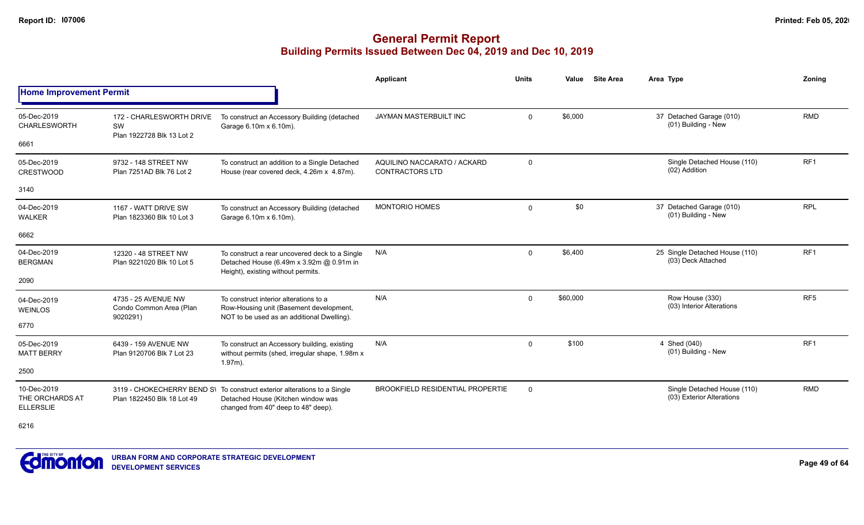|                                                    |                                                             |                                                                                                                                                       | <b>Applicant</b>                                      | <b>Units</b> | Value    | <b>Site Area</b> | Area Type                                                | Zoning          |
|----------------------------------------------------|-------------------------------------------------------------|-------------------------------------------------------------------------------------------------------------------------------------------------------|-------------------------------------------------------|--------------|----------|------------------|----------------------------------------------------------|-----------------|
| <b>Home Improvement Permit</b>                     |                                                             |                                                                                                                                                       |                                                       |              |          |                  |                                                          |                 |
| 05-Dec-2019<br><b>CHARLESWORTH</b>                 | 172 - CHARLESWORTH DRIVE<br>SW<br>Plan 1922728 Blk 13 Lot 2 | To construct an Accessory Building (detached<br>Garage 6.10m x 6.10m).                                                                                | JAYMAN MASTERBUILT INC                                | $\mathbf 0$  | \$6,000  |                  | 37 Detached Garage (010)<br>(01) Building - New          | <b>RMD</b>      |
| 6661                                               |                                                             |                                                                                                                                                       |                                                       |              |          |                  |                                                          |                 |
| 05-Dec-2019<br><b>CRESTWOOD</b>                    | 9732 - 148 STREET NW<br>Plan 7251AD Blk 76 Lot 2            | To construct an addition to a Single Detached<br>House (rear covered deck, 4.26m x 4.87m).                                                            | AQUILINO NACCARATO / ACKARD<br><b>CONTRACTORS LTD</b> | $\mathsf{O}$ |          |                  | Single Detached House (110)<br>(02) Addition             | RF <sub>1</sub> |
| 3140                                               |                                                             |                                                                                                                                                       |                                                       |              |          |                  |                                                          |                 |
| 04-Dec-2019<br>WALKER                              | 1167 - WATT DRIVE SW<br>Plan 1823360 Blk 10 Lot 3           | To construct an Accessory Building (detached<br>Garage 6.10m x 6.10m).                                                                                | <b>MONTORIO HOMES</b>                                 | $\mathbf 0$  | \$0      |                  | 37 Detached Garage (010)<br>(01) Building - New          | <b>RPL</b>      |
| 6662                                               |                                                             |                                                                                                                                                       |                                                       |              |          |                  |                                                          |                 |
| 04-Dec-2019<br><b>BERGMAN</b>                      | 12320 - 48 STREET NW<br>Plan 9221020 Blk 10 Lot 5           | To construct a rear uncovered deck to a Single<br>Detached House (6.49m x 3.92m @ 0.91m in<br>Height), existing without permits.                      | N/A                                                   | $\mathbf 0$  | \$6,400  |                  | 25 Single Detached House (110)<br>(03) Deck Attached     | RF <sub>1</sub> |
| 2090                                               |                                                             |                                                                                                                                                       |                                                       |              |          |                  |                                                          |                 |
| 04-Dec-2019<br><b>WEINLOS</b>                      | 4735 - 25 AVENUE NW<br>Condo Common Area (Plan<br>9020291)  | To construct interior alterations to a<br>Row-Housing unit (Basement development,<br>NOT to be used as an additional Dwelling).                       | N/A                                                   | $\mathbf 0$  | \$60,000 |                  | Row House (330)<br>(03) Interior Alterations             | RF <sub>5</sub> |
| 6770                                               |                                                             |                                                                                                                                                       |                                                       |              |          |                  |                                                          |                 |
| 05-Dec-2019<br><b>MATT BERRY</b>                   | 6439 - 159 AVENUE NW<br>Plan 9120706 Blk 7 Lot 23           | To construct an Accessory building, existing<br>without permits (shed, irregular shape, 1.98m x<br>$1.97m$ ).                                         | N/A                                                   | $\mathbf 0$  | \$100    |                  | 4 Shed (040)<br>(01) Building - New                      | RF <sub>1</sub> |
| 2500                                               |                                                             |                                                                                                                                                       |                                                       |              |          |                  |                                                          |                 |
| 10-Dec-2019<br>THE ORCHARDS AT<br><b>ELLERSLIE</b> | Plan 1822450 Blk 18 Lot 49                                  | 3119 - CHOKECHERRY BEND S\ To construct exterior alterations to a Single<br>Detached House (Kitchen window was<br>changed from 40" deep to 48" deep). | <b>BROOKFIELD RESIDENTIAL PROPERTIE</b>               | $\mathbf 0$  |          |                  | Single Detached House (110)<br>(03) Exterior Alterations | <b>RMD</b>      |
| 6216                                               |                                                             |                                                                                                                                                       |                                                       |              |          |                  |                                                          |                 |

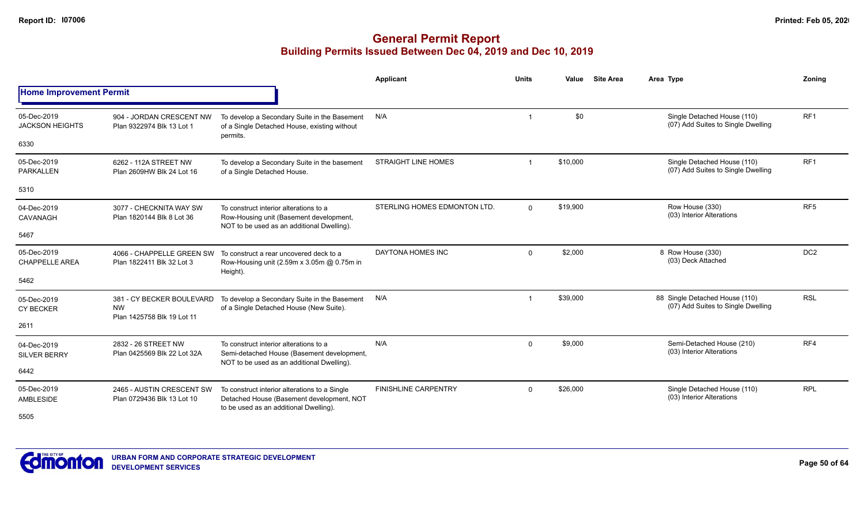|                                       |                                                                      |                                                                                                                                      | <b>Applicant</b>             | <b>Units</b> | Value    | <b>Site Area</b> | Area Type                                                            | Zonina          |
|---------------------------------------|----------------------------------------------------------------------|--------------------------------------------------------------------------------------------------------------------------------------|------------------------------|--------------|----------|------------------|----------------------------------------------------------------------|-----------------|
| <b>Home Improvement Permit</b>        |                                                                      |                                                                                                                                      |                              |              |          |                  |                                                                      |                 |
| 05-Dec-2019<br><b>JACKSON HEIGHTS</b> | 904 - JORDAN CRESCENT NW<br>Plan 9322974 Blk 13 Lot 1                | To develop a Secondary Suite in the Basement<br>of a Single Detached House, existing without<br>permits.                             | N/A                          | -1           | \$0      |                  | Single Detached House (110)<br>(07) Add Suites to Single Dwelling    | RF <sub>1</sub> |
| 6330                                  |                                                                      |                                                                                                                                      |                              |              |          |                  |                                                                      |                 |
| 05-Dec-2019<br>PARKALLEN              | 6262 - 112A STREET NW<br>Plan 2609HW Blk 24 Lot 16                   | To develop a Secondary Suite in the basement<br>of a Single Detached House.                                                          | <b>STRAIGHT LINE HOMES</b>   | -1           | \$10,000 |                  | Single Detached House (110)<br>(07) Add Suites to Single Dwelling    | RF <sub>1</sub> |
| 5310                                  |                                                                      |                                                                                                                                      |                              |              |          |                  |                                                                      |                 |
| 04-Dec-2019<br>CAVANAGH               | 3077 - CHECKNITA WAY SW<br>Plan 1820144 Blk 8 Lot 36                 | To construct interior alterations to a<br>Row-Housing unit (Basement development,<br>NOT to be used as an additional Dwelling).      | STERLING HOMES EDMONTON LTD. | $\Omega$     | \$19,900 |                  | Row House (330)<br>(03) Interior Alterations                         | RF <sub>5</sub> |
| 5467                                  |                                                                      |                                                                                                                                      |                              |              |          |                  |                                                                      |                 |
| 05-Dec-2019<br><b>CHAPPELLE AREA</b>  | 4066 - CHAPPELLE GREEN SW<br>Plan 1822411 Blk 32 Lot 3               | To construct a rear uncovered deck to a<br>Row-Housing unit (2.59m x 3.05m @ 0.75m in<br>Height).                                    | <b>DAYTONA HOMES INC</b>     | $\mathbf 0$  | \$2,000  |                  | 8 Row House (330)<br>(03) Deck Attached                              | DC <sub>2</sub> |
| 5462                                  |                                                                      |                                                                                                                                      |                              |              |          |                  |                                                                      |                 |
| 05-Dec-2019<br><b>CY BECKER</b>       | 381 - CY BECKER BOULEVARD<br><b>NW</b><br>Plan 1425758 Blk 19 Lot 11 | To develop a Secondary Suite in the Basement<br>of a Single Detached House (New Suite).                                              | N/A                          | -1           | \$39,000 |                  | 88 Single Detached House (110)<br>(07) Add Suites to Single Dwelling | <b>RSL</b>      |
| 2611                                  |                                                                      |                                                                                                                                      |                              |              |          |                  |                                                                      |                 |
| 04-Dec-2019<br><b>SILVER BERRY</b>    | 2832 - 26 STREET NW<br>Plan 0425569 Blk 22 Lot 32A                   | To construct interior alterations to a<br>Semi-detached House (Basement development,<br>NOT to be used as an additional Dwelling).   | N/A                          | $\mathbf 0$  | \$9,000  |                  | Semi-Detached House (210)<br>(03) Interior Alterations               | RF4             |
| 6442                                  |                                                                      |                                                                                                                                      |                              |              |          |                  |                                                                      |                 |
| 05-Dec-2019<br>AMBLESIDE              | 2465 - AUSTIN CRESCENT SW<br>Plan 0729436 Blk 13 Lot 10              | To construct interior alterations to a Single<br>Detached House (Basement development, NOT<br>to be used as an additional Dwelling). | <b>FINISHLINE CARPENTRY</b>  | $\mathbf 0$  | \$26,000 |                  | Single Detached House (110)<br>(03) Interior Alterations             | <b>RPL</b>      |
| 5505                                  |                                                                      |                                                                                                                                      |                              |              |          |                  |                                                                      |                 |

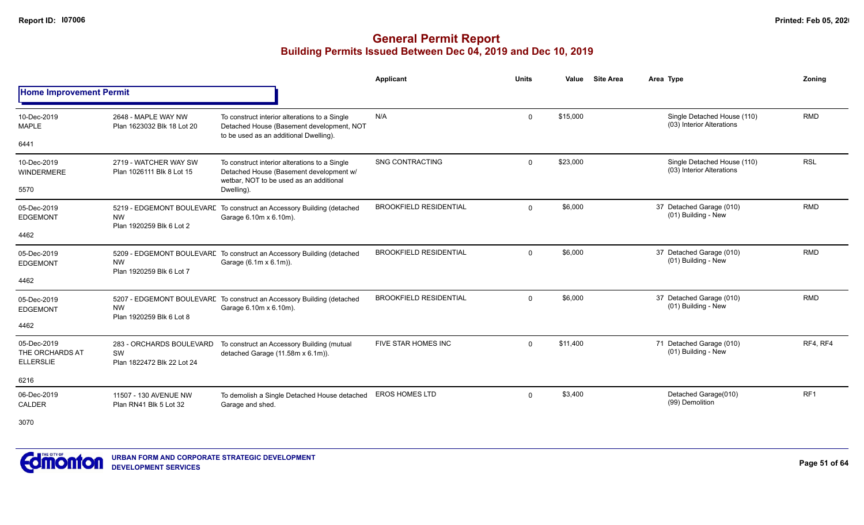|                                                    |                                                              |                                                                                                                                     | <b>Applicant</b>              | <b>Units</b> | Value    | <b>Site Area</b> | Area Type                                                | Zoning     |
|----------------------------------------------------|--------------------------------------------------------------|-------------------------------------------------------------------------------------------------------------------------------------|-------------------------------|--------------|----------|------------------|----------------------------------------------------------|------------|
| <b>Home Improvement Permit</b>                     |                                                              |                                                                                                                                     |                               |              |          |                  |                                                          |            |
| 10-Dec-2019<br><b>MAPLE</b>                        | 2648 - MAPLE WAY NW<br>Plan 1623032 Blk 18 Lot 20            | To construct interior alterations to a Single<br>Detached House (Basement development, NOT                                          | N/A                           | $\mathbf 0$  | \$15,000 |                  | Single Detached House (110)<br>(03) Interior Alterations | <b>RMD</b> |
| 6441                                               |                                                              | to be used as an additional Dwelling).                                                                                              |                               |              |          |                  |                                                          |            |
| 10-Dec-2019<br>WINDERMERE                          | 2719 - WATCHER WAY SW<br>Plan 1026111 Blk 8 Lot 15           | To construct interior alterations to a Single<br>Detached House (Basement development w/<br>wetbar, NOT to be used as an additional | <b>SNG CONTRACTING</b>        | $\mathbf 0$  | \$23,000 |                  | Single Detached House (110)<br>(03) Interior Alterations | <b>RSL</b> |
| 5570                                               |                                                              | Dwelling).                                                                                                                          |                               |              |          |                  |                                                          |            |
| 05-Dec-2019<br><b>EDGEMONT</b>                     | <b>NW</b><br>Plan 1920259 Blk 6 Lot 2                        | 5219 - EDGEMONT BOULEVARE To construct an Accessory Building (detached<br>Garage 6.10m x 6.10m).                                    | <b>BROOKFIELD RESIDENTIAL</b> | $\mathbf 0$  | \$6,000  |                  | 37 Detached Garage (010)<br>(01) Building - New          | <b>RMD</b> |
| 4462                                               |                                                              |                                                                                                                                     |                               |              |          |                  |                                                          |            |
| 05-Dec-2019<br><b>EDGEMONT</b>                     | <b>NW</b><br>Plan 1920259 Blk 6 Lot 7                        | 5209 - EDGEMONT BOULEVARE To construct an Accessory Building (detached<br>Garage (6.1m x 6.1m)).                                    | <b>BROOKFIELD RESIDENTIAL</b> | $\mathbf 0$  | \$6,000  |                  | 37 Detached Garage (010)<br>(01) Building - New          | <b>RMD</b> |
| 4462                                               |                                                              |                                                                                                                                     |                               |              |          |                  |                                                          |            |
| 05-Dec-2019<br><b>EDGEMONT</b>                     | <b>NW</b><br>Plan 1920259 Blk 6 Lot 8                        | 5207 - EDGEMONT BOULEVARE To construct an Accessory Building (detached<br>Garage 6.10m x 6.10m).                                    | <b>BROOKFIELD RESIDENTIAL</b> | $\mathbf{0}$ | \$6,000  |                  | 37 Detached Garage (010)<br>(01) Building - New          | <b>RMD</b> |
| 4462                                               |                                                              |                                                                                                                                     |                               |              |          |                  |                                                          |            |
| 05-Dec-2019<br>THE ORCHARDS AT<br><b>ELLERSLIE</b> | 283 - ORCHARDS BOULEVARD<br>SW<br>Plan 1822472 Blk 22 Lot 24 | To construct an Accessory Building (mutual<br>detached Garage (11.58m x 6.1m)).                                                     | <b>FIVE STAR HOMES INC</b>    | $\mathbf 0$  | \$11,400 |                  | 71 Detached Garage (010)<br>(01) Building - New          | RF4, RF4   |
| 6216                                               |                                                              |                                                                                                                                     |                               |              |          |                  |                                                          |            |
| 06-Dec-2019<br>CALDER                              | 11507 - 130 AVENUE NW<br>Plan RN41 Blk 5 Lot 32              | To demolish a Single Detached House detached<br>Garage and shed.                                                                    | EROS HOMES LTD                | $\Omega$     | \$3,400  |                  | Detached Garage(010)<br>(99) Demolition                  | RF1        |
| 3070                                               |                                                              |                                                                                                                                     |                               |              |          |                  |                                                          |            |

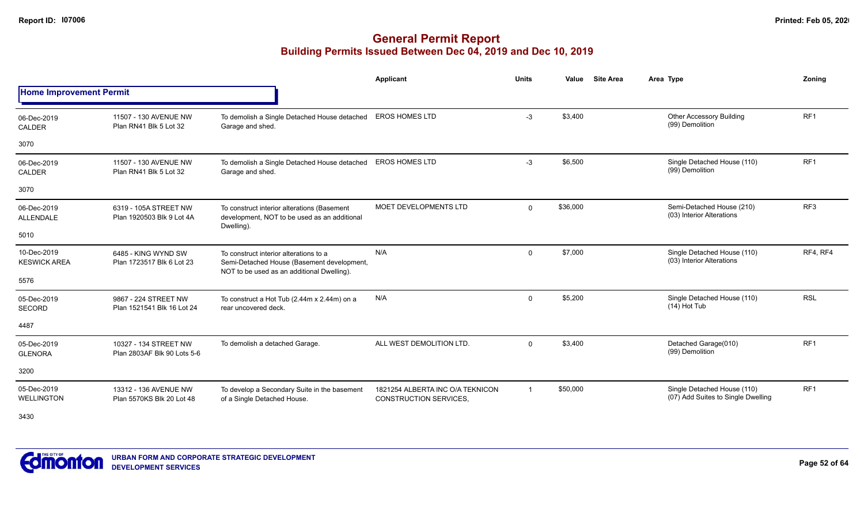## **General Permit Report Building Permits Issued Between Dec 04, 2019 and Dec 10, 2019**

|                                    |                                                      |                                                                                                                                    | Applicant                                                         | <b>Units</b>   | Value    | <b>Site Area</b> | Area Type                                                         | Zonina          |
|------------------------------------|------------------------------------------------------|------------------------------------------------------------------------------------------------------------------------------------|-------------------------------------------------------------------|----------------|----------|------------------|-------------------------------------------------------------------|-----------------|
| <b>Home Improvement Permit</b>     |                                                      |                                                                                                                                    |                                                                   |                |          |                  |                                                                   |                 |
| 06-Dec-2019<br><b>CALDER</b>       | 11507 - 130 AVENUE NW<br>Plan RN41 Blk 5 Lot 32      | To demolish a Single Detached House detached<br>Garage and shed.                                                                   | <b>EROS HOMES LTD</b>                                             | $-3$           | \$3,400  |                  | <b>Other Accessory Building</b><br>(99) Demolition                | RF1             |
| 3070                               |                                                      |                                                                                                                                    |                                                                   |                |          |                  |                                                                   |                 |
| 06-Dec-2019<br><b>CALDER</b>       | 11507 - 130 AVENUE NW<br>Plan RN41 Blk 5 Lot 32      | To demolish a Single Detached House detached<br>Garage and shed.                                                                   | <b>EROS HOMES LTD</b>                                             | $-3$           | \$6,500  |                  | Single Detached House (110)<br>(99) Demolition                    | RF <sub>1</sub> |
| 3070                               |                                                      |                                                                                                                                    |                                                                   |                |          |                  |                                                                   |                 |
| 06-Dec-2019<br><b>ALLENDALE</b>    | 6319 - 105A STREET NW<br>Plan 1920503 Blk 9 Lot 4A   | To construct interior alterations (Basement<br>development, NOT to be used as an additional<br>Dwelling).                          | <b>MOET DEVELOPMENTS LTD</b>                                      | $\overline{0}$ | \$36,000 |                  | Semi-Detached House (210)<br>(03) Interior Alterations            | RF <sub>3</sub> |
| 5010                               |                                                      |                                                                                                                                    |                                                                   |                |          |                  |                                                                   |                 |
| 10-Dec-2019<br><b>KESWICK AREA</b> | 6485 - KING WYND SW<br>Plan 1723517 Blk 6 Lot 23     | To construct interior alterations to a<br>Semi-Detached House (Basement development,<br>NOT to be used as an additional Dwelling). | N/A                                                               | 0              | \$7,000  |                  | Single Detached House (110)<br>(03) Interior Alterations          | RF4, RF4        |
| 5576                               |                                                      |                                                                                                                                    |                                                                   |                |          |                  |                                                                   |                 |
| 05-Dec-2019<br><b>SECORD</b>       | 9867 - 224 STREET NW<br>Plan 1521541 Blk 16 Lot 24   | To construct a Hot Tub (2.44m x 2.44m) on a<br>rear uncovered deck.                                                                | N/A                                                               | 0              | \$5,200  |                  | Single Detached House (110)<br>$(14)$ Hot Tub                     | <b>RSL</b>      |
| 4487                               |                                                      |                                                                                                                                    |                                                                   |                |          |                  |                                                                   |                 |
| 05-Dec-2019<br><b>GLENORA</b>      | 10327 - 134 STREET NW<br>Plan 2803AF Blk 90 Lots 5-6 | To demolish a detached Garage.                                                                                                     | ALL WEST DEMOLITION LTD.                                          | $\mathbf{0}$   | \$3,400  |                  | Detached Garage(010)<br>(99) Demolition                           | RF <sub>1</sub> |
| 3200                               |                                                      |                                                                                                                                    |                                                                   |                |          |                  |                                                                   |                 |
| 05-Dec-2019<br><b>WELLINGTON</b>   | 13312 - 136 AVENUE NW<br>Plan 5570KS Blk 20 Lot 48   | To develop a Secondary Suite in the basement<br>of a Single Detached House.                                                        | 1821254 ALBERTA INC O/A TEKNICON<br><b>CONSTRUCTION SERVICES,</b> | $\mathbf{1}$   | \$50,000 |                  | Single Detached House (110)<br>(07) Add Suites to Single Dwelling | RF <sub>1</sub> |

3430

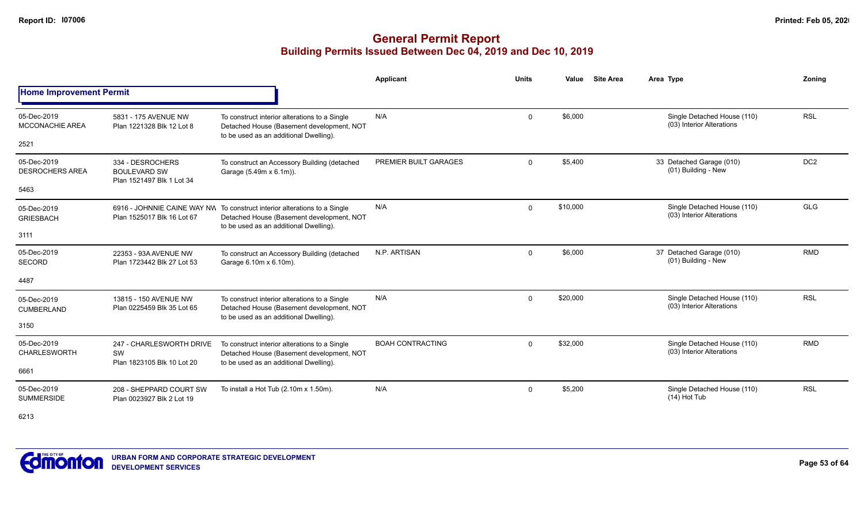## **General Permit Report Building Permits Issued Between Dec 04, 2019 and Dec 10, 2019**

|                                               |                                                                      |                                                                                                                                                                  | Applicant               | <b>Units</b> | Value    | <b>Site Area</b> | Area Type                                                | Zonina          |
|-----------------------------------------------|----------------------------------------------------------------------|------------------------------------------------------------------------------------------------------------------------------------------------------------------|-------------------------|--------------|----------|------------------|----------------------------------------------------------|-----------------|
| <b>Home Improvement Permit</b>                |                                                                      |                                                                                                                                                                  |                         |              |          |                  |                                                          |                 |
| 05-Dec-2019<br><b>MCCONACHIE AREA</b><br>2521 | 5831 - 175 AVENUE NW<br>Plan 1221328 Blk 12 Lot 8                    | To construct interior alterations to a Single<br>Detached House (Basement development, NOT<br>to be used as an additional Dwelling).                             | N/A                     | 0            | \$6.000  |                  | Single Detached House (110)<br>(03) Interior Alterations | <b>RSL</b>      |
|                                               |                                                                      |                                                                                                                                                                  |                         |              |          |                  |                                                          |                 |
| 05-Dec-2019<br><b>DESROCHERS AREA</b>         | 334 - DESROCHERS<br><b>BOULEVARD SW</b><br>Plan 1521497 Blk 1 Lot 34 | To construct an Accessory Building (detached<br>Garage (5.49m x 6.1m)).                                                                                          | PREMIER BUILT GARAGES   | $\mathbf{0}$ | \$5.400  |                  | 33 Detached Garage (010)<br>(01) Building - New          | DC <sub>2</sub> |
| 5463                                          |                                                                      |                                                                                                                                                                  |                         |              |          |                  |                                                          |                 |
| 05-Dec-2019<br><b>GRIESBACH</b>               | Plan 1525017 Blk 16 Lot 67                                           | 6916 - JOHNNIE CAINE WAY NW To construct interior alterations to a Single<br>Detached House (Basement development, NOT<br>to be used as an additional Dwelling). | N/A                     | $\mathbf 0$  | \$10,000 |                  | Single Detached House (110)<br>(03) Interior Alterations | <b>GLG</b>      |
| 3111                                          |                                                                      |                                                                                                                                                                  |                         |              |          |                  |                                                          |                 |
| 05-Dec-2019<br><b>SECORD</b>                  | 22353 - 93A AVENUE NW<br>Plan 1723442 Blk 27 Lot 53                  | To construct an Accessory Building (detached<br>Garage 6.10m x 6.10m).                                                                                           | N.P. ARTISAN            | $\mathbf 0$  | \$6,000  |                  | 37 Detached Garage (010)<br>(01) Building - New          | <b>RMD</b>      |
| 4487                                          |                                                                      |                                                                                                                                                                  |                         |              |          |                  |                                                          |                 |
| 05-Dec-2019<br>CUMBERLAND                     | 13815 - 150 AVENUE NW<br>Plan 0225459 Blk 35 Lot 65                  | To construct interior alterations to a Single<br>Detached House (Basement development, NOT<br>to be used as an additional Dwelling).                             | N/A                     | $\mathbf{0}$ | \$20,000 |                  | Single Detached House (110)<br>(03) Interior Alterations | <b>RSL</b>      |
| 3150                                          |                                                                      |                                                                                                                                                                  |                         |              |          |                  |                                                          |                 |
| 05-Dec-2019<br><b>CHARLESWORTH</b>            | 247 - CHARLESWORTH DRIVE<br>SW<br>Plan 1823105 Blk 10 Lot 20         | To construct interior alterations to a Single<br>Detached House (Basement development, NOT<br>to be used as an additional Dwelling).                             | <b>BOAH CONTRACTING</b> | $\mathbf 0$  | \$32,000 |                  | Single Detached House (110)<br>(03) Interior Alterations | <b>RMD</b>      |
| 6661                                          |                                                                      |                                                                                                                                                                  |                         |              |          |                  |                                                          |                 |
| 05-Dec-2019<br><b>SUMMERSIDE</b>              | 208 - SHEPPARD COURT SW<br>Plan 0023927 Blk 2 Lot 19                 | To install a Hot Tub $(2.10m \times 1.50m)$ .                                                                                                                    | N/A                     | 0            | \$5,200  |                  | Single Detached House (110)<br>$(14)$ Hot Tub            | <b>RSL</b>      |

6213

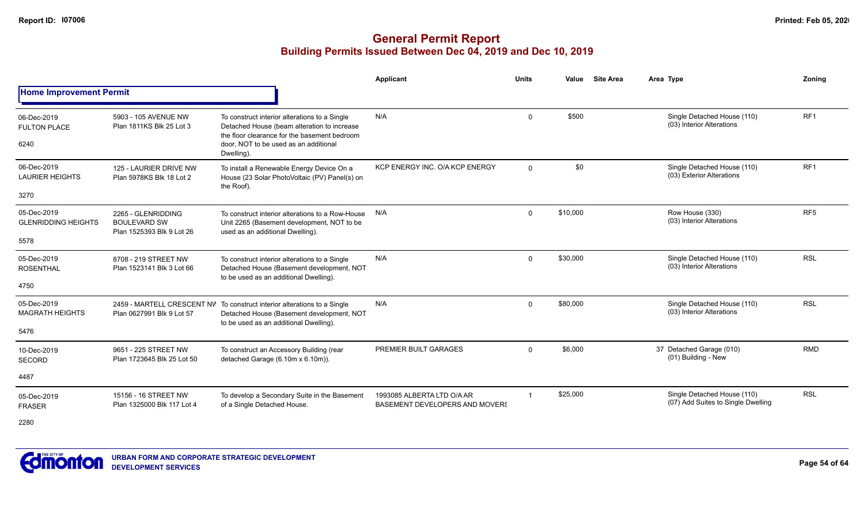|                                            |                                                                        |                                                                                                                                                                                       | Applicant                                                           | <b>Units</b> | Value    | <b>Site Area</b> | Area Type                                                         | Zoning          |
|--------------------------------------------|------------------------------------------------------------------------|---------------------------------------------------------------------------------------------------------------------------------------------------------------------------------------|---------------------------------------------------------------------|--------------|----------|------------------|-------------------------------------------------------------------|-----------------|
| <b>Home Improvement Permit</b>             |                                                                        |                                                                                                                                                                                       |                                                                     |              |          |                  |                                                                   |                 |
| 06-Dec-2019<br><b>FULTON PLACE</b><br>6240 | 5903 - 105 AVENUE NW<br>Plan 1811KS Blk 25 Lot 3                       | To construct interior alterations to a Single<br>Detached House (beam alteration to increase<br>the floor clearance for the basement bedroom<br>door. NOT to be used as an additional | N/A                                                                 | $\Omega$     | \$500    |                  | Single Detached House (110)<br>(03) Interior Alterations          | RF1             |
|                                            |                                                                        | Dwelling).                                                                                                                                                                            |                                                                     |              |          |                  |                                                                   |                 |
| 06-Dec-2019<br><b>LAURIER HEIGHTS</b>      | 125 - LAURIER DRIVE NW<br>Plan 5978KS Blk 18 Lot 2                     | To install a Renewable Energy Device On a<br>House (23 Solar PhotoVoltaic (PV) Panel(s) on<br>the Roof).                                                                              | KCP ENERGY INC. O/A KCP ENERGY                                      | $\Omega$     | \$0      |                  | Single Detached House (110)<br>(03) Exterior Alterations          | RF1             |
| 3270                                       |                                                                        |                                                                                                                                                                                       |                                                                     |              |          |                  |                                                                   |                 |
| 05-Dec-2019<br><b>GLENRIDDING HEIGHTS</b>  | 2265 - GLENRIDDING<br><b>BOULEVARD SW</b><br>Plan 1525393 Blk 9 Lot 26 | To construct interior alterations to a Row-House<br>Unit 2265 (Basement development, NOT to be<br>used as an additional Dwelling).                                                    | N/A                                                                 | $\Omega$     | \$10,000 |                  | Row House (330)<br>(03) Interior Alterations                      | RF <sub>5</sub> |
| 5578                                       |                                                                        |                                                                                                                                                                                       |                                                                     |              |          |                  |                                                                   |                 |
| 05-Dec-2019<br><b>ROSENTHAL</b>            | 8708 - 219 STREET NW<br>Plan 1523141 Blk 3 Lot 66                      | To construct interior alterations to a Single<br>Detached House (Basement development, NOT<br>to be used as an additional Dwelling).                                                  | N/A                                                                 | $\Omega$     | \$30,000 |                  | Single Detached House (110)<br>(03) Interior Alterations          | <b>RSL</b>      |
| 4750                                       |                                                                        |                                                                                                                                                                                       |                                                                     |              |          |                  |                                                                   |                 |
| 05-Dec-2019<br><b>MAGRATH HEIGHTS</b>      | Plan 0627991 Blk 9 Lot 57                                              | 2459 - MARTELL CRESCENT NV To construct interior alterations to a Single<br>Detached House (Basement development, NOT<br>to be used as an additional Dwelling).                       | N/A                                                                 | $\Omega$     | \$80,000 |                  | Single Detached House (110)<br>(03) Interior Alterations          | <b>RSL</b>      |
| 5476                                       |                                                                        |                                                                                                                                                                                       |                                                                     |              |          |                  |                                                                   |                 |
| 10-Dec-2019<br>SECORD                      | 9651 - 225 STREET NW<br>Plan 1723645 Blk 25 Lot 50                     | To construct an Accessory Building (rear<br>detached Garage (6.10m x 6.10m)).                                                                                                         | PREMIER BUILT GARAGES                                               | $\Omega$     | \$6,000  |                  | 37 Detached Garage (010)<br>(01) Building - New                   | <b>RMD</b>      |
| 4487                                       |                                                                        |                                                                                                                                                                                       |                                                                     |              |          |                  |                                                                   |                 |
| 05-Dec-2019<br><b>FRASER</b>               | 15156 - 16 STREET NW<br>Plan 1325000 Blk 117 Lot 4                     | To develop a Secondary Suite in the Basement<br>of a Single Detached House.                                                                                                           | 1993085 ALBERTA LTD O/A AR<br><b>BASEMENT DEVELOPERS AND MOVERS</b> |              | \$25,000 |                  | Single Detached House (110)<br>(07) Add Suites to Single Dwelling | <b>RSL</b>      |
| 2280                                       |                                                                        |                                                                                                                                                                                       |                                                                     |              |          |                  |                                                                   |                 |

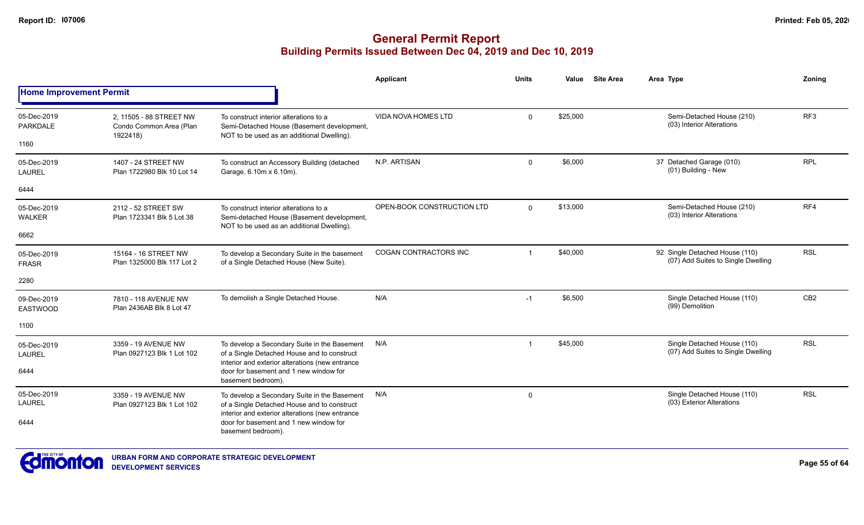|                                |                                                    |                                                                                                                                                | <b>Applicant</b>           | <b>Units</b>   | Value    | <b>Site Area</b> | Area Type                                                            | Zoning          |
|--------------------------------|----------------------------------------------------|------------------------------------------------------------------------------------------------------------------------------------------------|----------------------------|----------------|----------|------------------|----------------------------------------------------------------------|-----------------|
| <b>Home Improvement Permit</b> |                                                    |                                                                                                                                                |                            |                |          |                  |                                                                      |                 |
| 05-Dec-2019<br><b>PARKDALE</b> | 2, 11505 - 88 STREET NW<br>Condo Common Area (Plan | To construct interior alterations to a<br>Semi-Detached House (Basement development,                                                           | VIDA NOVA HOMES LTD        | $\mathbf 0$    | \$25,000 |                  | Semi-Detached House (210)<br>(03) Interior Alterations               | RF <sub>3</sub> |
| 1160                           | 1922418)                                           | NOT to be used as an additional Dwelling).                                                                                                     |                            |                |          |                  |                                                                      |                 |
| 05-Dec-2019<br><b>LAUREL</b>   | 1407 - 24 STREET NW<br>Plan 1722980 Blk 10 Lot 14  | To construct an Accessory Building (detached<br>Garage, 6.10m x 6.10m).                                                                        | N.P. ARTISAN               | $\mathbf 0$    | \$6,000  |                  | 37 Detached Garage (010)<br>(01) Building - New                      | <b>RPL</b>      |
| 6444                           |                                                    |                                                                                                                                                |                            |                |          |                  |                                                                      |                 |
| 05-Dec-2019<br><b>WALKER</b>   | 2112 - 52 STREET SW<br>Plan 1723341 Blk 5 Lot 38   | To construct interior alterations to a<br>Semi-detached House (Basement development,<br>NOT to be used as an additional Dwelling).             | OPEN-BOOK CONSTRUCTION LTD | $\Omega$       | \$13,000 |                  | Semi-Detached House (210)<br>(03) Interior Alterations               | RF4             |
| 6662                           |                                                    |                                                                                                                                                |                            |                |          |                  |                                                                      |                 |
| 05-Dec-2019<br><b>FRASR</b>    | 15164 - 16 STREET NW<br>Plan 1325000 Blk 117 Lot 2 | To develop a Secondary Suite in the basement<br>of a Single Detached House (New Suite).                                                        | COGAN CONTRACTORS INC      | $\overline{1}$ | \$40,000 |                  | 92 Single Detached House (110)<br>(07) Add Suites to Single Dwelling | <b>RSL</b>      |
| 2280                           |                                                    |                                                                                                                                                |                            |                |          |                  |                                                                      |                 |
| 09-Dec-2019<br><b>EASTWOOD</b> | 7810 - 118 AVENUE NW<br>Plan 2436AB Blk 8 Lot 47   | To demolish a Single Detached House.                                                                                                           | N/A                        | $-1$           | \$6,500  |                  | Single Detached House (110)<br>(99) Demolition                       | CB <sub>2</sub> |
| 1100                           |                                                    |                                                                                                                                                |                            |                |          |                  |                                                                      |                 |
| 05-Dec-2019<br><b>LAUREL</b>   | 3359 - 19 AVENUE NW<br>Plan 0927123 Blk 1 Lot 102  | To develop a Secondary Suite in the Basement<br>of a Single Detached House and to construct<br>interior and exterior alterations (new entrance | N/A                        | $\overline{1}$ | \$45,000 |                  | Single Detached House (110)<br>(07) Add Suites to Single Dwelling    | <b>RSL</b>      |
| 6444                           |                                                    | door for basement and 1 new window for<br>basement bedroom).                                                                                   |                            |                |          |                  |                                                                      |                 |
| 05-Dec-2019<br><b>LAUREL</b>   | 3359 - 19 AVENUE NW<br>Plan 0927123 Blk 1 Lot 102  | To develop a Secondary Suite in the Basement<br>of a Single Detached House and to construct<br>interior and exterior alterations (new entrance | N/A                        | 0              |          |                  | Single Detached House (110)<br>(03) Exterior Alterations             | <b>RSL</b>      |
| 6444                           |                                                    | door for basement and 1 new window for<br>basement bedroom).                                                                                   |                            |                |          |                  |                                                                      |                 |

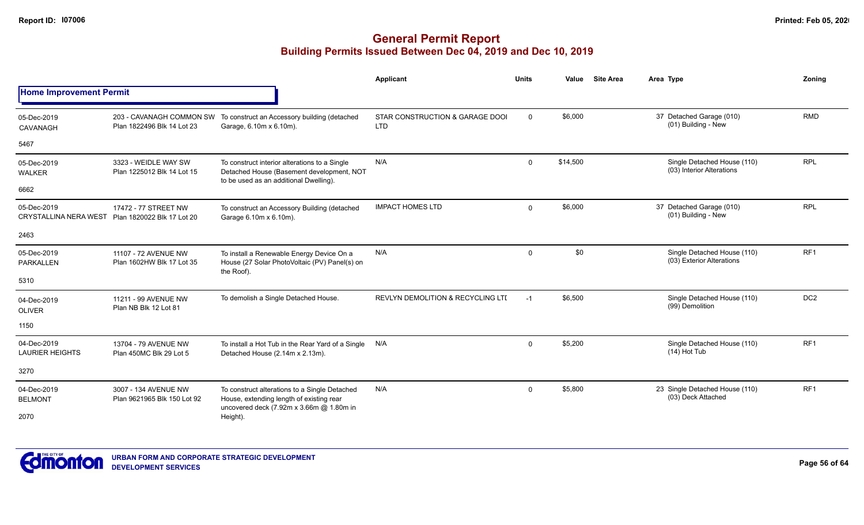|                                             |                                                                                                                                                                                                                                                                                                                                                                                                                                                                                                                                                                                                                                                                                                                                                                                                                                                                                                                                                                                                                                                                                                                                                                                                                                                                                                                                                                                                                                                                                                                                                                                                                                                                                                                                                                  |                                                                                      | <b>Applicant</b> | <b>Units</b> | Value | <b>Site Area</b> | Area Type          | Zonina |
|---------------------------------------------|------------------------------------------------------------------------------------------------------------------------------------------------------------------------------------------------------------------------------------------------------------------------------------------------------------------------------------------------------------------------------------------------------------------------------------------------------------------------------------------------------------------------------------------------------------------------------------------------------------------------------------------------------------------------------------------------------------------------------------------------------------------------------------------------------------------------------------------------------------------------------------------------------------------------------------------------------------------------------------------------------------------------------------------------------------------------------------------------------------------------------------------------------------------------------------------------------------------------------------------------------------------------------------------------------------------------------------------------------------------------------------------------------------------------------------------------------------------------------------------------------------------------------------------------------------------------------------------------------------------------------------------------------------------------------------------------------------------------------------------------------------------|--------------------------------------------------------------------------------------|------------------|--------------|-------|------------------|--------------------|--------|
| <b>Home Improvement Permit</b>              | \$6,000<br>37 Detached Garage (010)<br><b>RMD</b><br>$\mathbf 0$<br>203 - CAVANAGH COMMON SW To construct an Accessory building (detached<br>STAR CONSTRUCTION & GARAGE DOOI<br>(01) Building - New<br><b>LTD</b><br>Plan 1822496 Blk 14 Lot 23<br>Garage, 6.10m x 6.10m).<br><b>RPL</b><br>N/A<br>\$14,500<br>Single Detached House (110)<br>$\mathbf 0$<br>3323 - WEIDLE WAY SW<br>To construct interior alterations to a Single<br>(03) Interior Alterations<br>Plan 1225012 Blk 14 Lot 15<br>Detached House (Basement development, NOT<br>to be used as an additional Dwelling).<br><b>RPL</b><br>37 Detached Garage (010)<br><b>IMPACT HOMES LTD</b><br>\$6,000<br>17472 - 77 STREET NW<br>$\Omega$<br>To construct an Accessory Building (detached<br>(01) Building - New<br>Plan 1820022 Blk 17 Lot 20<br>Garage 6.10m x 6.10m).<br>\$0<br>RF <sub>1</sub><br>N/A<br>Single Detached House (110)<br>$\mathsf{O}\phantom{0}$<br>11107 - 72 AVENUE NW<br>To install a Renewable Energy Device On a<br>(03) Exterior Alterations<br>Plan 1602HW Blk 17 Lot 35<br>House (27 Solar PhotoVoltaic (PV) Panel(s) on<br>the Roof).<br>DC <sub>2</sub><br>To demolish a Single Detached House.<br>REVLYN DEMOLITION & RECYCLING LTI<br>\$6,500<br>Single Detached House (110)<br>11211 - 99 AVENUE NW<br>$-1$<br>(99) Demolition<br>Plan NB Blk 12 Lot 81<br>RF <sub>1</sub><br>\$5,200<br>Single Detached House (110)<br>N/A<br>$\mathbf 0$<br>13704 - 79 AVENUE NW<br>To install a Hot Tub in the Rear Yard of a Single<br>(14) Hot Tub<br>Plan 450MC Blk 29 Lot 5<br>Detached House (2.14m x 2.13m).<br>23 Single Detached House (110)<br>RF <sub>1</sub><br>N/A<br>\$5,800<br>$\Omega$<br>3007 - 134 AVENUE NW<br>To construct alterations to a Single Detached |                                                                                      |                  |              |       |                  |                    |        |
| 05-Dec-2019<br>CAVANAGH                     |                                                                                                                                                                                                                                                                                                                                                                                                                                                                                                                                                                                                                                                                                                                                                                                                                                                                                                                                                                                                                                                                                                                                                                                                                                                                                                                                                                                                                                                                                                                                                                                                                                                                                                                                                                  |                                                                                      |                  |              |       |                  |                    |        |
| 5467                                        |                                                                                                                                                                                                                                                                                                                                                                                                                                                                                                                                                                                                                                                                                                                                                                                                                                                                                                                                                                                                                                                                                                                                                                                                                                                                                                                                                                                                                                                                                                                                                                                                                                                                                                                                                                  |                                                                                      |                  |              |       |                  |                    |        |
| 05-Dec-2019<br><b>WALKER</b>                |                                                                                                                                                                                                                                                                                                                                                                                                                                                                                                                                                                                                                                                                                                                                                                                                                                                                                                                                                                                                                                                                                                                                                                                                                                                                                                                                                                                                                                                                                                                                                                                                                                                                                                                                                                  |                                                                                      |                  |              |       |                  |                    |        |
| 6662                                        |                                                                                                                                                                                                                                                                                                                                                                                                                                                                                                                                                                                                                                                                                                                                                                                                                                                                                                                                                                                                                                                                                                                                                                                                                                                                                                                                                                                                                                                                                                                                                                                                                                                                                                                                                                  |                                                                                      |                  |              |       |                  |                    |        |
| 05-Dec-2019<br><b>CRYSTALLINA NERA WEST</b> |                                                                                                                                                                                                                                                                                                                                                                                                                                                                                                                                                                                                                                                                                                                                                                                                                                                                                                                                                                                                                                                                                                                                                                                                                                                                                                                                                                                                                                                                                                                                                                                                                                                                                                                                                                  |                                                                                      |                  |              |       |                  |                    |        |
| 2463                                        |                                                                                                                                                                                                                                                                                                                                                                                                                                                                                                                                                                                                                                                                                                                                                                                                                                                                                                                                                                                                                                                                                                                                                                                                                                                                                                                                                                                                                                                                                                                                                                                                                                                                                                                                                                  |                                                                                      |                  |              |       |                  |                    |        |
| 05-Dec-2019<br><b>PARKALLEN</b>             |                                                                                                                                                                                                                                                                                                                                                                                                                                                                                                                                                                                                                                                                                                                                                                                                                                                                                                                                                                                                                                                                                                                                                                                                                                                                                                                                                                                                                                                                                                                                                                                                                                                                                                                                                                  |                                                                                      |                  |              |       |                  |                    |        |
| 5310                                        |                                                                                                                                                                                                                                                                                                                                                                                                                                                                                                                                                                                                                                                                                                                                                                                                                                                                                                                                                                                                                                                                                                                                                                                                                                                                                                                                                                                                                                                                                                                                                                                                                                                                                                                                                                  |                                                                                      |                  |              |       |                  |                    |        |
| 04-Dec-2019<br><b>OLIVER</b>                |                                                                                                                                                                                                                                                                                                                                                                                                                                                                                                                                                                                                                                                                                                                                                                                                                                                                                                                                                                                                                                                                                                                                                                                                                                                                                                                                                                                                                                                                                                                                                                                                                                                                                                                                                                  |                                                                                      |                  |              |       |                  |                    |        |
| 1150                                        |                                                                                                                                                                                                                                                                                                                                                                                                                                                                                                                                                                                                                                                                                                                                                                                                                                                                                                                                                                                                                                                                                                                                                                                                                                                                                                                                                                                                                                                                                                                                                                                                                                                                                                                                                                  |                                                                                      |                  |              |       |                  |                    |        |
| 04-Dec-2019<br><b>LAURIER HEIGHTS</b>       |                                                                                                                                                                                                                                                                                                                                                                                                                                                                                                                                                                                                                                                                                                                                                                                                                                                                                                                                                                                                                                                                                                                                                                                                                                                                                                                                                                                                                                                                                                                                                                                                                                                                                                                                                                  |                                                                                      |                  |              |       |                  |                    |        |
| 3270                                        |                                                                                                                                                                                                                                                                                                                                                                                                                                                                                                                                                                                                                                                                                                                                                                                                                                                                                                                                                                                                                                                                                                                                                                                                                                                                                                                                                                                                                                                                                                                                                                                                                                                                                                                                                                  |                                                                                      |                  |              |       |                  |                    |        |
| 04-Dec-2019<br><b>BELMONT</b>               | Plan 9621965 Blk 150 Lot 92                                                                                                                                                                                                                                                                                                                                                                                                                                                                                                                                                                                                                                                                                                                                                                                                                                                                                                                                                                                                                                                                                                                                                                                                                                                                                                                                                                                                                                                                                                                                                                                                                                                                                                                                      | House, extending length of existing rear<br>uncovered deck (7.92m x 3.66m @ 1.80m in |                  |              |       |                  | (03) Deck Attached |        |
| 2070                                        |                                                                                                                                                                                                                                                                                                                                                                                                                                                                                                                                                                                                                                                                                                                                                                                                                                                                                                                                                                                                                                                                                                                                                                                                                                                                                                                                                                                                                                                                                                                                                                                                                                                                                                                                                                  | Height).                                                                             |                  |              |       |                  |                    |        |

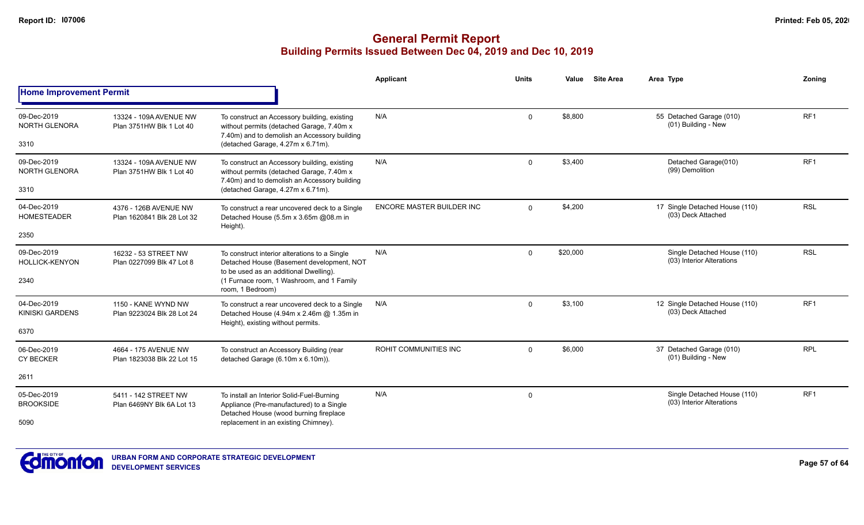|                                              |                                                                                                                                            |                                                                                                                                                                                   | Applicant                 | <b>Units</b> | Value    | <b>Site Area</b>                                         | Area Type                                                | Zoning          |
|----------------------------------------------|--------------------------------------------------------------------------------------------------------------------------------------------|-----------------------------------------------------------------------------------------------------------------------------------------------------------------------------------|---------------------------|--------------|----------|----------------------------------------------------------|----------------------------------------------------------|-----------------|
| <b>Home Improvement Permit</b>               |                                                                                                                                            |                                                                                                                                                                                   |                           |              |          |                                                          |                                                          |                 |
| 09-Dec-2019<br><b>NORTH GLENORA</b><br>3310  | 13324 - 109A AVENUE NW<br>Plan 3751HW Blk 1 Lot 40                                                                                         | To construct an Accessory building, existing<br>without permits (detached Garage, 7.40m x<br>7.40m) and to demolish an Accessory building<br>(detached Garage, 4.27m x 6.71m).    | N/A                       | $\Omega$     | \$8.800  |                                                          | 55 Detached Garage (010)<br>(01) Building - New          | RF <sub>1</sub> |
| 09-Dec-2019                                  |                                                                                                                                            |                                                                                                                                                                                   | N/A                       |              | \$3,400  |                                                          | Detached Garage(010)                                     | RF <sub>1</sub> |
| <b>NORTH GLENORA</b>                         | 13324 - 109A AVENUE NW<br>Plan 3751HW Blk 1 Lot 40                                                                                         | To construct an Accessory building, existing<br>without permits (detached Garage, 7.40m x                                                                                         |                           | $\Omega$     |          |                                                          | (99) Demolition                                          |                 |
| 3310                                         |                                                                                                                                            | 7.40m) and to demolish an Accessory building<br>(detached Garage, 4.27m x 6.71m).                                                                                                 |                           |              |          |                                                          |                                                          |                 |
| 04-Dec-2019<br><b>HOMESTEADER</b>            | 4376 - 126B AVENUE NW<br>Plan 1620841 Blk 28 Lot 32                                                                                        | To construct a rear uncovered deck to a Single<br>Detached House (5.5m x 3.65m @08.m in                                                                                           | ENCORE MASTER BUILDER INC | $\Omega$     | \$4,200  |                                                          | 17 Single Detached House (110)<br>(03) Deck Attached     | <b>RSL</b>      |
| 2350                                         |                                                                                                                                            | Height).                                                                                                                                                                          |                           |              |          |                                                          |                                                          |                 |
| 09-Dec-2019<br><b>HOLLICK-KENYON</b><br>2340 | 16232 - 53 STREET NW<br>Plan 0227099 Blk 47 Lot 8                                                                                          | To construct interior alterations to a Single<br>Detached House (Basement development, NOT<br>to be used as an additional Dwelling).<br>(1 Furnace room, 1 Washroom, and 1 Family | N/A                       | $\Omega$     | \$20,000 |                                                          | Single Detached House (110)<br>(03) Interior Alterations | <b>RSL</b>      |
| 04-Dec-2019<br><b>KINISKI GARDENS</b>        | 1150 - KANE WYND NW<br>Plan 9223024 Blk 28 Lot 24                                                                                          | room, 1 Bedroom)<br>To construct a rear uncovered deck to a Single<br>Detached House (4.94m x 2.46m @ 1.35m in                                                                    | N/A                       | $\Omega$     | \$3,100  |                                                          | 12 Single Detached House (110)<br>(03) Deck Attached     | RF <sub>1</sub> |
| 6370                                         |                                                                                                                                            | Height), existing without permits.                                                                                                                                                |                           |              |          |                                                          |                                                          |                 |
| 06-Dec-2019<br><b>CY BECKER</b>              | 4664 - 175 AVENUE NW<br>Plan 1823038 Blk 22 Lot 15                                                                                         | To construct an Accessory Building (rear<br>detached Garage (6.10m x 6.10m)).                                                                                                     | ROHIT COMMUNITIES INC     | $\Omega$     | \$6,000  |                                                          | 37 Detached Garage (010)<br>(01) Building - New          | <b>RPL</b>      |
| 2611                                         |                                                                                                                                            |                                                                                                                                                                                   |                           |              |          |                                                          |                                                          |                 |
| 05-Dec-2019<br><b>BROOKSIDE</b>              | To install an Interior Solid-Fuel-Burning<br>5411 - 142 STREET NW<br>Appliance (Pre-manufactured) to a Single<br>Plan 6469NY Blk 6A Lot 13 | N/A                                                                                                                                                                               | $\mathbf 0$               |              |          | Single Detached House (110)<br>(03) Interior Alterations | RF <sub>1</sub>                                          |                 |
| 5090                                         |                                                                                                                                            | Detached House (wood burning fireplace<br>replacement in an existing Chimney).                                                                                                    |                           |              |          |                                                          |                                                          |                 |

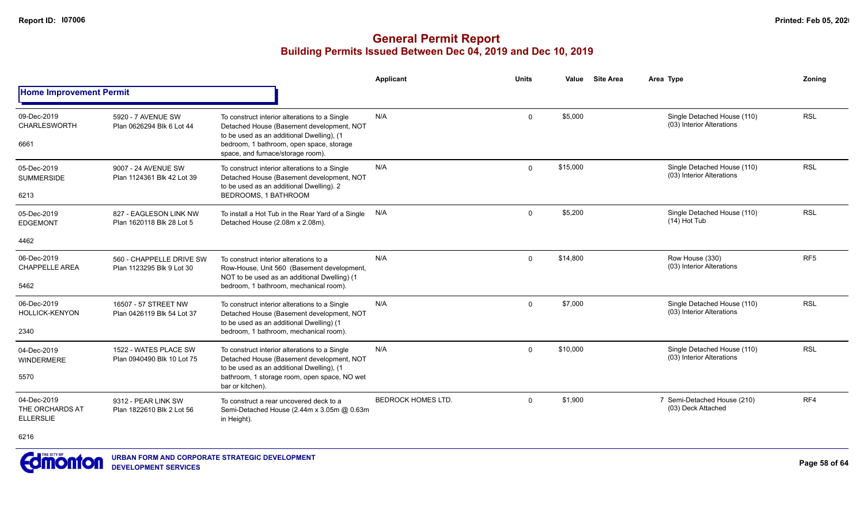|                                                    |                                                       |                                                                                                                                                                                                                          | <b>Applicant</b>          | <b>Units</b> | Value    | <b>Site Area</b> | Area Type                                                | Zonina          |
|----------------------------------------------------|-------------------------------------------------------|--------------------------------------------------------------------------------------------------------------------------------------------------------------------------------------------------------------------------|---------------------------|--------------|----------|------------------|----------------------------------------------------------|-----------------|
| <b>Home Improvement Permit</b>                     |                                                       |                                                                                                                                                                                                                          |                           |              |          |                  |                                                          |                 |
| 09-Dec-2019<br><b>CHARLESWORTH</b><br>6661         | 5920 - 7 AVENUE SW<br>Plan 0626294 Blk 6 Lot 44       | To construct interior alterations to a Single<br>Detached House (Basement development, NOT<br>to be used as an additional Dwelling), (1<br>bedroom, 1 bathroom, open space, storage<br>space, and furnace/storage room). | N/A                       | $\mathbf 0$  | \$5,000  |                  | Single Detached House (110)<br>(03) Interior Alterations | <b>RSL</b>      |
| 05-Dec-2019<br><b>SUMMERSIDE</b><br>6213           | 9007 - 24 AVENUE SW<br>Plan 1124361 Blk 42 Lot 39     | To construct interior alterations to a Single<br>Detached House (Basement development, NOT<br>to be used as an additional Dwelling). 2<br>BEDROOMS, 1 BATHROOM                                                           | N/A                       | $\Omega$     | \$15,000 |                  | Single Detached House (110)<br>(03) Interior Alterations | <b>RSL</b>      |
| 05-Dec-2019<br><b>EDGEMONT</b>                     | 827 - EAGLESON LINK NW<br>Plan 1620118 Blk 28 Lot 5   | To install a Hot Tub in the Rear Yard of a Single<br>Detached House (2.08m x 2.08m).                                                                                                                                     | N/A                       | $\mathbf 0$  | \$5,200  |                  | Single Detached House (110)<br>$(14)$ Hot Tub            | <b>RSL</b>      |
| 4462                                               |                                                       |                                                                                                                                                                                                                          |                           |              |          |                  |                                                          |                 |
| 06-Dec-2019<br><b>CHAPPELLE AREA</b><br>5462       | 560 - CHAPPELLE DRIVE SW<br>Plan 1123295 Blk 9 Lot 30 | To construct interior alterations to a<br>Row-House, Unit 560 (Basement development,<br>NOT to be used as an additional Dwelling) (1<br>bedroom, 1 bathroom, mechanical room).                                           | N/A                       | $\Omega$     | \$14,800 |                  | Row House (330)<br>(03) Interior Alterations             | RF <sub>5</sub> |
| 06-Dec-2019<br><b>HOLLICK-KENYON</b><br>2340       | 16507 - 57 STREET NW<br>Plan 0426119 Blk 54 Lot 37    | To construct interior alterations to a Single<br>Detached House (Basement development, NOT<br>to be used as an additional Dwelling) (1<br>bedroom, 1 bathroom, mechanical room).                                         | N/A                       | $\mathbf 0$  | \$7,000  |                  | Single Detached House (110)<br>(03) Interior Alterations | <b>RSL</b>      |
| 04-Dec-2019<br><b>WINDERMERE</b><br>5570           | 1522 - WATES PLACE SW<br>Plan 0940490 Blk 10 Lot 75   | To construct interior alterations to a Single<br>Detached House (Basement development, NOT<br>to be used as an additional Dwelling), (1<br>bathroom, 1 storage room, open space, NO wet<br>bar or kitchen).              | N/A                       | $\mathbf 0$  | \$10,000 |                  | Single Detached House (110)<br>(03) Interior Alterations | <b>RSL</b>      |
| 04-Dec-2019<br>THE ORCHARDS AT<br><b>ELLERSLIE</b> | 9312 - PEAR LINK SW<br>Plan 1822610 Blk 2 Lot 56      | To construct a rear uncovered deck to a<br>Semi-Detached House (2.44m x 3.05m @ 0.63m<br>in Height).                                                                                                                     | <b>BEDROCK HOMES LTD.</b> | $\Omega$     | \$1,900  |                  | 7 Semi-Detached House (210)<br>(03) Deck Attached        | RF4             |
| 6216                                               |                                                       |                                                                                                                                                                                                                          |                           |              |          |                  |                                                          |                 |

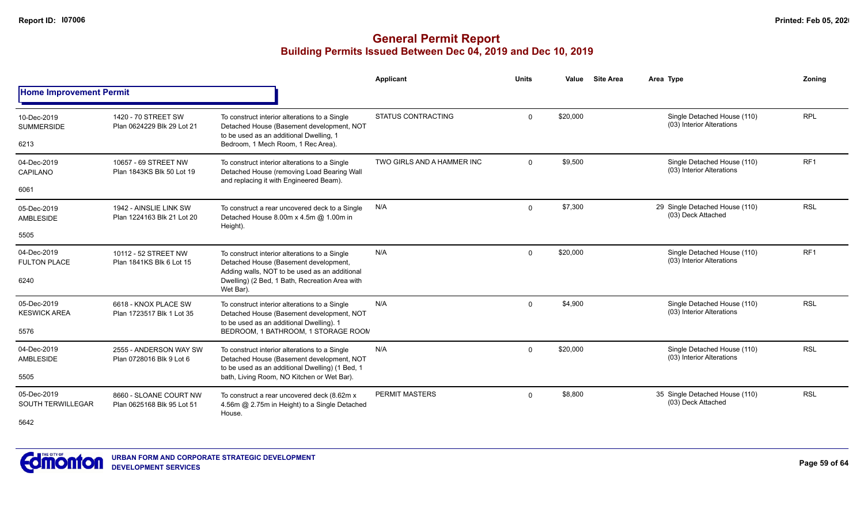|                                         |                                                                                               |                                                                                                                                        | Applicant                  | <b>Units</b> | Value    | <b>Site Area</b> | Area Type                                                | Zonina          |
|-----------------------------------------|-----------------------------------------------------------------------------------------------|----------------------------------------------------------------------------------------------------------------------------------------|----------------------------|--------------|----------|------------------|----------------------------------------------------------|-----------------|
| <b>Home Improvement Permit</b>          |                                                                                               |                                                                                                                                        |                            |              |          |                  |                                                          |                 |
| 10-Dec-2019<br><b>SUMMERSIDE</b>        | 1420 - 70 STREET SW<br>Plan 0624229 Blk 29 Lot 21                                             | To construct interior alterations to a Single<br>Detached House (Basement development, NOT<br>to be used as an additional Dwelling, 1  | <b>STATUS CONTRACTING</b>  | $\mathbf 0$  | \$20,000 |                  | Single Detached House (110)<br>(03) Interior Alterations | <b>RPL</b>      |
| 6213                                    |                                                                                               | Bedroom, 1 Mech Room, 1 Rec Area).                                                                                                     |                            |              |          |                  |                                                          |                 |
| 04-Dec-2019<br>CAPILANO                 | 10657 - 69 STREET NW<br>Plan 1843KS Blk 50 Lot 19                                             | To construct interior alterations to a Single<br>Detached House (removing Load Bearing Wall<br>and replacing it with Engineered Beam). | TWO GIRLS AND A HAMMER INC | $\Omega$     | \$9,500  |                  | Single Detached House (110)<br>(03) Interior Alterations | RF <sub>1</sub> |
| 6061                                    | 1942 - AINSLIE LINK SW                                                                        |                                                                                                                                        |                            |              |          |                  |                                                          |                 |
| 05-Dec-2019<br>AMBLESIDE                | Plan 1224163 Blk 21 Lot 20                                                                    | To construct a rear uncovered deck to a Single<br>Detached House 8.00m x 4.5m @ 1.00m in<br>Height).                                   | N/A                        | $\mathbf 0$  | \$7,300  |                  | 29 Single Detached House (110)<br>(03) Deck Attached     | <b>RSL</b>      |
| 5505                                    |                                                                                               |                                                                                                                                        |                            |              |          |                  |                                                          |                 |
| 04-Dec-2019<br><b>FULTON PLACE</b>      | 10112 - 52 STREET NW<br>Plan 1841KS Blk 6 Lot 15                                              | To construct interior alterations to a Single<br>Detached House (Basement development,                                                 | N/A                        | $\Omega$     | \$20,000 |                  | Single Detached House (110)<br>(03) Interior Alterations | RF <sub>1</sub> |
| 6240                                    |                                                                                               | Adding walls, NOT to be used as an additional<br>Dwelling) (2 Bed, 1 Bath, Recreation Area with<br>Wet Bar).                           |                            |              |          |                  |                                                          |                 |
| 05-Dec-2019<br><b>KESWICK AREA</b>      | 6618 - KNOX PLACE SW<br>Plan 1723517 Blk 1 Lot 35                                             | To construct interior alterations to a Single<br>Detached House (Basement development, NOT                                             | N/A                        | $\mathbf 0$  | \$4,900  |                  | Single Detached House (110)<br>(03) Interior Alterations | <b>RSL</b>      |
| 5576                                    |                                                                                               | to be used as an additional Dwelling). 1<br>BEDROOM, 1 BATHROOM, 1 STORAGE ROON                                                        |                            |              |          |                  |                                                          |                 |
| 04-Dec-2019<br>AMBLESIDE                | 2555 - ANDERSON WAY SW<br>Plan 0728016 Blk 9 Lot 6                                            | To construct interior alterations to a Single<br>Detached House (Basement development, NOT                                             | N/A                        | $\mathbf 0$  | \$20,000 |                  | Single Detached House (110)<br>(03) Interior Alterations | <b>RSL</b>      |
| 5505                                    | to be used as an additional Dwelling) (1 Bed, 1<br>bath, Living Room, NO Kitchen or Wet Bar). |                                                                                                                                        |                            |              |          |                  |                                                          |                 |
| 05-Dec-2019<br><b>SOUTH TERWILLEGAR</b> | 8660 - SLOANE COURT NW<br>Plan 0625168 Blk 95 Lot 51                                          | To construct a rear uncovered deck (8.62m x<br>4.56m @ 2.75m in Height) to a Single Detached                                           | <b>PERMIT MASTERS</b>      | $\mathbf 0$  | \$8,800  |                  | 35 Single Detached House (110)<br>(03) Deck Attached     | <b>RSL</b>      |
| 5642                                    |                                                                                               | House.                                                                                                                                 |                            |              |          |                  |                                                          |                 |
|                                         |                                                                                               |                                                                                                                                        |                            |              |          |                  |                                                          |                 |

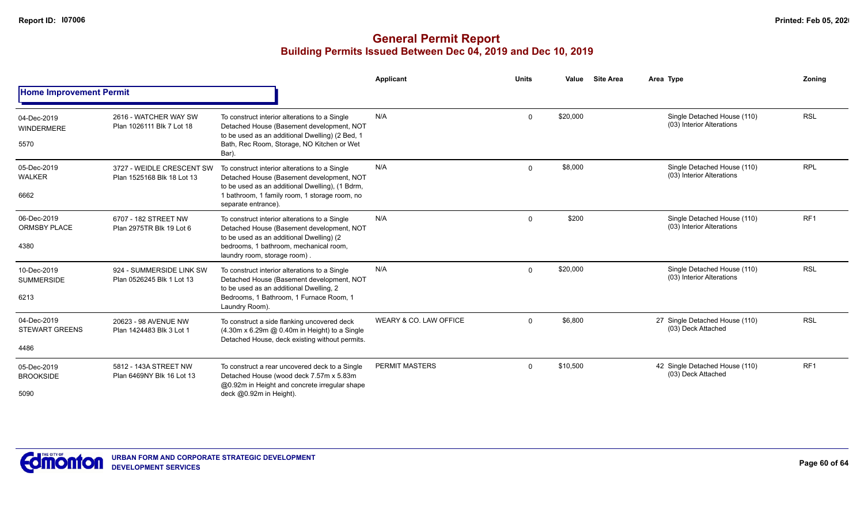|                                              |                                                         |                                                                                                                                                                                                                       | <b>Applicant</b>       | <b>Units</b> | Value    | <b>Site Area</b> | Area Type                                                | Zoning          |
|----------------------------------------------|---------------------------------------------------------|-----------------------------------------------------------------------------------------------------------------------------------------------------------------------------------------------------------------------|------------------------|--------------|----------|------------------|----------------------------------------------------------|-----------------|
| <b>Home Improvement Permit</b>               |                                                         |                                                                                                                                                                                                                       |                        |              |          |                  |                                                          |                 |
| 04-Dec-2019<br><b>WINDERMERE</b><br>5570     | 2616 - WATCHER WAY SW<br>Plan 1026111 Blk 7 Lot 18      | To construct interior alterations to a Single<br>Detached House (Basement development, NOT<br>to be used as an additional Dwelling) (2 Bed, 1<br>Bath, Rec Room, Storage, NO Kitchen or Wet<br>Bar).                  | N/A                    | $\Omega$     | \$20,000 |                  | Single Detached House (110)<br>(03) Interior Alterations | <b>RSL</b>      |
| 05-Dec-2019<br><b>WALKER</b><br>6662         | 3727 - WEIDLE CRESCENT SW<br>Plan 1525168 Blk 18 Lot 13 | To construct interior alterations to a Single<br>Detached House (Basement development, NOT<br>to be used as an additional Dwelling), (1 Bdrm,<br>1 bathroom, 1 family room, 1 storage room, no<br>separate entrance). | N/A                    | $\Omega$     | \$8,000  |                  | Single Detached House (110)<br>(03) Interior Alterations | <b>RPL</b>      |
| 06-Dec-2019<br><b>ORMSBY PLACE</b><br>4380   | 6707 - 182 STREET NW<br>Plan 2975TR Blk 19 Lot 6        | To construct interior alterations to a Single<br>Detached House (Basement development, NOT<br>to be used as an additional Dwelling) (2<br>bedrooms, 1 bathroom, mechanical room,<br>laundry room, storage room).      | N/A                    | $\Omega$     | \$200    |                  | Single Detached House (110)<br>(03) Interior Alterations | RF <sub>1</sub> |
| 10-Dec-2019<br><b>SUMMERSIDE</b><br>6213     | 924 - SUMMERSIDE LINK SW<br>Plan 0526245 Blk 1 Lot 13   | To construct interior alterations to a Single<br>Detached House (Basement development, NOT<br>to be used as an additional Dwelling, 2<br>Bedrooms, 1 Bathroom, 1 Furnace Room, 1<br>Laundry Room).                    | N/A                    | $\Omega$     | \$20,000 |                  | Single Detached House (110)<br>(03) Interior Alterations | <b>RSL</b>      |
| 04-Dec-2019<br><b>STEWART GREENS</b><br>4486 | 20623 - 98 AVENUE NW<br>Plan 1424483 Blk 3 Lot 1        | To construct a side flanking uncovered deck<br>(4.30m x 6.29m @ 0.40m in Height) to a Single<br>Detached House, deck existing without permits.                                                                        | WEARY & CO. LAW OFFICE | $\Omega$     | \$6,800  |                  | 27 Single Detached House (110)<br>(03) Deck Attached     | <b>RSL</b>      |
| 05-Dec-2019<br><b>BROOKSIDE</b><br>5090      | 5812 - 143A STREET NW<br>Plan 6469NY Blk 16 Lot 13      | To construct a rear uncovered deck to a Single<br>Detached House (wood deck 7.57m x 5.83m)<br>@0.92m in Height and concrete irregular shape<br>deck @0.92m in Height).                                                | <b>PERMIT MASTERS</b>  | $\Omega$     | \$10,500 |                  | 42 Single Detached House (110)<br>(03) Deck Attached     | RF <sub>1</sub> |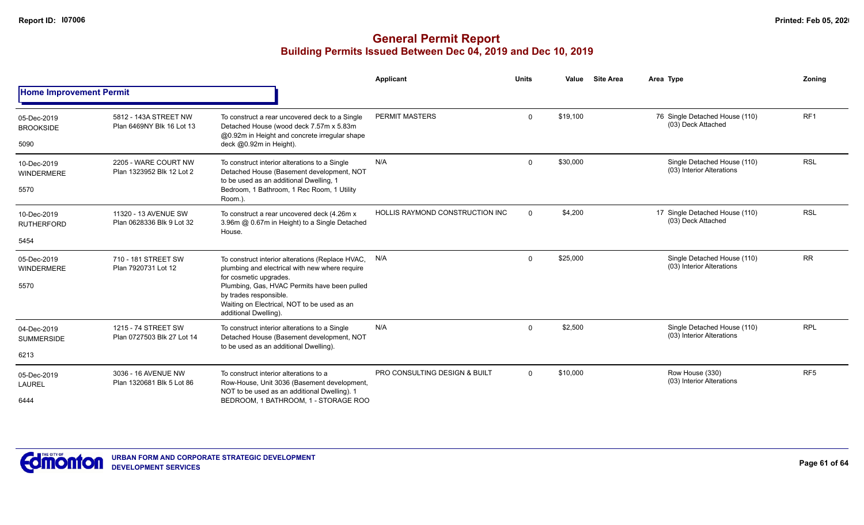|                                          |                                                    |                                                                                                                                                                                                | <b>Applicant</b>                         | <b>Units</b> | Value    | <b>Site Area</b> | Area Type                                                | Zoning          |
|------------------------------------------|----------------------------------------------------|------------------------------------------------------------------------------------------------------------------------------------------------------------------------------------------------|------------------------------------------|--------------|----------|------------------|----------------------------------------------------------|-----------------|
| <b>Home Improvement Permit</b>           |                                                    |                                                                                                                                                                                                |                                          |              |          |                  |                                                          |                 |
| 05-Dec-2019<br><b>BROOKSIDE</b><br>5090  | 5812 - 143A STREET NW<br>Plan 6469NY Blk 16 Lot 13 | To construct a rear uncovered deck to a Single<br>Detached House (wood deck 7.57m x 5.83m)<br>@0.92m in Height and concrete irregular shape<br>deck @0.92m in Height).                         | <b>PERMIT MASTERS</b>                    | $\mathbf 0$  | \$19,100 |                  | 76 Single Detached House (110)<br>(03) Deck Attached     | RF <sub>1</sub> |
| 10-Dec-2019<br><b>WINDERMERE</b><br>5570 | 2205 - WARE COURT NW<br>Plan 1323952 Blk 12 Lot 2  | To construct interior alterations to a Single<br>Detached House (Basement development, NOT<br>to be used as an additional Dwelling, 1<br>Bedroom, 1 Bathroom, 1 Rec Room, 1 Utility<br>Room.). | N/A                                      | $\Omega$     | \$30,000 |                  | Single Detached House (110)<br>(03) Interior Alterations | <b>RSL</b>      |
| 10-Dec-2019<br><b>RUTHERFORD</b>         | 11320 - 13 AVENUE SW<br>Plan 0628336 Blk 9 Lot 32  | To construct a rear uncovered deck (4.26m x<br>3.96m @ 0.67m in Height) to a Single Detached<br>House.                                                                                         | HOLLIS RAYMOND CONSTRUCTION INC          | $\Omega$     | \$4,200  |                  | 17 Single Detached House (110)<br>(03) Deck Attached     | <b>RSL</b>      |
| 5454                                     |                                                    |                                                                                                                                                                                                |                                          |              |          |                  |                                                          |                 |
| 05-Dec-2019<br>WINDERMERE                | 710 - 181 STREET SW<br>Plan 7920731 Lot 12         | To construct interior alterations (Replace HVAC,<br>plumbing and electrical with new where require<br>for cosmetic upgrades.                                                                   | N/A                                      | $\Omega$     | \$25,000 |                  | Single Detached House (110)<br>(03) Interior Alterations | <b>RR</b>       |
| 5570                                     |                                                    | Plumbing, Gas, HVAC Permits have been pulled<br>by trades responsible.<br>Waiting on Electrical, NOT to be used as an<br>additional Dwelling).                                                 |                                          |              |          |                  |                                                          |                 |
| 04-Dec-2019<br><b>SUMMERSIDE</b>         | 1215 - 74 STREET SW<br>Plan 0727503 Blk 27 Lot 14  | To construct interior alterations to a Single<br>Detached House (Basement development, NOT<br>to be used as an additional Dwelling).                                                           | N/A                                      | $\Omega$     | \$2,500  |                  | Single Detached House (110)<br>(03) Interior Alterations | <b>RPL</b>      |
| 6213                                     |                                                    |                                                                                                                                                                                                |                                          |              |          |                  |                                                          |                 |
| 05-Dec-2019<br><b>LAUREL</b><br>6444     | 3036 - 16 AVENUE NW<br>Plan 1320681 Blk 5 Lot 86   | To construct interior alterations to a<br>Row-House, Unit 3036 (Basement development,<br>NOT to be used as an additional Dwelling). 1<br>BEDROOM, 1 BATHROOM, 1 - STORAGE ROO                  | <b>PRO CONSULTING DESIGN &amp; BUILT</b> | $\Omega$     | \$10,000 |                  | Row House (330)<br>(03) Interior Alterations             | RF <sub>5</sub> |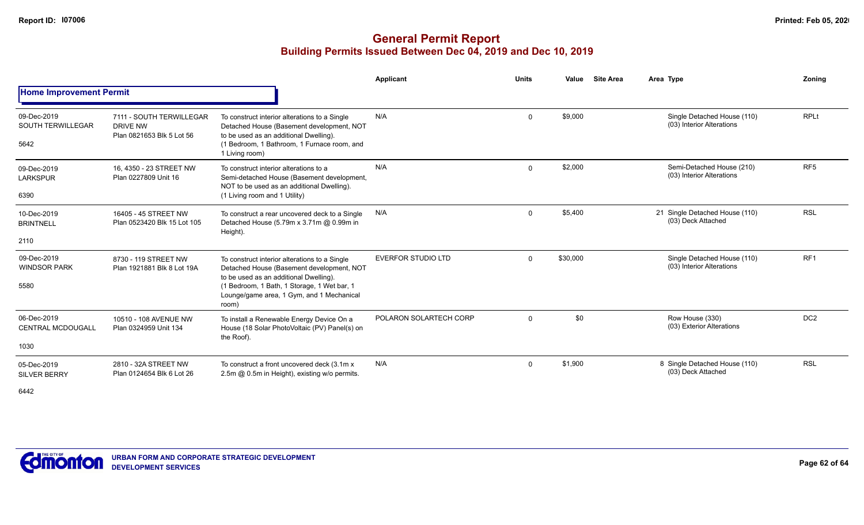|                                                 |                                                                          |                                                                                                                                                                                                                                           | Applicant                 | <b>Units</b> | Value    | <b>Site Area</b> | Area Type                                                | Zoning          |
|-------------------------------------------------|--------------------------------------------------------------------------|-------------------------------------------------------------------------------------------------------------------------------------------------------------------------------------------------------------------------------------------|---------------------------|--------------|----------|------------------|----------------------------------------------------------|-----------------|
| <b>Home Improvement Permit</b>                  |                                                                          |                                                                                                                                                                                                                                           |                           |              |          |                  |                                                          |                 |
| 09-Dec-2019<br><b>SOUTH TERWILLEGAR</b><br>5642 | 7111 - SOUTH TERWILLEGAR<br><b>DRIVE NW</b><br>Plan 0821653 Blk 5 Lot 56 | To construct interior alterations to a Single<br>Detached House (Basement development, NOT<br>to be used as an additional Dwelling).<br>(1 Bedroom, 1 Bathroom, 1 Furnace room, and<br>1 Living room)                                     | N/A                       | $\mathbf{0}$ | \$9,000  |                  | Single Detached House (110)<br>(03) Interior Alterations | <b>RPLt</b>     |
| 09-Dec-2019<br><b>LARKSPUR</b><br>6390          | 16, 4350 - 23 STREET NW<br>Plan 0227809 Unit 16                          | To construct interior alterations to a<br>Semi-detached House (Basement development,<br>NOT to be used as an additional Dwelling).<br>(1 Living room and 1 Utility)                                                                       | N/A                       | $\Omega$     | \$2,000  |                  | Semi-Detached House (210)<br>(03) Interior Alterations   | RF <sub>5</sub> |
| 10-Dec-2019<br><b>BRINTNELL</b><br>2110         | 16405 - 45 STREET NW<br>Plan 0523420 Blk 15 Lot 105                      | To construct a rear uncovered deck to a Single<br>Detached House (5.79m x 3.71m @ 0.99m in<br>Height).                                                                                                                                    | N/A                       | 0            | \$5,400  |                  | 21 Single Detached House (110)<br>(03) Deck Attached     | <b>RSL</b>      |
| 09-Dec-2019<br><b>WINDSOR PARK</b><br>5580      | 8730 - 119 STREET NW<br>Plan 1921881 Blk 8 Lot 19A                       | To construct interior alterations to a Single<br>Detached House (Basement development, NOT<br>to be used as an additional Dwelling).<br>(1 Bedroom, 1 Bath, 1 Storage, 1 Wet bar, 1<br>Lounge/game area, 1 Gym, and 1 Mechanical<br>room) | <b>EVERFOR STUDIO LTD</b> | $\Omega$     | \$30,000 |                  | Single Detached House (110)<br>(03) Interior Alterations | RF1             |
| 06-Dec-2019<br><b>CENTRAL MCDOUGALL</b><br>1030 | 10510 - 108 AVENUE NW<br>Plan 0324959 Unit 134                           | To install a Renewable Energy Device On a<br>House (18 Solar PhotoVoltaic (PV) Panel(s) on<br>the Roof).                                                                                                                                  | POLARON SOLARTECH CORP    | $\Omega$     | \$0      |                  | Row House (330)<br>(03) Exterior Alterations             | DC <sub>2</sub> |
| 05-Dec-2019<br><b>SILVER BERRY</b><br>6442      | 2810 - 32A STREET NW<br>Plan 0124654 Blk 6 Lot 26                        | To construct a front uncovered deck (3.1m x<br>2.5m @ 0.5m in Height), existing w/o permits.                                                                                                                                              | N/A                       | $\mathbf 0$  | \$1,900  |                  | 8 Single Detached House (110)<br>(03) Deck Attached      | <b>RSL</b>      |

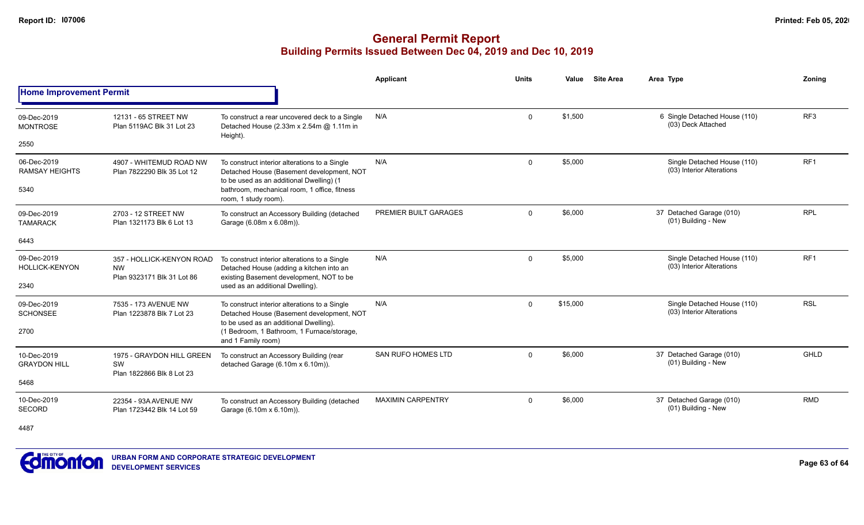|                                              |                                                                      |                                                                                                                                                                                                          | <b>Applicant</b>         | <b>Units</b> | Value    | <b>Site Area</b> | Area Type                                                | Zonina          |
|----------------------------------------------|----------------------------------------------------------------------|----------------------------------------------------------------------------------------------------------------------------------------------------------------------------------------------------------|--------------------------|--------------|----------|------------------|----------------------------------------------------------|-----------------|
| <b>Home Improvement Permit</b>               |                                                                      |                                                                                                                                                                                                          |                          |              |          |                  |                                                          |                 |
| 09-Dec-2019<br><b>MONTROSE</b>               | 12131 - 65 STREET NW<br>Plan 5119AC Blk 31 Lot 23                    | To construct a rear uncovered deck to a Single<br>Detached House (2.33m x 2.54m @ 1.11m in                                                                                                               | N/A                      | 0            | \$1,500  |                  | 6 Single Detached House (110)<br>(03) Deck Attached      | RF <sub>3</sub> |
| 2550                                         |                                                                      | Height).                                                                                                                                                                                                 |                          |              |          |                  |                                                          |                 |
| 06-Dec-2019<br><b>RAMSAY HEIGHTS</b>         | 4907 - WHITEMUD ROAD NW<br>Plan 7822290 Blk 35 Lot 12                | To construct interior alterations to a Single<br>Detached House (Basement development, NOT<br>to be used as an additional Dwelling) (1                                                                   | N/A                      | $\mathbf 0$  | \$5,000  |                  | Single Detached House (110)<br>(03) Interior Alterations | RF <sub>1</sub> |
| 5340                                         |                                                                      | bathroom, mechanical room, 1 office, fitness<br>room, 1 study room).                                                                                                                                     |                          |              |          |                  |                                                          |                 |
| 09-Dec-2019<br><b>TAMARACK</b>               | 2703 - 12 STREET NW<br>Plan 1321173 Blk 6 Lot 13                     | To construct an Accessory Building (detached<br>Garage (6.08m x 6.08m)).                                                                                                                                 | PREMIER BUILT GARAGES    | $\mathbf{0}$ | \$6,000  |                  | 37 Detached Garage (010)<br>(01) Building - New          | <b>RPL</b>      |
| 6443                                         |                                                                      |                                                                                                                                                                                                          |                          |              |          |                  |                                                          |                 |
| 09-Dec-2019<br><b>HOLLICK-KENYON</b><br>2340 | 357 - HOLLICK-KENYON ROAD<br><b>NW</b><br>Plan 9323171 Blk 31 Lot 86 | To construct interior alterations to a Single<br>Detached House (adding a kitchen into an<br>existing Basement development, NOT to be<br>used as an additional Dwelling).                                | N/A                      | 0            | \$5,000  |                  | Single Detached House (110)<br>(03) Interior Alterations | RF <sub>1</sub> |
| 09-Dec-2019<br><b>SCHONSEE</b><br>2700       | 7535 - 173 AVENUE NW<br>Plan 1223878 Blk 7 Lot 23                    | To construct interior alterations to a Single<br>Detached House (Basement development, NOT<br>to be used as an additional Dwelling).<br>(1 Bedroom, 1 Bathroom, 1 Furnace/storage,<br>and 1 Family room) | N/A                      | 0            | \$15,000 |                  | Single Detached House (110)<br>(03) Interior Alterations | <b>RSL</b>      |
| 10-Dec-2019<br><b>GRAYDON HILL</b>           | 1975 - GRAYDON HILL GREEN<br>SW<br>Plan 1822866 Blk 8 Lot 23         | To construct an Accessory Building (rear<br>detached Garage (6.10m x 6.10m)).                                                                                                                            | SAN RUFO HOMES LTD       | $\mathbf 0$  | \$6,000  |                  | 37 Detached Garage (010)<br>(01) Building - New          | <b>GHLD</b>     |
| 5468                                         |                                                                      |                                                                                                                                                                                                          |                          |              |          |                  |                                                          |                 |
| 10-Dec-2019<br>SECORD                        | 22354 - 93A AVENUE NW<br>Plan 1723442 Blk 14 Lot 59                  | To construct an Accessory Building (detached<br>Garage (6.10m x 6.10m)).                                                                                                                                 | <b>MAXIMIN CARPENTRY</b> | 0            | \$6,000  |                  | 37 Detached Garage (010)<br>(01) Building - New          | <b>RMD</b>      |
| 4487                                         |                                                                      |                                                                                                                                                                                                          |                          |              |          |                  |                                                          |                 |